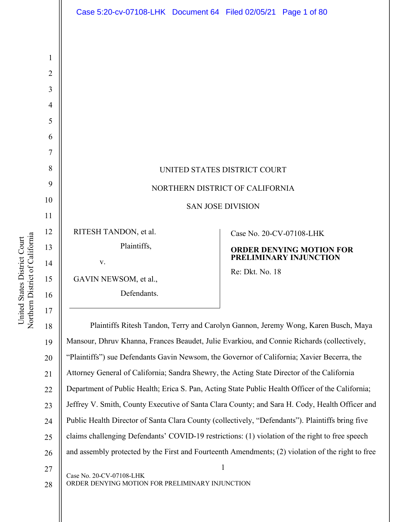| Case 5:20-cv-07108-LHK Document 64 Filed 02/05/21 Page 1 of 80 |
|----------------------------------------------------------------|
|                                                                |
|                                                                |
|                                                                |
|                                                                |
|                                                                |
|                                                                |
|                                                                |
|                                                                |
|                                                                |
|                                                                |
|                                                                |
| Case No. 20-CV-07108-LHK                                       |
| <b>ORDER DENYING MOTION FOR</b>                                |
| PRELIMINARY INJUNCTION<br>Re: Dkt. No. 18                      |
|                                                                |
|                                                                |
|                                                                |

Northern District of California Northern District of California United States District Court United States District Court

1

2

3

4

5

6

7

8

9

10

11

12

13

14

15

16

1 Case No. 20-CV-07108-LHK 17 18 19 20 21 22 23 24 25 26 27 Plaintiffs Ritesh Tandon, Terry and Carolyn Gannon, Jeremy Wong, Karen Busch, Maya Mansour, Dhruv Khanna, Frances Beaudet, Julie Evarkiou, and Connie Richards (collectively, "Plaintiffs") sue Defendants Gavin Newsom, the Governor of California; Xavier Becerra, the Attorney General of California; Sandra Shewry, the Acting State Director of the California Department of Public Health; Erica S. Pan, Acting State Public Health Officer of the California; Jeffrey V. Smith, County Executive of Santa Clara County; and Sara H. Cody, Health Officer and Public Health Director of Santa Clara County (collectively, "Defendants"). Plaintiffs bring five claims challenging Defendants' COVID-19 restrictions: (1) violation of the right to free speech and assembly protected by the First and Fourteenth Amendments; (2) violation of the right to free

ORDER DENYING MOTION FOR PRELIMINARY INJUNCTION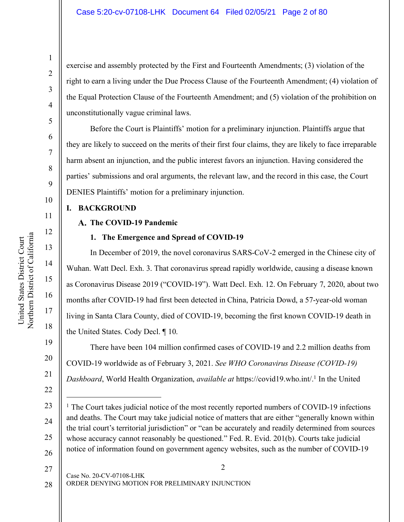exercise and assembly protected by the First and Fourteenth Amendments; (3) violation of the right to earn a living under the Due Process Clause of the Fourteenth Amendment; (4) violation of the Equal Protection Clause of the Fourteenth Amendment; and (5) violation of the prohibition on unconstitutionally vague criminal laws.

Before the Court is Plaintiffs' motion for a preliminary injunction. Plaintiffs argue that they are likely to succeed on the merits of their first four claims, they are likely to face irreparable harm absent an injunction, and the public interest favors an injunction. Having considered the parties' submissions and oral arguments, the relevant law, and the record in this case, the Court DENIES Plaintiffs' motion for a preliminary injunction.

# **I. BACKGROUND**

# **The COVID-19 Pandemic**

# **1. The Emergence and Spread of COVID-19**

In December of 2019, the novel coronavirus SARS-CoV-2 emerged in the Chinese city of Wuhan. Watt Decl. Exh. 3. That coronavirus spread rapidly worldwide, causing a disease known as Coronavirus Disease 2019 ("COVID-19"). Watt Decl. Exh. 12. On February 7, 2020, about two months after COVID-19 had first been detected in China, Patricia Dowd, a 57-year-old woman living in Santa Clara County, died of COVID-19, becoming the first known COVID-19 death in the United States. Cody Decl. ¶ 10.

There have been 104 million confirmed cases of COVID-19 and 2.2 million deaths from COVID-19 worldwide as of February 3, 2021. *See WHO Coronavirus Disease (COVID-19) Dashboard*, World Health Organization, *available at* https://covid19.who.int/. <sup>1</sup> In the United

2

Case No. 20-CV-07108-LHK ORDER DENYING MOTION FOR PRELIMINARY INJUNCTION 27 28

1

2

3

4

5

6

7

8

9

10

11

12

13

14

15

16

17

18

19

20

21

22

 $\overline{a}$ 

23

24

25

<sup>&</sup>lt;sup>1</sup> The Court takes judicial notice of the most recently reported numbers of COVID-19 infections and deaths. The Court may take judicial notice of matters that are either "generally known within the trial court's territorial jurisdiction" or "can be accurately and readily determined from sources whose accuracy cannot reasonably be questioned." Fed. R. Evid. 201(b). Courts take judicial notice of information found on government agency websites, such as the number of COVID-19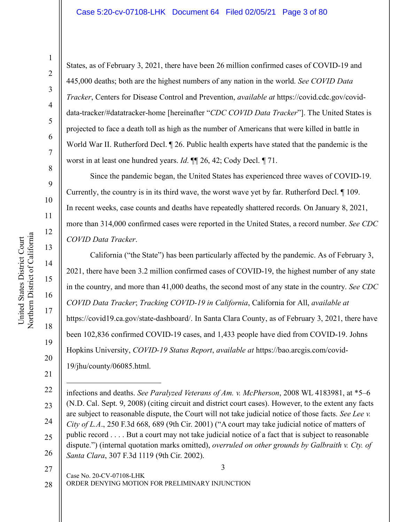#### Case 5:20-cv-07108-LHK Document 64 Filed 02/05/21 Page 3 of 80

1

States, as of February 3, 2021, there have been 26 million confirmed cases of COVID-19 and 445,000 deaths; both are the highest numbers of any nation in the world. *See COVID Data Tracker*, Centers for Disease Control and Prevention, *available at* https://covid.cdc.gov/coviddata-tracker/#datatracker-home [hereinafter "*CDC COVID Data Tracker*"]. The United States is projected to face a death toll as high as the number of Americans that were killed in battle in World War II. Rutherford Decl. ¶ 26. Public health experts have stated that the pandemic is the worst in at least one hundred years. *Id*. ¶¶ 26, 42; Cody Decl. ¶ 71.

Since the pandemic began, the United States has experienced three waves of COVID-19. Currently, the country is in its third wave, the worst wave yet by far. Rutherford Decl. ¶ 109. In recent weeks, case counts and deaths have repeatedly shattered records. On January 8, 2021, more than 314,000 confirmed cases were reported in the United States, a record number. *See CDC COVID Data Tracker*.

California ("the State") has been particularly affected by the pandemic. As of February 3, 2021, there have been 3.2 million confirmed cases of COVID-19, the highest number of any state in the country, and more than 41,000 deaths, the second most of any state in the country. *See CDC COVID Data Tracker*; *Tracking COVID-19 in California*, California for All, *available at* https://covid19.ca.gov/state-dashboard/. In Santa Clara County, as of February 3, 2021, there have been 102,836 confirmed COVID-19 cases, and 1,433 people have died from COVID-19. Johns Hopkins University, *COVID-19 Status Report*, *available at* https://bao.arcgis.com/covid-19/jhu/county/06085.html.

19

3 22 23 24 25 26  $\overline{a}$ infections and deaths. *See Paralyzed Veterans of Am. v. McPherson*, 2008 WL 4183981, at \*5–6 (N.D. Cal. Sept. 9, 2008) (citing circuit and district court cases). However, to the extent any facts are subject to reasonable dispute, the Court will not take judicial notice of those facts. *See Lee v. City of L.A*., 250 F.3d 668, 689 (9th Cir. 2001) ("A court may take judicial notice of matters of public record . . . . But a court may not take judicial notice of a fact that is subject to reasonable dispute.") (internal quotation marks omitted), *overruled on other grounds by Galbraith v. Cty. of Santa Clara*, 307 F.3d 1119 (9th Cir. 2002).

27 28

ORDER DENYING MOTION FOR PRELIMINARY INJUNCTION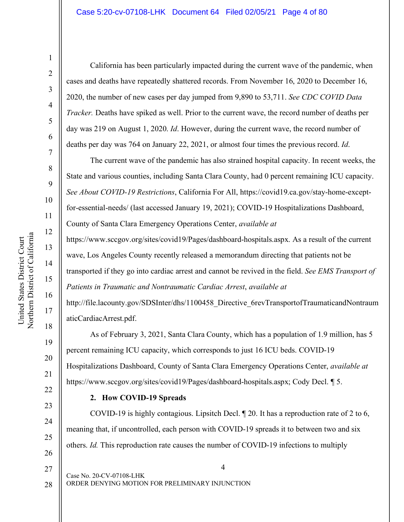#### Case 5:20-cv-07108-LHK Document 64 Filed 02/05/21 Page 4 of 80

United States District Court

United States District Court

1

2

3

4

5

6

7

8

9

19

20

21

22

23

24

25

26

California has been particularly impacted during the current wave of the pandemic, when cases and deaths have repeatedly shattered records. From November 16, 2020 to December 16, 2020, the number of new cases per day jumped from 9,890 to 53,711. *See CDC COVID Data Tracker.* Deaths have spiked as well. Prior to the current wave, the record number of deaths per day was 219 on August 1, 2020. *Id*. However, during the current wave, the record number of deaths per day was 764 on January 22, 2021, or almost four times the previous record. *Id*.

The current wave of the pandemic has also strained hospital capacity. In recent weeks, the State and various counties, including Santa Clara County, had 0 percent remaining ICU capacity. *See About COVID-19 Restrictions*, California For All, https://covid19.ca.gov/stay-home-exceptfor-essential-needs/ (last accessed January 19, 2021); COVID-19 Hospitalizations Dashboard, County of Santa Clara Emergency Operations Center, *available at*

https://www.sccgov.org/sites/covid19/Pages/dashboard-hospitals.aspx. As a result of the current wave, Los Angeles County recently released a memorandum directing that patients not be transported if they go into cardiac arrest and cannot be revived in the field. *See EMS Transport of Patients in Traumatic and Nontraumatic Cardiac Arrest*, *available at*

http://file.lacounty.gov/SDSInter/dhs/1100458 Directive 6revTransportofTraumaticandNontraum aticCardiacArrest.pdf.

As of February 3, 2021, Santa Clara County, which has a population of 1.9 million, has 5 percent remaining ICU capacity, which corresponds to just 16 ICU beds. COVID-19 Hospitalizations Dashboard, County of Santa Clara Emergency Operations Center, *available at* https://www.sccgov.org/sites/covid19/Pages/dashboard-hospitals.aspx; Cody Decl. ¶ 5.

#### **2. How COVID-19 Spreads**

COVID-19 is highly contagious. Lipsitch Decl. ¶ 20. It has a reproduction rate of 2 to 6, meaning that, if uncontrolled, each person with COVID-19 spreads it to between two and six others. *Id.* This reproduction rate causes the number of COVID-19 infections to multiply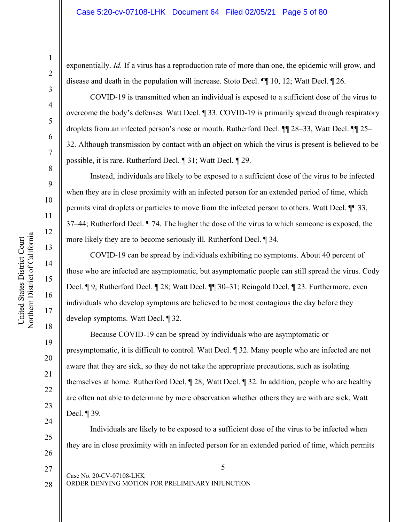exponentially. *Id.* If a virus has a reproduction rate of more than one, the epidemic will grow, and disease and death in the population will increase. Stoto Decl. ¶¶ 10, 12; Watt Decl. ¶ 26.

COVID-19 is transmitted when an individual is exposed to a sufficient dose of the virus to overcome the body's defenses. Watt Decl. ¶ 33. COVID-19 is primarily spread through respiratory droplets from an infected person's nose or mouth. Rutherford Decl. ¶¶ 28–33, Watt Decl. ¶¶ 25– 32. Although transmission by contact with an object on which the virus is present is believed to be possible, it is rare. Rutherford Decl. ¶ 31; Watt Decl. ¶ 29.

Instead, individuals are likely to be exposed to a sufficient dose of the virus to be infected when they are in close proximity with an infected person for an extended period of time, which permits viral droplets or particles to move from the infected person to others. Watt Decl. ¶¶ 33, 37–44; Rutherford Decl. ¶ 74. The higher the dose of the virus to which someone is exposed, the more likely they are to become seriously ill. Rutherford Decl. ¶ 34.

COVID-19 can be spread by individuals exhibiting no symptoms. About 40 percent of those who are infected are asymptomatic, but asymptomatic people can still spread the virus. Cody Decl. ¶ 9; Rutherford Decl. ¶ 28; Watt Decl. ¶¶ 30–31; Reingold Decl. ¶ 23. Furthermore, even individuals who develop symptoms are believed to be most contagious the day before they develop symptoms. Watt Decl. ¶ 32.

Because COVID-19 can be spread by individuals who are asymptomatic or presymptomatic, it is difficult to control. Watt Decl. ¶ 32. Many people who are infected are not aware that they are sick, so they do not take the appropriate precautions, such as isolating themselves at home. Rutherford Decl. ¶ 28; Watt Decl. ¶ 32. In addition, people who are healthy are often not able to determine by mere observation whether others they are with are sick. Watt Decl. ¶ 39.

Individuals are likely to be exposed to a sufficient dose of the virus to be infected when they are in close proximity with an infected person for an extended period of time, which permits

Northern District of California Northern District of California United States District Court United States District Court

1

2

3

4

5

6

7

8

9

10

11

12

13

14

15

16

17

18

19

20

21

22

23

24

25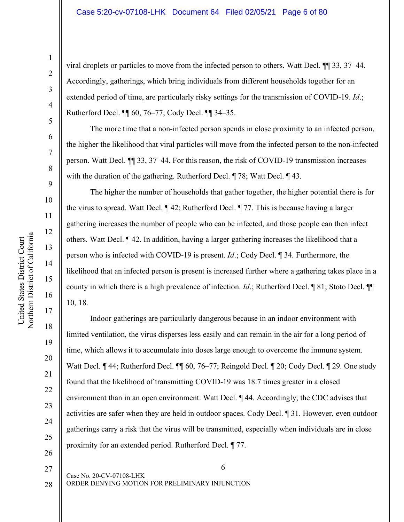viral droplets or particles to move from the infected person to others. Watt Decl. ¶¶ 33, 37–44. Accordingly, gatherings, which bring individuals from different households together for an extended period of time, are particularly risky settings for the transmission of COVID-19. *Id*.; Rutherford Decl. ¶¶ 60, 76–77; Cody Decl. ¶¶ 34–35.

The more time that a non-infected person spends in close proximity to an infected person, the higher the likelihood that viral particles will move from the infected person to the non-infected person. Watt Decl. ¶¶ 33, 37–44. For this reason, the risk of COVID-19 transmission increases with the duration of the gathering. Rutherford Decl.  $\parallel$  78; Watt Decl.  $\parallel$  43.

The higher the number of households that gather together, the higher potential there is for the virus to spread. Watt Decl. ¶ 42; Rutherford Decl. ¶ 77. This is because having a larger gathering increases the number of people who can be infected, and those people can then infect others. Watt Decl. ¶ 42. In addition, having a larger gathering increases the likelihood that a person who is infected with COVID-19 is present. *Id*.; Cody Decl. ¶ 34. Furthermore, the likelihood that an infected person is present is increased further where a gathering takes place in a county in which there is a high prevalence of infection. *Id*.; Rutherford Decl. ¶ 81; Stoto Decl. ¶¶ 10, 18.

Indoor gatherings are particularly dangerous because in an indoor environment with limited ventilation, the virus disperses less easily and can remain in the air for a long period of time, which allows it to accumulate into doses large enough to overcome the immune system. Watt Decl. ¶ 44; Rutherford Decl. ¶¶ 60, 76–77; Reingold Decl. ¶ 20; Cody Decl. ¶ 29. One study found that the likelihood of transmitting COVID-19 was 18.7 times greater in a closed environment than in an open environment. Watt Decl. ¶ 44. Accordingly, the CDC advises that activities are safer when they are held in outdoor spaces. Cody Decl. ¶ 31. However, even outdoor gatherings carry a risk that the virus will be transmitted, especially when individuals are in close proximity for an extended period. Rutherford Decl. ¶ 77.

1

2

3

4

5

6

7

8

9

10

11

12

13

14

15

16

17

18

19

20

21

27

28

26

6

ORDER DENYING MOTION FOR PRELIMINARY INJUNCTION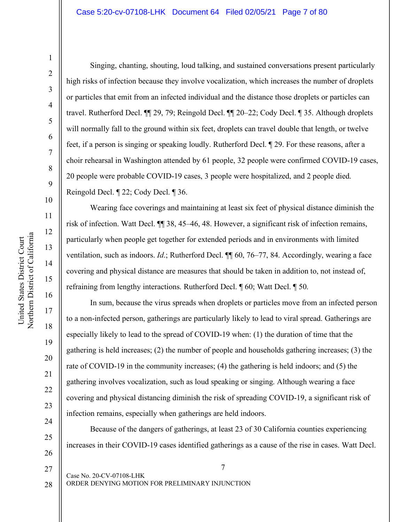#### Case 5:20-cv-07108-LHK Document 64 Filed 02/05/21 Page 7 of 80

20

21

22

23

24

25

26

27

28

1

Singing, chanting, shouting, loud talking, and sustained conversations present particularly high risks of infection because they involve vocalization, which increases the number of droplets or particles that emit from an infected individual and the distance those droplets or particles can travel. Rutherford Decl. ¶¶ 29, 79; Reingold Decl. ¶¶ 20–22; Cody Decl. ¶ 35. Although droplets will normally fall to the ground within six feet, droplets can travel double that length, or twelve feet, if a person is singing or speaking loudly. Rutherford Decl. ¶ 29. For these reasons, after a choir rehearsal in Washington attended by 61 people, 32 people were confirmed COVID-19 cases, 20 people were probable COVID-19 cases, 3 people were hospitalized, and 2 people died. Reingold Decl. ¶ 22; Cody Decl. ¶ 36.

Wearing face coverings and maintaining at least six feet of physical distance diminish the risk of infection. Watt Decl. ¶¶ 38, 45–46, 48. However, a significant risk of infection remains, particularly when people get together for extended periods and in environments with limited ventilation, such as indoors. *Id*.; Rutherford Decl. ¶¶ 60, 76–77, 84. Accordingly, wearing a face covering and physical distance are measures that should be taken in addition to, not instead of, refraining from lengthy interactions. Rutherford Decl. ¶ 60; Watt Decl. ¶ 50.

In sum, because the virus spreads when droplets or particles move from an infected person to a non-infected person, gatherings are particularly likely to lead to viral spread. Gatherings are especially likely to lead to the spread of COVID-19 when: (1) the duration of time that the gathering is held increases; (2) the number of people and households gathering increases; (3) the rate of COVID-19 in the community increases; (4) the gathering is held indoors; and (5) the gathering involves vocalization, such as loud speaking or singing. Although wearing a face covering and physical distancing diminish the risk of spreading COVID-19, a significant risk of infection remains, especially when gatherings are held indoors.

Because of the dangers of gatherings, at least 23 of 30 California counties experiencing increases in their COVID-19 cases identified gatherings as a cause of the rise in cases. Watt Decl.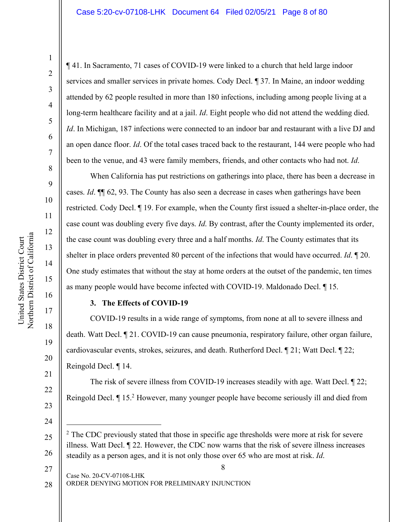#### Case 5:20-cv-07108-LHK Document 64 Filed 02/05/21 Page 8 of 80

United States District Court

United States District Court

1

2

3

4

5

6

7

8

9

19

20

21

22

23

24

25

26

¶ 41. In Sacramento, 71 cases of COVID-19 were linked to a church that held large indoor services and smaller services in private homes. Cody Decl. ¶ 37. In Maine, an indoor wedding attended by 62 people resulted in more than 180 infections, including among people living at a long-term healthcare facility and at a jail. *Id*. Eight people who did not attend the wedding died. *Id*. In Michigan, 187 infections were connected to an indoor bar and restaurant with a live DJ and an open dance floor. *Id*. Of the total cases traced back to the restaurant, 144 were people who had been to the venue, and 43 were family members, friends, and other contacts who had not. *Id*.

When California has put restrictions on gatherings into place, there has been a decrease in cases. *Id*. ¶¶ 62, 93. The County has also seen a decrease in cases when gatherings have been restricted. Cody Decl. ¶ 19. For example, when the County first issued a shelter-in-place order, the case count was doubling every five days. *Id*. By contrast, after the County implemented its order, the case count was doubling every three and a half months. *Id*. The County estimates that its shelter in place orders prevented 80 percent of the infections that would have occurred. *Id*. ¶ 20. One study estimates that without the stay at home orders at the outset of the pandemic, ten times as many people would have become infected with COVID-19. Maldonado Decl. ¶ 15.

#### **3. The Effects of COVID-19**

COVID-19 results in a wide range of symptoms, from none at all to severe illness and death. Watt Decl. ¶ 21. COVID-19 can cause pneumonia, respiratory failure, other organ failure, cardiovascular events, strokes, seizures, and death. Rutherford Decl. ¶ 21; Watt Decl. ¶ 22; Reingold Decl. ¶ 14.

The risk of severe illness from COVID-19 increases steadily with age. Watt Decl. ¶ 22; Reingold Decl. ¶ 15.2 However, many younger people have become seriously ill and died from

<sup>&</sup>lt;sup>2</sup> The CDC previously stated that those in specific age thresholds were more at risk for severe illness. Watt Decl. ¶ 22. However, the CDC now warns that the risk of severe illness increases steadily as a person ages, and it is not only those over 65 who are most at risk. *Id*.

Case No. 20-CV-07108-LHK ORDER DENYING MOTION FOR PRELIMINARY INJUNCTION 27 28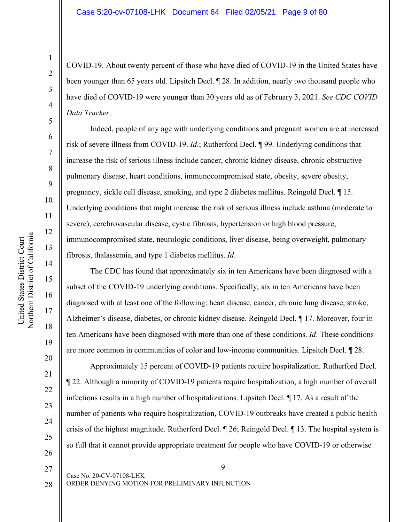#### Case 5:20-cv-07108-LHK Document 64 Filed 02/05/21 Page 9 of 80

COVID-19. About twenty percent of those who have died of COVID-19 in the United States have been younger than 65 years old. Lipsitch Decl. ¶ 28. In addition, nearly two thousand people who have died of COVID-19 were younger than 30 years old as of February 3, 2021. *See CDC COVID Data Tracker*.

Indeed, people of any age with underlying conditions and pregnant women are at increased risk of severe illness from COVID-19. *Id*.; Rutherford Decl. ¶ 99. Underlying conditions that increase the risk of serious illness include cancer, chronic kidney disease, chronic obstructive pulmonary disease, heart conditions, immunocompromised state, obesity, severe obesity, pregnancy, sickle cell disease, smoking, and type 2 diabetes mellitus. Reingold Decl. ¶ 15. Underlying conditions that might increase the risk of serious illness include asthma (moderate to severe), cerebrovascular disease, cystic fibrosis, hypertension or high blood pressure, immunocompromised state, neurologic conditions, liver disease, being overweight, pulmonary

¶ 22. Although a minority of COVID-19 patients require hospitalization, a high number of overall infections results in a high number of hospitalizations. Lipsitch Decl. ¶ 17. As a result of the number of patients who require hospitalization, COVID-19 outbreaks have created a public health crisis of the highest magnitude. Rutherford Decl. ¶ 26; Reingold Decl. ¶ 13. The hospital system is so full that it cannot provide appropriate treatment for people who have COVID-19 or otherwise

27 28

1

2

3

4

5

6

7

8

9

10

11

12

13

14

15

16

17

18

19

20

21

22

23

24

25

26

fibrosis, thalassemia, and type 1 diabetes mellitus. *Id*. The CDC has found that approximately six in ten Americans have been diagnosed with a subset of the COVID-19 underlying conditions. Specifically, six in ten Americans have been diagnosed with at least one of the following: heart disease, cancer, chronic lung disease, stroke, Alzheimer's disease, diabetes, or chronic kidney disease. Reingold Decl. ¶ 17. Moreover, four in ten Americans have been diagnosed with more than one of these conditions. *Id*. These conditions are more common in communities of color and low-income communities. Lipsitch Decl. ¶ 28. Approximately 15 percent of COVID-19 patients require hospitalization. Rutherford Decl.

ORDER DENYING MOTION FOR PRELIMINARY INJUNCTION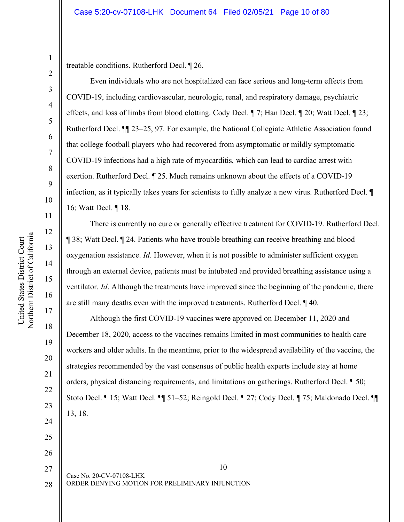treatable conditions. Rutherford Decl. ¶ 26.

Even individuals who are not hospitalized can face serious and long-term effects from COVID-19, including cardiovascular, neurologic, renal, and respiratory damage, psychiatric effects, and loss of limbs from blood clotting. Cody Decl. ¶ 7; Han Decl. ¶ 20; Watt Decl. ¶ 23; Rutherford Decl. ¶¶ 23–25, 97. For example, the National Collegiate Athletic Association found that college football players who had recovered from asymptomatic or mildly symptomatic COVID-19 infections had a high rate of myocarditis, which can lead to cardiac arrest with exertion. Rutherford Decl. ¶ 25. Much remains unknown about the effects of a COVID-19 infection, as it typically takes years for scientists to fully analyze a new virus. Rutherford Decl. ¶ 16; Watt Decl. ¶ 18.

There is currently no cure or generally effective treatment for COVID-19. Rutherford Decl. ¶ 38; Watt Decl. ¶ 24. Patients who have trouble breathing can receive breathing and blood oxygenation assistance. *Id*. However, when it is not possible to administer sufficient oxygen through an external device, patients must be intubated and provided breathing assistance using a ventilator. *Id*. Although the treatments have improved since the beginning of the pandemic, there are still many deaths even with the improved treatments. Rutherford Decl. ¶ 40.

Although the first COVID-19 vaccines were approved on December 11, 2020 and December 18, 2020, access to the vaccines remains limited in most communities to health care workers and older adults. In the meantime, prior to the widespread availability of the vaccine, the strategies recommended by the vast consensus of public health experts include stay at home orders, physical distancing requirements, and limitations on gatherings. Rutherford Decl. ¶ 50; Stoto Decl. ¶ 15; Watt Decl. ¶¶ 51–52; Reingold Decl. ¶ 27; Cody Decl. ¶ 75; Maldonado Decl. ¶¶ 13, 18.

10 Case No. 20-CV-07108-LHK ORDER DENYING MOTION FOR PRELIMINARY INJUNCTION 27 28

1

2

3

4

5

6

7

8

9

10

11

12

13

14

15

16

17

18

19

20

21

22

23

24

25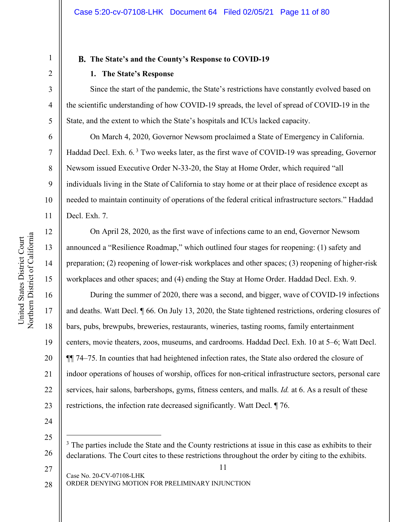## **The State's and the County's Response to COVID-19**

### **1. The State's Response**

Since the start of the pandemic, the State's restrictions have constantly evolved based on the scientific understanding of how COVID-19 spreads, the level of spread of COVID-19 in the State, and the extent to which the State's hospitals and ICUs lacked capacity.

On March 4, 2020, Governor Newsom proclaimed a State of Emergency in California. Haddad Decl. Exh. 6.<sup>3</sup> Two weeks later, as the first wave of COVID-19 was spreading, Governor Newsom issued Executive Order N-33-20, the Stay at Home Order, which required "all individuals living in the State of California to stay home or at their place of residence except as needed to maintain continuity of operations of the federal critical infrastructure sectors." Haddad Decl. Exh. 7.

On April 28, 2020, as the first wave of infections came to an end, Governor Newsom announced a "Resilience Roadmap," which outlined four stages for reopening: (1) safety and preparation; (2) reopening of lower-risk workplaces and other spaces; (3) reopening of higher-risk workplaces and other spaces; and (4) ending the Stay at Home Order. Haddad Decl. Exh. 9.

During the summer of 2020, there was a second, and bigger, wave of COVID-19 infections and deaths. Watt Decl. ¶ 66. On July 13, 2020, the State tightened restrictions, ordering closures of bars, pubs, brewpubs, breweries, restaurants, wineries, tasting rooms, family entertainment centers, movie theaters, zoos, museums, and cardrooms. Haddad Decl. Exh. 10 at 5–6; Watt Decl. ¶¶ 74–75. In counties that had heightened infection rates, the State also ordered the closure of indoor operations of houses of worship, offices for non-critical infrastructure sectors, personal care services, hair salons, barbershops, gyms, fitness centers, and malls. *Id.* at 6. As a result of these restrictions, the infection rate decreased significantly. Watt Decl. ¶ 76.

24

25

27

Case No. 20-CV-07108-LHK ORDER DENYING MOTION FOR PRELIMINARY INJUNCTION 28

1

2

3

4

5

6

7

8

9

10

11

12

13

14

15

16

17

18

19

20

21

22

<sup>26</sup> <sup>3</sup> The parties include the State and the County restrictions at issue in this case as exhibits to their declarations. The Court cites to these restrictions throughout the order by citing to the exhibits.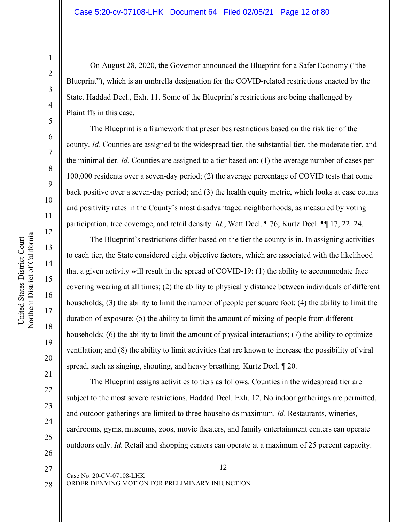#### Case 5:20-cv-07108-LHK Document 64 Filed 02/05/21 Page 12 of 80

On August 28, 2020, the Governor announced the Blueprint for a Safer Economy ("the Blueprint"), which is an umbrella designation for the COVID-related restrictions enacted by the State. Haddad Decl., Exh. 11. Some of the Blueprint's restrictions are being challenged by Plaintiffs in this case.

The Blueprint is a framework that prescribes restrictions based on the risk tier of the county. *Id.* Counties are assigned to the widespread tier, the substantial tier, the moderate tier, and the minimal tier. *Id.* Counties are assigned to a tier based on: (1) the average number of cases per 100,000 residents over a seven-day period; (2) the average percentage of COVID tests that come back positive over a seven-day period; and (3) the health equity metric, which looks at case counts and positivity rates in the County's most disadvantaged neighborhoods, as measured by voting participation, tree coverage, and retail density. *Id.*; Watt Decl. ¶ 76; Kurtz Decl. ¶¶ 17, 22–24.

The Blueprint's restrictions differ based on the tier the county is in. In assigning activities to each tier, the State considered eight objective factors, which are associated with the likelihood that a given activity will result in the spread of COVID-19: (1) the ability to accommodate face covering wearing at all times; (2) the ability to physically distance between individuals of different households; (3) the ability to limit the number of people per square foot; (4) the ability to limit the duration of exposure; (5) the ability to limit the amount of mixing of people from different households; (6) the ability to limit the amount of physical interactions; (7) the ability to optimize ventilation; and (8) the ability to limit activities that are known to increase the possibility of viral spread, such as singing, shouting, and heavy breathing. Kurtz Decl. ¶ 20.

The Blueprint assigns activities to tiers as follows. Counties in the widespread tier are subject to the most severe restrictions. Haddad Decl. Exh. 12. No indoor gatherings are permitted, and outdoor gatherings are limited to three households maximum. *Id*. Restaurants, wineries, cardrooms, gyms, museums, zoos, movie theaters, and family entertainment centers can operate outdoors only. *Id*. Retail and shopping centers can operate at a maximum of 25 percent capacity.

Northern District of California Northern District of California United States District Court United States District Court

1

2

3

4

5

6

7

8

9

10

11

12

13

14

15

16

17

18

19

20

21

22

23

24

25

26

27

28

12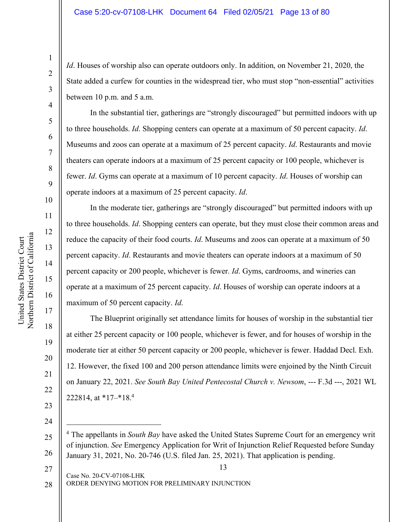*Id*. Houses of worship also can operate outdoors only. In addition, on November 21, 2020, the State added a curfew for counties in the widespread tier, who must stop "non-essential" activities between 10 p.m. and 5 a.m.

In the substantial tier, gatherings are "strongly discouraged" but permitted indoors with up to three households. *Id*. Shopping centers can operate at a maximum of 50 percent capacity. *Id*. Museums and zoos can operate at a maximum of 25 percent capacity. *Id*. Restaurants and movie theaters can operate indoors at a maximum of 25 percent capacity or 100 people, whichever is fewer. *Id*. Gyms can operate at a maximum of 10 percent capacity. *Id*. Houses of worship can operate indoors at a maximum of 25 percent capacity. *Id*.

In the moderate tier, gatherings are "strongly discouraged" but permitted indoors with up to three households. *Id*. Shopping centers can operate, but they must close their common areas and reduce the capacity of their food courts. *Id*. Museums and zoos can operate at a maximum of 50 percent capacity. *Id*. Restaurants and movie theaters can operate indoors at a maximum of 50 percent capacity or 200 people, whichever is fewer. *Id*. Gyms, cardrooms, and wineries can operate at a maximum of 25 percent capacity. *Id*. Houses of worship can operate indoors at a maximum of 50 percent capacity. *Id*.

The Blueprint originally set attendance limits for houses of worship in the substantial tier at either 25 percent capacity or 100 people, whichever is fewer, and for houses of worship in the moderate tier at either 50 percent capacity or 200 people, whichever is fewer. Haddad Decl. Exh. 12. However, the fixed 100 and 200 person attendance limits were enjoined by the Ninth Circuit on January 22, 2021. *See South Bay United Pentecostal Church v. Newsom*, --- F.3d ---, 2021 WL 222814, at \*17–\*18.4

Case No. 20-CV-07108-LHK ORDER DENYING MOTION FOR PRELIMINARY INJUNCTION

1

2

3

4

5

6

7

8

9

10

11

12

13

14

15

16

17

18

19

20

21

22

23

24

25

27

<sup>26</sup> 4 The appellants in *South Bay* have asked the United States Supreme Court for an emergency writ of injunction. *See* Emergency Application for Writ of Injunction Relief Requested before Sunday January 31, 2021, No. 20-746 (U.S. filed Jan. 25, 2021). That application is pending.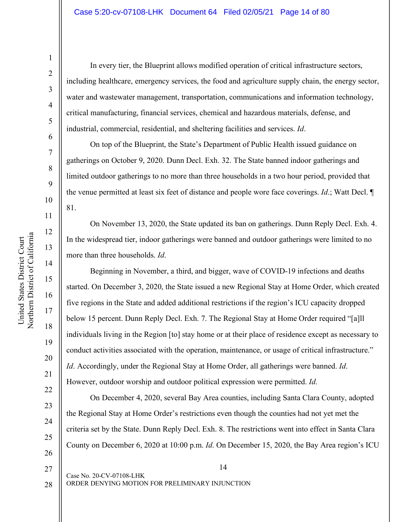United States District Court

1

2

3

4

5

6

7

8

9

10

11

12

13

14

16

17

18

19

20

21

22

23

24

25

26

27

28

In every tier, the Blueprint allows modified operation of critical infrastructure sectors, including healthcare, emergency services, the food and agriculture supply chain, the energy sector, water and wastewater management, transportation, communications and information technology, critical manufacturing, financial services, chemical and hazardous materials, defense, and industrial, commercial, residential, and sheltering facilities and services. *Id*.

On top of the Blueprint, the State's Department of Public Health issued guidance on gatherings on October 9, 2020. Dunn Decl. Exh. 32. The State banned indoor gatherings and limited outdoor gatherings to no more than three households in a two hour period, provided that the venue permitted at least six feet of distance and people wore face coverings. *Id*.; Watt Decl. ¶ 81.

On November 13, 2020, the State updated its ban on gatherings. Dunn Reply Decl. Exh. 4. In the widespread tier, indoor gatherings were banned and outdoor gatherings were limited to no more than three households. *Id*.

Beginning in November, a third, and bigger, wave of COVID-19 infections and deaths started. On December 3, 2020, the State issued a new Regional Stay at Home Order, which created five regions in the State and added additional restrictions if the region's ICU capacity dropped below 15 percent. Dunn Reply Decl. Exh. 7. The Regional Stay at Home Order required "[a]ll individuals living in the Region [to] stay home or at their place of residence except as necessary to conduct activities associated with the operation, maintenance, or usage of critical infrastructure." *Id*. Accordingly, under the Regional Stay at Home Order, all gatherings were banned. *Id*. However, outdoor worship and outdoor political expression were permitted. *Id*.

On December 4, 2020, several Bay Area counties, including Santa Clara County, adopted the Regional Stay at Home Order's restrictions even though the counties had not yet met the criteria set by the State. Dunn Reply Decl. Exh. 8. The restrictions went into effect in Santa Clara County on December 6, 2020 at 10:00 p.m. *Id*. On December 15, 2020, the Bay Area region's ICU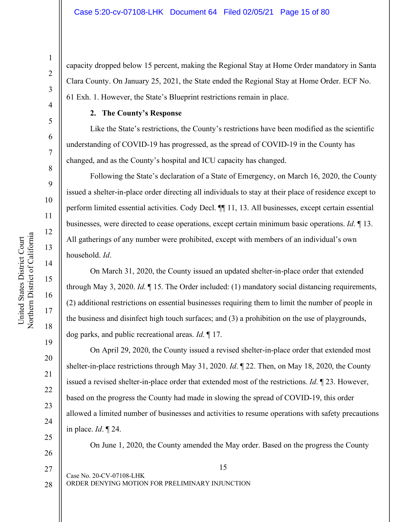capacity dropped below 15 percent, making the Regional Stay at Home Order mandatory in Santa Clara County. On January 25, 2021, the State ended the Regional Stay at Home Order. ECF No. 61 Exh. 1. However, the State's Blueprint restrictions remain in place.

### **2. The County's Response**

Like the State's restrictions, the County's restrictions have been modified as the scientific understanding of COVID-19 has progressed, as the spread of COVID-19 in the County has changed, and as the County's hospital and ICU capacity has changed.

Following the State's declaration of a State of Emergency, on March 16, 2020, the County issued a shelter-in-place order directing all individuals to stay at their place of residence except to perform limited essential activities. Cody Decl. ¶¶ 11, 13. All businesses, except certain essential businesses, were directed to cease operations, except certain minimum basic operations. *Id*. ¶ 13. All gatherings of any number were prohibited, except with members of an individual's own household. *Id*.

On March 31, 2020, the County issued an updated shelter-in-place order that extended through May 3, 2020. *Id*. ¶ 15. The Order included: (1) mandatory social distancing requirements, (2) additional restrictions on essential businesses requiring them to limit the number of people in the business and disinfect high touch surfaces; and (3) a prohibition on the use of playgrounds, dog parks, and public recreational areas. *Id*. ¶ 17.

On April 29, 2020, the County issued a revised shelter-in-place order that extended most shelter-in-place restrictions through May 31, 2020. *Id*. ¶ 22. Then, on May 18, 2020, the County issued a revised shelter-in-place order that extended most of the restrictions. *Id*. ¶ 23. However, based on the progress the County had made in slowing the spread of COVID-19, this order allowed a limited number of businesses and activities to resume operations with safety precautions in place. *Id*. ¶ 24.

On June 1, 2020, the County amended the May order. Based on the progress the County

15

United States District Court

United States District Court

1

2

3

4

5

27

28

19

20

ORDER DENYING MOTION FOR PRELIMINARY INJUNCTION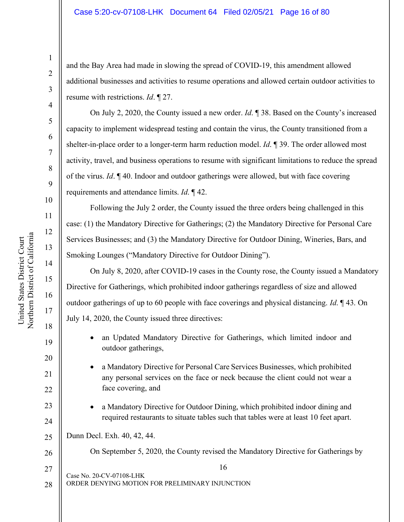#### Case 5:20-cv-07108-LHK Document 64 Filed 02/05/21 Page 16 of 80

and the Bay Area had made in slowing the spread of COVID-19, this amendment allowed additional businesses and activities to resume operations and allowed certain outdoor activities to resume with restrictions. *Id*. ¶ 27.

On July 2, 2020, the County issued a new order. *Id*. ¶ 38. Based on the County's increased capacity to implement widespread testing and contain the virus, the County transitioned from a shelter-in-place order to a longer-term harm reduction model. *Id*. ¶ 39. The order allowed most activity, travel, and business operations to resume with significant limitations to reduce the spread of the virus. *Id*. ¶ 40. Indoor and outdoor gatherings were allowed, but with face covering requirements and attendance limits. *Id*. ¶ 42.

Following the July 2 order, the County issued the three orders being challenged in this case: (1) the Mandatory Directive for Gatherings; (2) the Mandatory Directive for Personal Care Services Businesses; and (3) the Mandatory Directive for Outdoor Dining, Wineries, Bars, and Smoking Lounges ("Mandatory Directive for Outdoor Dining").

On July 8, 2020, after COVID-19 cases in the County rose, the County issued a Mandatory Directive for Gatherings, which prohibited indoor gatherings regardless of size and allowed outdoor gatherings of up to 60 people with face coverings and physical distancing. *Id*. ¶ 43. On July 14, 2020, the County issued three directives:

- an Updated Mandatory Directive for Gatherings, which limited indoor and outdoor gatherings,
- a Mandatory Directive for Personal Care Services Businesses, which prohibited any personal services on the face or neck because the client could not wear a face covering, and
- a Mandatory Directive for Outdoor Dining, which prohibited indoor dining and required restaurants to situate tables such that tables were at least 10 feet apart.

25 Dunn Decl. Exh. 40, 42, 44.

On September 5, 2020, the County revised the Mandatory Directive for Gatherings by

16 Case No. 20-CV-07108-LHK ORDER DENYING MOTION FOR PRELIMINARY INJUNCTION 27 28

19

20

21

22

23

24

26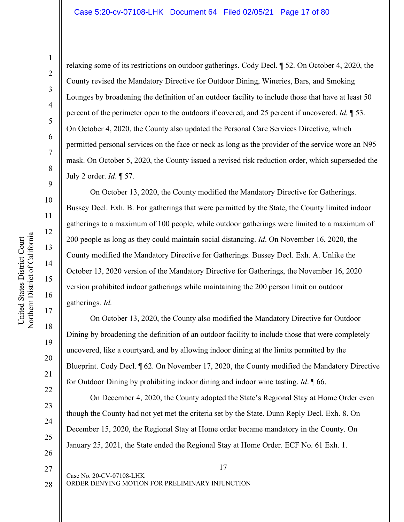13

14

15

16

17

18

19

20

21

22

23

24

25

26

relaxing some of its restrictions on outdoor gatherings. Cody Decl. ¶ 52. On October 4, 2020, the County revised the Mandatory Directive for Outdoor Dining, Wineries, Bars, and Smoking Lounges by broadening the definition of an outdoor facility to include those that have at least 50 percent of the perimeter open to the outdoors if covered, and 25 percent if uncovered. *Id*. ¶ 53. On October 4, 2020, the County also updated the Personal Care Services Directive, which permitted personal services on the face or neck as long as the provider of the service wore an N95 mask. On October 5, 2020, the County issued a revised risk reduction order, which superseded the July 2 order. *Id*. ¶ 57.

On October 13, 2020, the County modified the Mandatory Directive for Gatherings. Bussey Decl. Exh. B. For gatherings that were permitted by the State, the County limited indoor gatherings to a maximum of 100 people, while outdoor gatherings were limited to a maximum of 200 people as long as they could maintain social distancing. *Id*. On November 16, 2020, the County modified the Mandatory Directive for Gatherings. Bussey Decl. Exh. A. Unlike the October 13, 2020 version of the Mandatory Directive for Gatherings, the November 16, 2020 version prohibited indoor gatherings while maintaining the 200 person limit on outdoor gatherings. *Id*.

On October 13, 2020, the County also modified the Mandatory Directive for Outdoor Dining by broadening the definition of an outdoor facility to include those that were completely uncovered, like a courtyard, and by allowing indoor dining at the limits permitted by the Blueprint. Cody Decl. ¶ 62. On November 17, 2020, the County modified the Mandatory Directive for Outdoor Dining by prohibiting indoor dining and indoor wine tasting. *Id*. ¶ 66.

On December 4, 2020, the County adopted the State's Regional Stay at Home Order even though the County had not yet met the criteria set by the State. Dunn Reply Decl. Exh. 8. On December 15, 2020, the Regional Stay at Home order became mandatory in the County. On January 25, 2021, the State ended the Regional Stay at Home Order. ECF No. 61 Exh. 1.

27 28 17

ORDER DENYING MOTION FOR PRELIMINARY INJUNCTION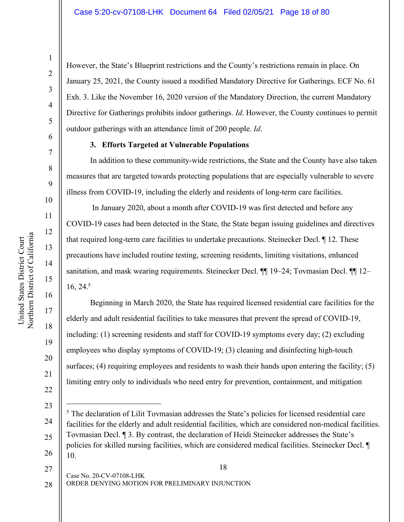However, the State's Blueprint restrictions and the County's restrictions remain in place. On January 25, 2021, the County issued a modified Mandatory Directive for Gatherings. ECF No. 61 Exh. 3. Like the November 16, 2020 version of the Mandatory Direction, the current Mandatory Directive for Gatherings prohibits indoor gatherings. *Id*. However, the County continues to permit outdoor gatherings with an attendance limit of 200 people. *Id*.

#### **3. Efforts Targeted at Vulnerable Populations**

In addition to these community-wide restrictions, the State and the County have also taken measures that are targeted towards protecting populations that are especially vulnerable to severe illness from COVID-19, including the elderly and residents of long-term care facilities.

In January 2020, about a month after COVID-19 was first detected and before any COVID-19 cases had been detected in the State, the State began issuing guidelines and directives that required long-term care facilities to undertake precautions. Steinecker Decl. ¶ 12. These precautions have included routine testing, screening residents, limiting visitations, enhanced sanitation, and mask wearing requirements. Steinecker Decl. ¶¶ 19–24; Tovmasian Decl. ¶¶ 12– 16, 24.5

Beginning in March 2020, the State has required licensed residential care facilities for the elderly and adult residential facilities to take measures that prevent the spread of COVID-19, including: (1) screening residents and staff for COVID-19 symptoms every day; (2) excluding employees who display symptoms of COVID-19; (3) cleaning and disinfecting high-touch surfaces; (4) requiring employees and residents to wash their hands upon entering the facility; (5) limiting entry only to individuals who need entry for prevention, containment, and mitigation

18

Case No. 20-CV-07108-LHK ORDER DENYING MOTION FOR PRELIMINARY INJUNCTION 27

1

2

3

4

5

6

7

8

9

10

11

12

13

14

15

16

17

18

19

20

21

<sup>23</sup> 24 25 26 5 The declaration of Lilit Tovmasian addresses the State's policies for licensed residential care facilities for the elderly and adult residential facilities, which are considered non-medical facilities. Tovmasian Decl. ¶ 3. By contrast, the declaration of Heidi Steinecker addresses the State's policies for skilled nursing facilities, which are considered medical facilities. Steinecker Decl. ¶ 10.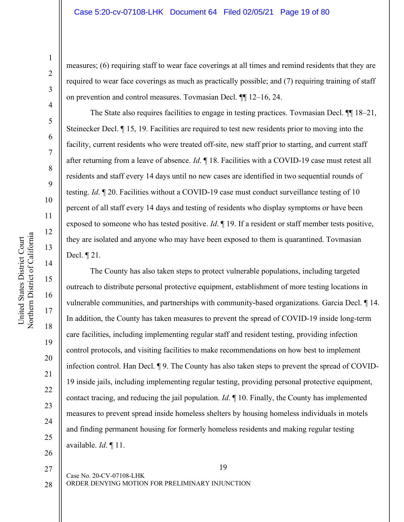measures; (6) requiring staff to wear face coverings at all times and remind residents that they are required to wear face coverings as much as practically possible; and (7) requiring training of staff on prevention and control measures. Tovmasian Decl. ¶¶ 12–16, 24.

The State also requires facilities to engage in testing practices. Tovmasian Decl. ¶¶ 18–21, Steinecker Decl. ¶ 15, 19. Facilities are required to test new residents prior to moving into the facility, current residents who were treated off-site, new staff prior to starting, and current staff after returning from a leave of absence. *Id*. ¶ 18. Facilities with a COVID-19 case must retest all residents and staff every 14 days until no new cases are identified in two sequential rounds of testing. *Id*. ¶ 20. Facilities without a COVID-19 case must conduct surveillance testing of 10 percent of all staff every 14 days and testing of residents who display symptoms or have been exposed to someone who has tested positive. *Id*. ¶ 19. If a resident or staff member tests positive, they are isolated and anyone who may have been exposed to them is quarantined. Tovmasian Decl. ¶ 21.

The County has also taken steps to protect vulnerable populations, including targeted outreach to distribute personal protective equipment, establishment of more testing locations in vulnerable communities, and partnerships with community-based organizations. Garcia Decl. ¶ 14. In addition, the County has taken measures to prevent the spread of COVID-19 inside long-term care facilities, including implementing regular staff and resident testing, providing infection control protocols, and visiting facilities to make recommendations on how best to implement infection control. Han Decl. ¶ 9. The County has also taken steps to prevent the spread of COVID-19 inside jails, including implementing regular testing, providing personal protective equipment, contact tracing, and reducing the jail population. *Id*. ¶ 10. Finally, the County has implemented measures to prevent spread inside homeless shelters by housing homeless individuals in motels and finding permanent housing for formerly homeless residents and making regular testing available. *Id*. ¶ 11.

United States District Court Northern District of California

Northern District of California United States District Court

1

2

3

28

20

21

22

23

24

25

19

ORDER DENYING MOTION FOR PRELIMINARY INJUNCTION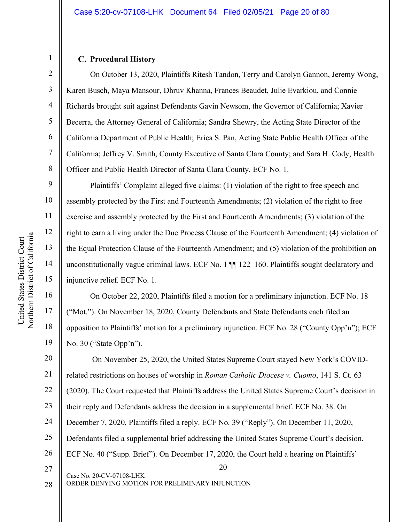## **Procedural History**

1

2

3

4

5

6

7

8

9

10

11

12

13

14

15

16

17

18

19

On October 13, 2020, Plaintiffs Ritesh Tandon, Terry and Carolyn Gannon, Jeremy Wong, Karen Busch, Maya Mansour, Dhruv Khanna, Frances Beaudet, Julie Evarkiou, and Connie Richards brought suit against Defendants Gavin Newsom, the Governor of California; Xavier Becerra, the Attorney General of California; Sandra Shewry, the Acting State Director of the California Department of Public Health; Erica S. Pan, Acting State Public Health Officer of the California; Jeffrey V. Smith, County Executive of Santa Clara County; and Sara H. Cody, Health Officer and Public Health Director of Santa Clara County. ECF No. 1.

Plaintiffs' Complaint alleged five claims: (1) violation of the right to free speech and assembly protected by the First and Fourteenth Amendments; (2) violation of the right to free exercise and assembly protected by the First and Fourteenth Amendments; (3) violation of the right to earn a living under the Due Process Clause of the Fourteenth Amendment; (4) violation of the Equal Protection Clause of the Fourteenth Amendment; and (5) violation of the prohibition on unconstitutionally vague criminal laws. ECF No. 1 ¶¶ 122–160. Plaintiffs sought declaratory and injunctive relief. ECF No. 1.

On October 22, 2020, Plaintiffs filed a motion for a preliminary injunction. ECF No. 18 ("Mot."). On November 18, 2020, County Defendants and State Defendants each filed an opposition to Plaintiffs' motion for a preliminary injunction. ECF No. 28 ("County Opp'n"); ECF No. 30 ("State Opp'n").

20 Case No. 20-CV-07108-LHK 20 21 22 23 24 25 26 27 On November 25, 2020, the United States Supreme Court stayed New York's COVIDrelated restrictions on houses of worship in *Roman Catholic Diocese v. Cuomo*, 141 S. Ct. 63 (2020). The Court requested that Plaintiffs address the United States Supreme Court's decision in their reply and Defendants address the decision in a supplemental brief. ECF No. 38. On December 7, 2020, Plaintiffs filed a reply. ECF No. 39 ("Reply"). On December 11, 2020, Defendants filed a supplemental brief addressing the United States Supreme Court's decision. ECF No. 40 ("Supp. Brief"). On December 17, 2020, the Court held a hearing on Plaintiffs'

ORDER DENYING MOTION FOR PRELIMINARY INJUNCTION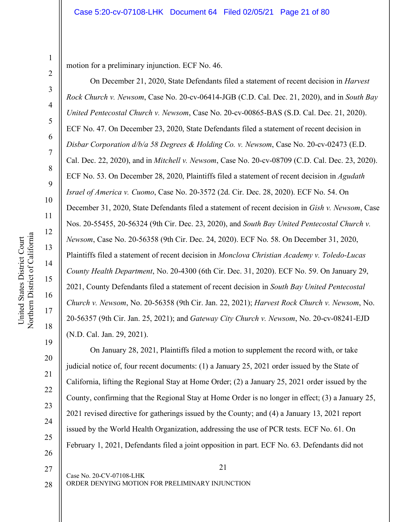motion for a preliminary injunction. ECF No. 46.

On December 21, 2020, State Defendants filed a statement of recent decision in *Harvest Rock Church v. Newsom*, Case No. 20-cv-06414-JGB (C.D. Cal. Dec. 21, 2020), and in *South Bay United Pentecostal Church v. Newsom*, Case No. 20-cv-00865-BAS (S.D. Cal. Dec. 21, 2020). ECF No. 47. On December 23, 2020, State Defendants filed a statement of recent decision in *Disbar Corporation d/b/a 58 Degrees & Holding Co. v. Newsom*, Case No. 20-cv-02473 (E.D. Cal. Dec. 22, 2020), and in *Mitchell v. Newsom*, Case No. 20-cv-08709 (C.D. Cal. Dec. 23, 2020). ECF No. 53. On December 28, 2020, Plaintiffs filed a statement of recent decision in *Agudath Israel of America v. Cuomo*, Case No. 20-3572 (2d. Cir. Dec. 28, 2020). ECF No. 54. On December 31, 2020, State Defendants filed a statement of recent decision in *Gish v. Newsom*, Case Nos. 20-55455, 20-56324 (9th Cir. Dec. 23, 2020), and *South Bay United Pentecostal Church v. Newsom*, Case No. 20-56358 (9th Cir. Dec. 24, 2020). ECF No. 58. On December 31, 2020, Plaintiffs filed a statement of recent decision in *Monclova Christian Academy v. Toledo-Lucas County Health Department*, No. 20-4300 (6th Cir. Dec. 31, 2020). ECF No. 59. On January 29, 2021, County Defendants filed a statement of recent decision in *South Bay United Pentecostal Church v. Newsom*, No. 20-56358 (9th Cir. Jan. 22, 2021); *Harvest Rock Church v. Newsom*, No. 20-56357 (9th Cir. Jan. 25, 2021); and *Gateway City Church v. Newsom*, No. 20-cv-08241-EJD (N.D. Cal. Jan. 29, 2021).

On January 28, 2021, Plaintiffs filed a motion to supplement the record with, or take judicial notice of, four recent documents: (1) a January 25, 2021 order issued by the State of California, lifting the Regional Stay at Home Order; (2) a January 25, 2021 order issued by the County, confirming that the Regional Stay at Home Order is no longer in effect; (3) a January 25, 2021 revised directive for gatherings issued by the County; and (4) a January 13, 2021 report issued by the World Health Organization, addressing the use of PCR tests. ECF No. 61. On February 1, 2021, Defendants filed a joint opposition in part. ECF No. 63. Defendants did not

27

28

1

2

3

4

5

6

7

8

9

10

11

12

13

14

15

16

17

18

19

20

21

22

23

24

25

26

21 Case No. 20-CV-07108-LHK ORDER DENYING MOTION FOR PRELIMINARY INJUNCTION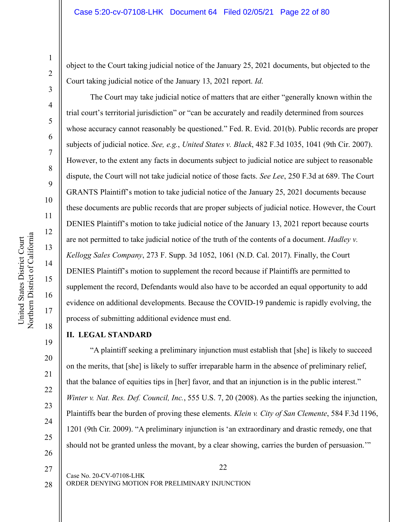object to the Court taking judicial notice of the January 25, 2021 documents, but objected to the Court taking judicial notice of the January 13, 2021 report. *Id*.

The Court may take judicial notice of matters that are either "generally known within the trial court's territorial jurisdiction" or "can be accurately and readily determined from sources whose accuracy cannot reasonably be questioned." Fed. R. Evid. 201(b). Public records are proper subjects of judicial notice. *See, e.g.*, *United States v. Black*, 482 F.3d 1035, 1041 (9th Cir. 2007). However, to the extent any facts in documents subject to judicial notice are subject to reasonable dispute, the Court will not take judicial notice of those facts. *See Lee*, 250 F.3d at 689. The Court GRANTS Plaintiff's motion to take judicial notice of the January 25, 2021 documents because these documents are public records that are proper subjects of judicial notice. However, the Court DENIES Plaintiff's motion to take judicial notice of the January 13, 2021 report because courts are not permitted to take judicial notice of the truth of the contents of a document. *Hadley v. Kellogg Sales Company*, 273 F. Supp. 3d 1052, 1061 (N.D. Cal. 2017). Finally, the Court DENIES Plaintiff's motion to supplement the record because if Plaintiffs are permitted to supplement the record, Defendants would also have to be accorded an equal opportunity to add evidence on additional developments. Because the COVID-19 pandemic is rapidly evolving, the process of submitting additional evidence must end.

## **II. LEGAL STANDARD**

"A plaintiff seeking a preliminary injunction must establish that [she] is likely to succeed on the merits, that [she] is likely to suffer irreparable harm in the absence of preliminary relief, that the balance of equities tips in [her] favor, and that an injunction is in the public interest." *Winter v. Nat. Res. Def. Council, Inc.*, 555 U.S. 7, 20 (2008). As the parties seeking the injunction, Plaintiffs bear the burden of proving these elements. *Klein v. City of San Clemente*, 584 F.3d 1196, 1201 (9th Cir. 2009). "A preliminary injunction is 'an extraordinary and drastic remedy, one that should not be granted unless the movant, by a clear showing, carries the burden of persuasion.'"

27

28

1

2

3

4

5

6

7

8

9

10

11

12

13

14

15

16

17

18

19

20

21

22

23

24

25

26

ORDER DENYING MOTION FOR PRELIMINARY INJUNCTION

Case No. 20-CV-07108-LHK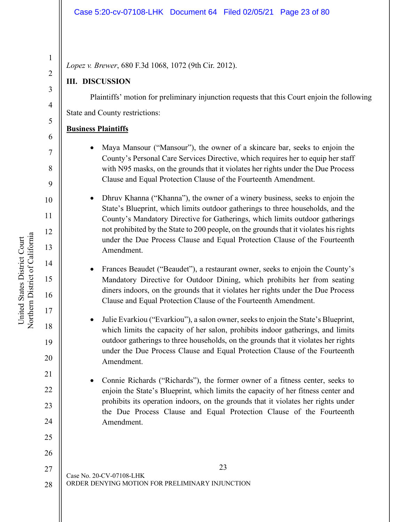### Case 5:20-cv-07108-LHK Document 64 Filed 02/05/21 Page 23 of 80

*Lopez v. Brewer*, 680 F.3d 1068, 1072 (9th Cir. 2012).

## **III. DISCUSSION**

Plaintiffs' motion for preliminary injunction requests that this Court enjoin the following State and County restrictions:

## **Business Plaintiffs**

- Maya Mansour ("Mansour"), the owner of a skincare bar, seeks to enjoin the County's Personal Care Services Directive, which requires her to equip her staff with N95 masks, on the grounds that it violates her rights under the Due Process Clause and Equal Protection Clause of the Fourteenth Amendment.
- Dhruv Khanna ("Khanna"), the owner of a winery business, seeks to enjoin the State's Blueprint, which limits outdoor gatherings to three households, and the County's Mandatory Directive for Gatherings, which limits outdoor gatherings not prohibited by the State to 200 people, on the grounds that it violates his rights under the Due Process Clause and Equal Protection Clause of the Fourteenth Amendment.
	- Frances Beaudet ("Beaudet"), a restaurant owner, seeks to enjoin the County's Mandatory Directive for Outdoor Dining, which prohibits her from seating diners indoors, on the grounds that it violates her rights under the Due Process Clause and Equal Protection Clause of the Fourteenth Amendment.
	- Julie Evarkiou ("Evarkiou"), a salon owner, seeks to enjoin the State's Blueprint, which limits the capacity of her salon, prohibits indoor gatherings, and limits outdoor gatherings to three households, on the grounds that it violates her rights under the Due Process Clause and Equal Protection Clause of the Fourteenth Amendment.
- Connie Richards ("Richards"), the former owner of a fitness center, seeks to enjoin the State's Blueprint, which limits the capacity of her fitness center and prohibits its operation indoors, on the grounds that it violates her rights under the Due Process Clause and Equal Protection Clause of the Fourteenth Amendment.

23 Case No. 20-CV-07108-LHK ORDER DENYING MOTION FOR PRELIMINARY INJUNCTION 27 28

United States District Court Northern District of California

Northern District of California United States District Court

20

21

22

23

24

25

26

1

2

3

4

5

6

7

8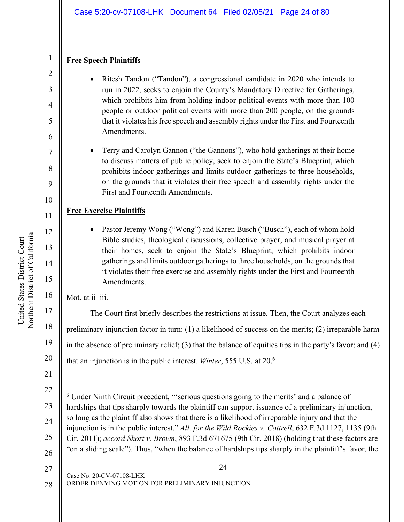## **Free Speech Plaintiffs**

1

2

3

4

5

6

7

8

9

10

11

12

13

14

15

16

17

18

19

- Ritesh Tandon ("Tandon"), a congressional candidate in 2020 who intends to run in 2022, seeks to enjoin the County's Mandatory Directive for Gatherings, which prohibits him from holding indoor political events with more than 100 people or outdoor political events with more than 200 people, on the grounds that it violates his free speech and assembly rights under the First and Fourteenth Amendments.
- Terry and Carolyn Gannon ("the Gannons"), who hold gatherings at their home to discuss matters of public policy, seek to enjoin the State's Blueprint, which prohibits indoor gatherings and limits outdoor gatherings to three households, on the grounds that it violates their free speech and assembly rights under the First and Fourteenth Amendments.

# **Free Exercise Plaintiffs**

Pastor Jeremy Wong ("Wong") and Karen Busch ("Busch"), each of whom hold Bible studies, theological discussions, collective prayer, and musical prayer at their homes, seek to enjoin the State's Blueprint, which prohibits indoor gatherings and limits outdoor gatherings to three households, on the grounds that it violates their free exercise and assembly rights under the First and Fourteenth Amendments.

Mot. at ii-iii.

20 The Court first briefly describes the restrictions at issue. Then, the Court analyzes each preliminary injunction factor in turn: (1) a likelihood of success on the merits; (2) irreparable harm in the absence of preliminary relief; (3) that the balance of equities tips in the party's favor; and (4) that an injunction is in the public interest. *Winter*, 555 U.S. at 20.6

21

 $\overline{a}$ 

24 Case No. 20-CV-07108-LHK ORDER DENYING MOTION FOR PRELIMINARY INJUNCTION 27 28

<sup>22</sup> 23 24 25 26 <sup>6</sup> Under Ninth Circuit precedent, "'serious questions going to the merits' and a balance of hardships that tips sharply towards the plaintiff can support issuance of a preliminary injunction, so long as the plaintiff also shows that there is a likelihood of irreparable injury and that the injunction is in the public interest." *All. for the Wild Rockies v. Cottrell*, 632 F.3d 1127, 1135 (9th Cir. 2011); *accord Short v. Brown*, 893 F.3d 671675 (9th Cir. 2018) (holding that these factors are "on a sliding scale"). Thus, "when the balance of hardships tips sharply in the plaintiff's favor, the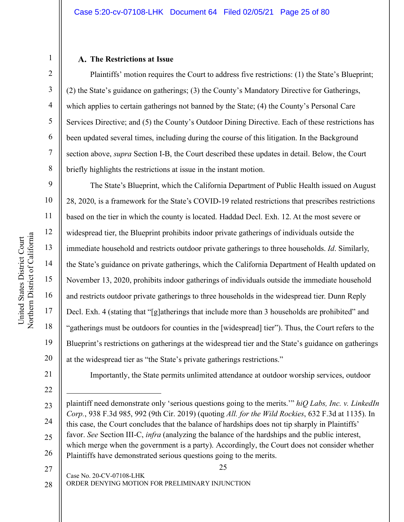## **The Restrictions at Issue**

Plaintiffs' motion requires the Court to address five restrictions: (1) the State's Blueprint; (2) the State's guidance on gatherings; (3) the County's Mandatory Directive for Gatherings, which applies to certain gatherings not banned by the State; (4) the County's Personal Care Services Directive; and (5) the County's Outdoor Dining Directive. Each of these restrictions has been updated several times, including during the course of this litigation. In the Background section above, *supra* Section I-B, the Court described these updates in detail. Below, the Court briefly highlights the restrictions at issue in the instant motion.

The State's Blueprint, which the California Department of Public Health issued on August 28, 2020, is a framework for the State's COVID-19 related restrictions that prescribes restrictions based on the tier in which the county is located. Haddad Decl. Exh. 12. At the most severe or widespread tier, the Blueprint prohibits indoor private gatherings of individuals outside the immediate household and restricts outdoor private gatherings to three households. *Id*. Similarly, the State's guidance on private gatherings, which the California Department of Health updated on November 13, 2020, prohibits indoor gatherings of individuals outside the immediate household and restricts outdoor private gatherings to three households in the widespread tier. Dunn Reply Decl. Exh. 4 (stating that "[g]atherings that include more than 3 households are prohibited" and "gatherings must be outdoors for counties in the [widespread] tier"). Thus, the Court refers to the Blueprint's restrictions on gatherings at the widespread tier and the State's guidance on gatherings at the widespread tier as "the State's private gatherings restrictions."

21

 $\overline{a}$ 

22

1

2

3

4

5

6

7

8

9

10

11

12

13

14

15

16

17

18

19

20

Importantly, the State permits unlimited attendance at outdoor worship services, outdoor

25

- 27
- 28

ORDER DENYING MOTION FOR PRELIMINARY INJUNCTION

<sup>23</sup> 24 25 26 plaintiff need demonstrate only 'serious questions going to the merits.'" *hiQ Labs, Inc. v. LinkedIn Corp.*, 938 F.3d 985, 992 (9th Cir. 2019) (quoting *All. for the Wild Rockies*, 632 F.3d at 1135). In this case, the Court concludes that the balance of hardships does not tip sharply in Plaintiffs' favor. *See* Section III-C, *infra* (analyzing the balance of the hardships and the public interest, which merge when the government is a party). Accordingly, the Court does not consider whether Plaintiffs have demonstrated serious questions going to the merits.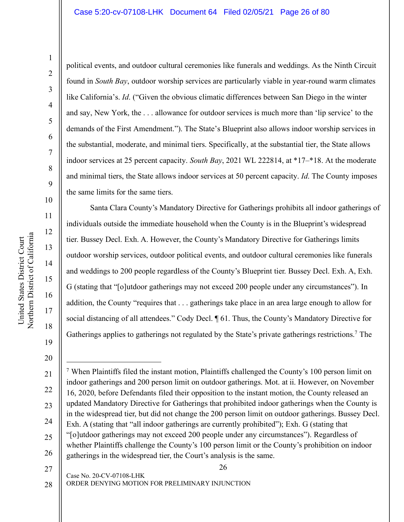#### Case 5:20-cv-07108-LHK Document 64 Filed 02/05/21 Page 26 of 80

1

political events, and outdoor cultural ceremonies like funerals and weddings. As the Ninth Circuit found in *South Bay*, outdoor worship services are particularly viable in year-round warm climates like California's. *Id*. ("Given the obvious climatic differences between San Diego in the winter and say, New York, the . . . allowance for outdoor services is much more than 'lip service' to the demands of the First Amendment."). The State's Blueprint also allows indoor worship services in the substantial, moderate, and minimal tiers. Specifically, at the substantial tier, the State allows indoor services at 25 percent capacity. *South Bay*, 2021 WL 222814, at \*17–\*18. At the moderate and minimal tiers, the State allows indoor services at 50 percent capacity. *Id*. The County imposes the same limits for the same tiers.

Santa Clara County's Mandatory Directive for Gatherings prohibits all indoor gatherings of individuals outside the immediate household when the County is in the Blueprint's widespread tier. Bussey Decl. Exh. A. However, the County's Mandatory Directive for Gatherings limits outdoor worship services, outdoor political events, and outdoor cultural ceremonies like funerals and weddings to 200 people regardless of the County's Blueprint tier. Bussey Decl. Exh. A, Exh. G (stating that "[o]utdoor gatherings may not exceed 200 people under any circumstances"). In addition, the County "requires that . . . gatherings take place in an area large enough to allow for social distancing of all attendees." Cody Decl. ¶ 61. Thus, the County's Mandatory Directive for Gatherings applies to gatherings not regulated by the State's private gatherings restrictions.<sup>7</sup> The

27

19

United States District Court Northern District of California

Northern District of California United States District Court

20

 $\overline{a}$ 

21

24

25

28

26

Case No. 20-CV-07108-LHK ORDER DENYING MOTION FOR PRELIMINARY INJUNCTION

<sup>22</sup> 23 26 <sup>7</sup> When Plaintiffs filed the instant motion, Plaintiffs challenged the County's 100 person limit on indoor gatherings and 200 person limit on outdoor gatherings. Mot. at ii. However, on November 16, 2020, before Defendants filed their opposition to the instant motion, the County released an updated Mandatory Directive for Gatherings that prohibited indoor gatherings when the County is in the widespread tier, but did not change the 200 person limit on outdoor gatherings. Bussey Decl. Exh. A (stating that "all indoor gatherings are currently prohibited"); Exh. G (stating that "[o]utdoor gatherings may not exceed 200 people under any circumstances"). Regardless of whether Plaintiffs challenge the County's 100 person limit or the County's prohibition on indoor gatherings in the widespread tier, the Court's analysis is the same.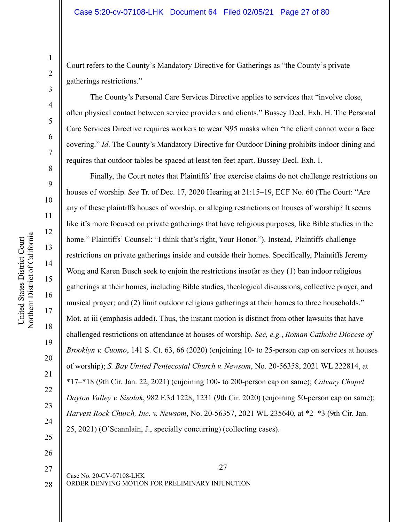Court refers to the County's Mandatory Directive for Gatherings as "the County's private gatherings restrictions."

The County's Personal Care Services Directive applies to services that "involve close, often physical contact between service providers and clients." Bussey Decl. Exh. H. The Personal Care Services Directive requires workers to wear N95 masks when "the client cannot wear a face covering." *Id*. The County's Mandatory Directive for Outdoor Dining prohibits indoor dining and requires that outdoor tables be spaced at least ten feet apart. Bussey Decl. Exh. I.

Finally, the Court notes that Plaintiffs' free exercise claims do not challenge restrictions on houses of worship. *See* Tr. of Dec. 17, 2020 Hearing at 21:15–19, ECF No. 60 (The Court: "Are any of these plaintiffs houses of worship, or alleging restrictions on houses of worship? It seems like it's more focused on private gatherings that have religious purposes, like Bible studies in the home." Plaintiffs' Counsel: "I think that's right, Your Honor."). Instead, Plaintiffs challenge restrictions on private gatherings inside and outside their homes. Specifically, Plaintiffs Jeremy Wong and Karen Busch seek to enjoin the restrictions insofar as they (1) ban indoor religious gatherings at their homes, including Bible studies, theological discussions, collective prayer, and musical prayer; and (2) limit outdoor religious gatherings at their homes to three households." Mot. at iii (emphasis added). Thus, the instant motion is distinct from other lawsuits that have challenged restrictions on attendance at houses of worship. *See, e.g.*, *Roman Catholic Diocese of Brooklyn v. Cuomo*, 141 S. Ct. 63, 66 (2020) (enjoining 10- to 25-person cap on services at houses of worship); *S. Bay United Pentecostal Church v. Newsom*, No. 20-56358, 2021 WL 222814, at \*17–\*18 (9th Cir. Jan. 22, 2021) (enjoining 100- to 200-person cap on same); *Calvary Chapel Dayton Valley v. Sisolak*, 982 F.3d 1228, 1231 (9th Cir. 2020) (enjoining 50-person cap on same); *Harvest Rock Church, Inc. v. Newsom*, No. 20-56357, 2021 WL 235640, at \*2–\*3 (9th Cir. Jan. 25, 2021) (O'Scannlain, J., specially concurring) (collecting cases).

27 Case No. 20-CV-07108-LHK ORDER DENYING MOTION FOR PRELIMINARY INJUNCTION

1

2

3

4

5

6

7

8

9

10

11

12

13

14

15

16

17

18

19

20

21

22

23

24

25

26

27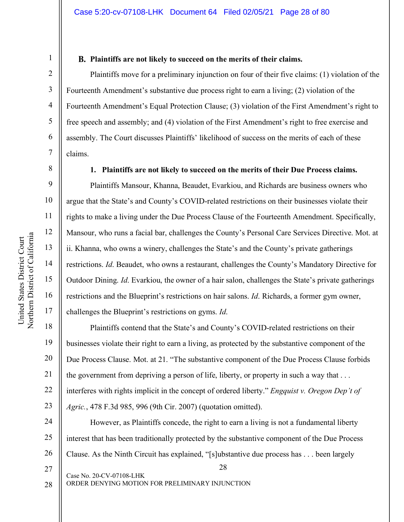8

9

10

11

12

13

14

15

16

17

1

## **Plaintiffs are not likely to succeed on the merits of their claims.**

Plaintiffs move for a preliminary injunction on four of their five claims: (1) violation of the Fourteenth Amendment's substantive due process right to earn a living; (2) violation of the Fourteenth Amendment's Equal Protection Clause; (3) violation of the First Amendment's right to free speech and assembly; and (4) violation of the First Amendment's right to free exercise and assembly. The Court discusses Plaintiffs' likelihood of success on the merits of each of these claims.

**1. Plaintiffs are not likely to succeed on the merits of their Due Process claims.** 

Plaintiffs Mansour, Khanna, Beaudet, Evarkiou, and Richards are business owners who argue that the State's and County's COVID-related restrictions on their businesses violate their rights to make a living under the Due Process Clause of the Fourteenth Amendment. Specifically, Mansour, who runs a facial bar, challenges the County's Personal Care Services Directive. Mot. at ii. Khanna, who owns a winery, challenges the State's and the County's private gatherings restrictions. *Id*. Beaudet, who owns a restaurant, challenges the County's Mandatory Directive for Outdoor Dining. *Id*. Evarkiou, the owner of a hair salon, challenges the State's private gatherings restrictions and the Blueprint's restrictions on hair salons. *Id*. Richards, a former gym owner, challenges the Blueprint's restrictions on gyms. *Id*.

18 19 20 21 22 23 Plaintiffs contend that the State's and County's COVID-related restrictions on their businesses violate their right to earn a living, as protected by the substantive component of the Due Process Clause. Mot. at 21. "The substantive component of the Due Process Clause forbids the government from depriving a person of life, liberty, or property in such a way that . . . interferes with rights implicit in the concept of ordered liberty." *Engquist v. Oregon Dep't of Agric.*, 478 F.3d 985, 996 (9th Cir. 2007) (quotation omitted).

28 24 25 26 However, as Plaintiffs concede, the right to earn a living is not a fundamental liberty interest that has been traditionally protected by the substantive component of the Due Process Clause. As the Ninth Circuit has explained, "[s]ubstantive due process has . . . been largely

27 28

ORDER DENYING MOTION FOR PRELIMINARY INJUNCTION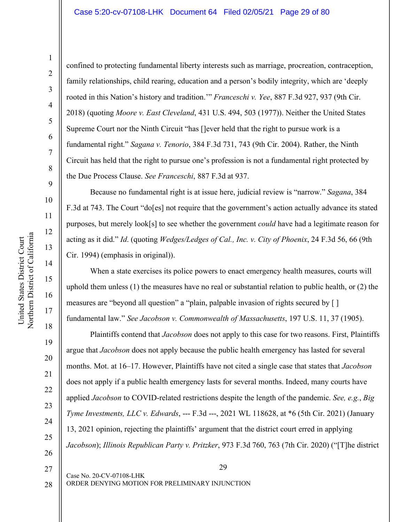confined to protecting fundamental liberty interests such as marriage, procreation, contraception, family relationships, child rearing, education and a person's bodily integrity, which are 'deeply rooted in this Nation's history and tradition.'" *Franceschi v. Yee*, 887 F.3d 927, 937 (9th Cir. 2018) (quoting *Moore v. East Cleveland*, 431 U.S. 494, 503 (1977)). Neither the United States Supreme Court nor the Ninth Circuit "has []ever held that the right to pursue work is a fundamental right." *Sagana v. Tenorio*, 384 F.3d 731, 743 (9th Cir. 2004). Rather, the Ninth Circuit has held that the right to pursue one's profession is not a fundamental right protected by the Due Process Clause. *See Franceschi*, 887 F.3d at 937.

Because no fundamental right is at issue here, judicial review is "narrow." *Sagana*, 384 F.3d at 743. The Court "do[es] not require that the government's action actually advance its stated purposes, but merely look[s] to see whether the government *could* have had a legitimate reason for acting as it did." *Id*. (quoting *Wedges/Ledges of Cal., Inc. v. City of Phoenix*, 24 F.3d 56, 66 (9th Cir. 1994) (emphasis in original)).

When a state exercises its police powers to enact emergency health measures, courts will uphold them unless (1) the measures have no real or substantial relation to public health, or (2) the measures are "beyond all question" a "plain, palpable invasion of rights secured by [ ] fundamental law." *See Jacobson v. Commonwealth of Massachusetts*, 197 U.S. 11, 37 (1905).

Plaintiffs contend that *Jacobson* does not apply to this case for two reasons. First, Plaintiffs argue that *Jacobson* does not apply because the public health emergency has lasted for several months. Mot. at 16–17. However, Plaintiffs have not cited a single case that states that *Jacobson* does not apply if a public health emergency lasts for several months. Indeed, many courts have applied *Jacobson* to COVID-related restrictions despite the length of the pandemic. *See, e.g.*, *Big Tyme Investments, LLC v. Edwards*, --- F.3d ---, 2021 WL 118628, at \*6 (5th Cir. 2021) (January 13, 2021 opinion, rejecting the plaintiffs' argument that the district court erred in applying *Jacobson*); *Illinois Republican Party v. Pritzker*, 973 F.3d 760, 763 (7th Cir. 2020) ("[T]he district

29

Case No. 20-CV-07108-LHK ORDER DENYING MOTION FOR PRELIMINARY INJUNCTION

18

19

20

21

22

23

24

25

26

27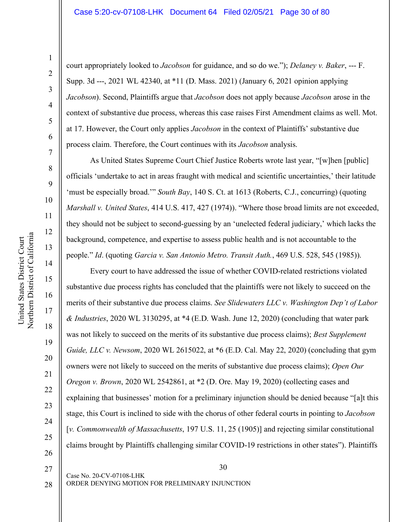court appropriately looked to *Jacobson* for guidance, and so do we."); *Delaney v. Baker*, --- F. Supp. 3d ---, 2021 WL 42340, at \*11 (D. Mass. 2021) (January 6, 2021 opinion applying *Jacobson*). Second, Plaintiffs argue that *Jacobson* does not apply because *Jacobson* arose in the context of substantive due process, whereas this case raises First Amendment claims as well. Mot. at 17. However, the Court only applies *Jacobson* in the context of Plaintiffs' substantive due process claim. Therefore, the Court continues with its *Jacobson* analysis.

As United States Supreme Court Chief Justice Roberts wrote last year, "[w]hen [public] officials 'undertake to act in areas fraught with medical and scientific uncertainties,' their latitude 'must be especially broad.'" *South Bay*, 140 S. Ct. at 1613 (Roberts, C.J., concurring) (quoting *Marshall v. United States*, 414 U.S. 417, 427 (1974)). "Where those broad limits are not exceeded, they should not be subject to second-guessing by an 'unelected federal judiciary,' which lacks the background, competence, and expertise to assess public health and is not accountable to the people." *Id*. (quoting *Garcia v. San Antonio Metro. Transit Auth.*, 469 U.S. 528, 545 (1985)).

Every court to have addressed the issue of whether COVID-related restrictions violated substantive due process rights has concluded that the plaintiffs were not likely to succeed on the merits of their substantive due process claims. *See Slidewaters LLC v. Washington Dep't of Labor & Industries*, 2020 WL 3130295, at \*4 (E.D. Wash. June 12, 2020) (concluding that water park was not likely to succeed on the merits of its substantive due process claims); *Best Supplement Guide, LLC v. Newsom*, 2020 WL 2615022, at \*6 (E.D. Cal. May 22, 2020) (concluding that gym owners were not likely to succeed on the merits of substantive due process claims); *Open Our Oregon v. Brown*, 2020 WL 2542861, at \*2 (D. Ore. May 19, 2020) (collecting cases and explaining that businesses' motion for a preliminary injunction should be denied because "[a]t this stage, this Court is inclined to side with the chorus of other federal courts in pointing to *Jacobson* [*v. Commonwealth of Massachusetts*, 197 U.S. 11, 25 (1905)] and rejecting similar constitutional claims brought by Plaintiffs challenging similar COVID-19 restrictions in other states"). Plaintiffs

28

20

21

22

23

24

25

ORDER DENYING MOTION FOR PRELIMINARY INJUNCTION

<sup>26</sup> 27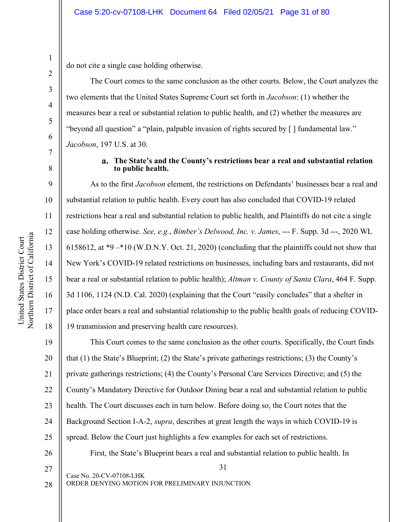do not cite a single case holding otherwise.

The Court comes to the same conclusion as the other courts. Below, the Court analyzes the two elements that the United States Supreme Court set forth in *Jacobson*: (1) whether the measures bear a real or substantial relation to public health, and (2) whether the measures are "beyond all question" a "plain, palpable invasion of rights secured by [ ] fundamental law." *Jacobson*, 197 U.S. at 30.

## **The State's and the County's restrictions bear a real and substantial relation to public health.**

As to the first *Jacobson* element, the restrictions on Defendants' businesses bear a real and substantial relation to public health. Every court has also concluded that COVID-19 related restrictions bear a real and substantial relation to public health, and Plaintiffs do not cite a single case holding otherwise. *See, e.g.*, *Bimber's Delwood, Inc. v. James*, --- F. Supp. 3d ---, 2020 WL 6158612, at \*9 –\*10 (W.D.N.Y. Oct. 21, 2020) (concluding that the plaintiffs could not show that New York's COVID-19 related restrictions on businesses, including bars and restaurants, did not bear a real or substantial relation to public health); *Altman v. County of Santa Clara*, 464 F. Supp. 3d 1106, 1124 (N.D. Cal. 2020) (explaining that the Court "easily concludes" that a shelter in place order bears a real and substantial relationship to the public health goals of reducing COVID-19 transmission and preserving health care resources).

19 20 21 22 23 24 25 This Court comes to the same conclusion as the other courts. Specifically, the Court finds that (1) the State's Blueprint; (2) the State's private gatherings restrictions; (3) the County's private gatherings restrictions; (4) the County's Personal Care Services Directive; and (5) the County's Mandatory Directive for Outdoor Dining bear a real and substantial relation to public health. The Court discusses each in turn below. Before doing so, the Court notes that the Background Section I-A-2, *supra*, describes at great length the ways in which COVID-19 is spread. Below the Court just highlights a few examples for each set of restrictions.

31

First, the State's Blueprint bears a real and substantial relation to public health. In

- 26
- 27 28

Case No. 20-CV-07108-LHK ORDER DENYING MOTION FOR PRELIMINARY INJUNCTION

1

2

3

4

5

6

7

8

9

10

11

12

13

14

15

16

17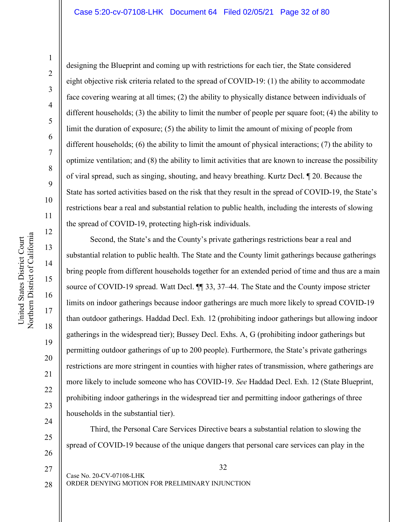20

21

22

23

24

25

26

designing the Blueprint and coming up with restrictions for each tier, the State considered eight objective risk criteria related to the spread of COVID-19: (1) the ability to accommodate face covering wearing at all times; (2) the ability to physically distance between individuals of different households; (3) the ability to limit the number of people per square foot; (4) the ability to limit the duration of exposure; (5) the ability to limit the amount of mixing of people from different households; (6) the ability to limit the amount of physical interactions; (7) the ability to optimize ventilation; and (8) the ability to limit activities that are known to increase the possibility of viral spread, such as singing, shouting, and heavy breathing. Kurtz Decl. ¶ 20. Because the State has sorted activities based on the risk that they result in the spread of COVID-19, the State's restrictions bear a real and substantial relation to public health, including the interests of slowing the spread of COVID-19, protecting high-risk individuals.

Second, the State's and the County's private gatherings restrictions bear a real and substantial relation to public health. The State and the County limit gatherings because gatherings bring people from different households together for an extended period of time and thus are a main source of COVID-19 spread. Watt Decl. ¶¶ 33, 37–44. The State and the County impose stricter limits on indoor gatherings because indoor gatherings are much more likely to spread COVID-19 than outdoor gatherings. Haddad Decl. Exh. 12 (prohibiting indoor gatherings but allowing indoor gatherings in the widespread tier); Bussey Decl. Exhs. A, G (prohibiting indoor gatherings but permitting outdoor gatherings of up to 200 people). Furthermore, the State's private gatherings restrictions are more stringent in counties with higher rates of transmission, where gatherings are more likely to include someone who has COVID-19. *See* Haddad Decl. Exh. 12 (State Blueprint, prohibiting indoor gatherings in the widespread tier and permitting indoor gatherings of three households in the substantial tier).

Third, the Personal Care Services Directive bears a substantial relation to slowing the spread of COVID-19 because of the unique dangers that personal care services can play in the

Northern District of California Northern District of California United States District Court United States District Court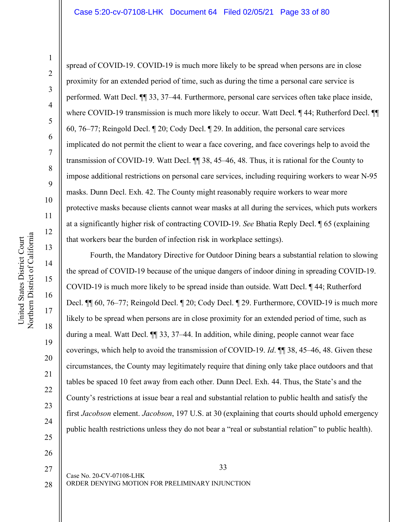spread of COVID-19. COVID-19 is much more likely to be spread when persons are in close

1

2 3 4 5 6 7 8 9 10 11 12 13 14 proximity for an extended period of time, such as during the time a personal care service is performed. Watt Decl. ¶¶ 33, 37–44. Furthermore, personal care services often take place inside, where COVID-19 transmission is much more likely to occur. Watt Decl.  $\P$ 44; Rutherford Decl.  $\P$ 60, 76–77; Reingold Decl. ¶ 20; Cody Decl. ¶ 29. In addition, the personal care services implicated do not permit the client to wear a face covering, and face coverings help to avoid the transmission of COVID-19. Watt Decl. ¶¶ 38, 45–46, 48. Thus, it is rational for the County to impose additional restrictions on personal care services, including requiring workers to wear N-95 masks. Dunn Decl. Exh. 42. The County might reasonably require workers to wear more protective masks because clients cannot wear masks at all during the services, which puts workers at a significantly higher risk of contracting COVID-19. *See* Bhatia Reply Decl. ¶ 65 (explaining that workers bear the burden of infection risk in workplace settings). Fourth, the Mandatory Directive for Outdoor Dining bears a substantial relation to slowing

the spread of COVID-19 because of the unique dangers of indoor dining in spreading COVID-19. COVID-19 is much more likely to be spread inside than outside. Watt Decl. ¶ 44; Rutherford Decl. ¶¶ 60, 76–77; Reingold Decl. ¶ 20; Cody Decl. ¶ 29. Furthermore, COVID-19 is much more likely to be spread when persons are in close proximity for an extended period of time, such as during a meal. Watt Decl. ¶¶ 33, 37–44. In addition, while dining, people cannot wear face coverings, which help to avoid the transmission of COVID-19. *Id*. ¶¶ 38, 45–46, 48. Given these circumstances, the County may legitimately require that dining only take place outdoors and that tables be spaced 10 feet away from each other. Dunn Decl. Exh. 44. Thus, the State's and the County's restrictions at issue bear a real and substantial relation to public health and satisfy the first *Jacobson* element. *Jacobson*, 197 U.S. at 30 (explaining that courts should uphold emergency public health restrictions unless they do not bear a "real or substantial relation" to public health).

Case No. 20-CV-07108-LHK ORDER DENYING MOTION FOR PRELIMINARY INJUNCTION

15

16

17

18

19

20

21

22

23

24

25

26

27

33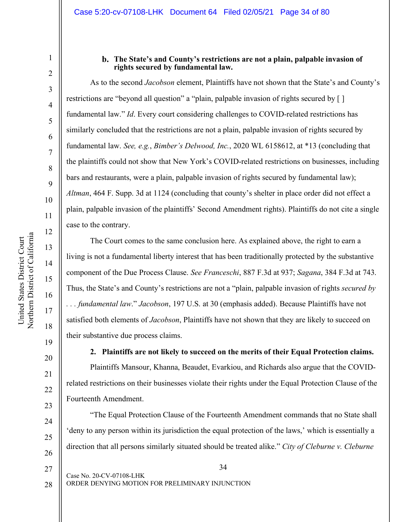United States District Court

United States District Court

1

2

3

4

5

6

7

8

9

19

20

21

22

23

24

25

26

## **The State's and County's restrictions are not a plain, palpable invasion of rights secured by fundamental law.**

As to the second *Jacobson* element, Plaintiffs have not shown that the State's and County's restrictions are "beyond all question" a "plain, palpable invasion of rights secured by [ ] fundamental law." *Id*. Every court considering challenges to COVID-related restrictions has similarly concluded that the restrictions are not a plain, palpable invasion of rights secured by fundamental law. *See, e.g.*, *Bimber's Delwood, Inc.*, 2020 WL 6158612, at \*13 (concluding that the plaintiffs could not show that New York's COVID-related restrictions on businesses, including bars and restaurants, were a plain, palpable invasion of rights secured by fundamental law); *Altman*, 464 F. Supp. 3d at 1124 (concluding that county's shelter in place order did not effect a plain, palpable invasion of the plaintiffs' Second Amendment rights). Plaintiffs do not cite a single case to the contrary.

The Court comes to the same conclusion here. As explained above, the right to earn a living is not a fundamental liberty interest that has been traditionally protected by the substantive component of the Due Process Clause. *See Franceschi*, 887 F.3d at 937; *Sagana*, 384 F.3d at 743. Thus, the State's and County's restrictions are not a "plain, palpable invasion of rights *secured by . . . fundamental law*." *Jacobson*, 197 U.S. at 30 (emphasis added). Because Plaintiffs have not satisfied both elements of *Jacobson*, Plaintiffs have not shown that they are likely to succeed on their substantive due process claims.

**2. Plaintiffs are not likely to succeed on the merits of their Equal Protection claims.**  Plaintiffs Mansour, Khanna, Beaudet, Evarkiou, and Richards also argue that the COVIDrelated restrictions on their businesses violate their rights under the Equal Protection Clause of the Fourteenth Amendment.

"The Equal Protection Clause of the Fourteenth Amendment commands that no State shall 'deny to any person within its jurisdiction the equal protection of the laws,' which is essentially a direction that all persons similarly situated should be treated alike." *City of Cleburne v. Cleburne* 

Case No. 20-CV-07108-LHK ORDER DENYING MOTION FOR PRELIMINARY INJUNCTION 27 28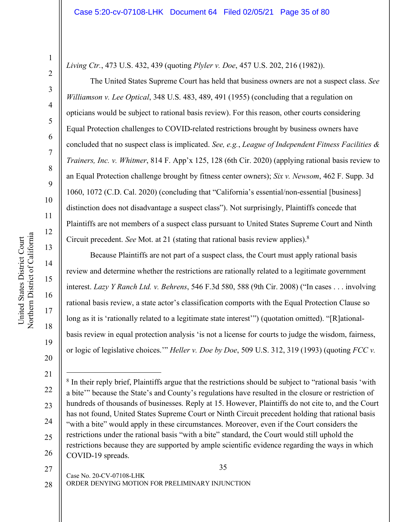5

6

7

8

9

10

11

12

13

14

15

16

17

18

19

20

*Living Ctr.*, 473 U.S. 432, 439 (quoting *Plyler v. Doe*, 457 U.S. 202, 216 (1982)).

The United States Supreme Court has held that business owners are not a suspect class. *See Williamson v. Lee Optical*, 348 U.S. 483, 489, 491 (1955) (concluding that a regulation on opticians would be subject to rational basis review). For this reason, other courts considering Equal Protection challenges to COVID-related restrictions brought by business owners have concluded that no suspect class is implicated. *See, e.g.*, *League of Independent Fitness Facilities & Trainers, Inc. v. Whitmer*, 814 F. App'x 125, 128 (6th Cir. 2020) (applying rational basis review to an Equal Protection challenge brought by fitness center owners); *Six v. Newsom*, 462 F. Supp. 3d 1060, 1072 (C.D. Cal. 2020) (concluding that "California's essential/non-essential [business] distinction does not disadvantage a suspect class"). Not surprisingly, Plaintiffs concede that Plaintiffs are not members of a suspect class pursuant to United States Supreme Court and Ninth Circuit precedent. *See* Mot. at 21 (stating that rational basis review applies).8

Because Plaintiffs are not part of a suspect class, the Court must apply rational basis review and determine whether the restrictions are rationally related to a legitimate government interest. *Lazy Y Ranch Ltd. v. Behrens*, 546 F.3d 580, 588 (9th Cir. 2008) ("In cases . . . involving rational basis review, a state actor's classification comports with the Equal Protection Clause so long as it is 'rationally related to a legitimate state interest'") (quotation omitted). "[R]ationalbasis review in equal protection analysis 'is not a license for courts to judge the wisdom, fairness, or logic of legislative choices.'" *Heller v. Doe by Doe*, 509 U.S. 312, 319 (1993) (quoting *FCC v.* 

27

28

35

ORDER DENYING MOTION FOR PRELIMINARY INJUNCTION

<sup>21</sup>

<sup>22</sup> 23 24 25 26 <sup>8</sup> In their reply brief, Plaintiffs argue that the restrictions should be subject to "rational basis 'with a bite'" because the State's and County's regulations have resulted in the closure or restriction of hundreds of thousands of businesses. Reply at 15. However, Plaintiffs do not cite to, and the Court has not found, United States Supreme Court or Ninth Circuit precedent holding that rational basis "with a bite" would apply in these circumstances. Moreover, even if the Court considers the restrictions under the rational basis "with a bite" standard, the Court would still uphold the restrictions because they are supported by ample scientific evidence regarding the ways in which COVID-19 spreads.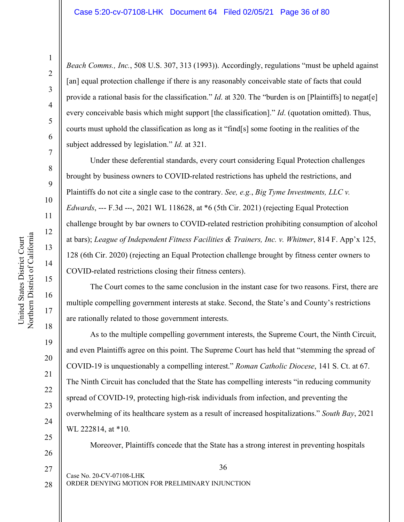20

21

22

23

24

25

26

27

28

*Beach Comms., Inc.*, 508 U.S. 307, 313 (1993)). Accordingly, regulations "must be upheld against [an] equal protection challenge if there is any reasonably conceivable state of facts that could provide a rational basis for the classification." *Id.* at 320. The "burden is on [Plaintiffs] to negat[e] every conceivable basis which might support [the classification]." *Id*. (quotation omitted). Thus, courts must uphold the classification as long as it "find[s] some footing in the realities of the subject addressed by legislation." *Id.* at 321.

Under these deferential standards, every court considering Equal Protection challenges brought by business owners to COVID-related restrictions has upheld the restrictions, and Plaintiffs do not cite a single case to the contrary. *See, e.g.*, *Big Tyme Investments, LLC v. Edwards*, --- F.3d ---, 2021 WL 118628, at \*6 (5th Cir. 2021) (rejecting Equal Protection challenge brought by bar owners to COVID-related restriction prohibiting consumption of alcohol at bars); *League of Independent Fitness Facilities & Trainers, Inc. v. Whitmer*, 814 F. App'x 125, 128 (6th Cir. 2020) (rejecting an Equal Protection challenge brought by fitness center owners to COVID-related restrictions closing their fitness centers).

The Court comes to the same conclusion in the instant case for two reasons. First, there are multiple compelling government interests at stake. Second, the State's and County's restrictions are rationally related to those government interests.

As to the multiple compelling government interests, the Supreme Court, the Ninth Circuit, and even Plaintiffs agree on this point. The Supreme Court has held that "stemming the spread of COVID-19 is unquestionably a compelling interest." *Roman Catholic Diocese*, 141 S. Ct. at 67. The Ninth Circuit has concluded that the State has compelling interests "in reducing community spread of COVID-19, protecting high-risk individuals from infection, and preventing the overwhelming of its healthcare system as a result of increased hospitalizations." *South Bay*, 2021 WL 222814, at \*10.

Moreover, Plaintiffs concede that the State has a strong interest in preventing hospitals

Case No. 20-CV-07108-LHK

36

ORDER DENYING MOTION FOR PRELIMINARY INJUNCTION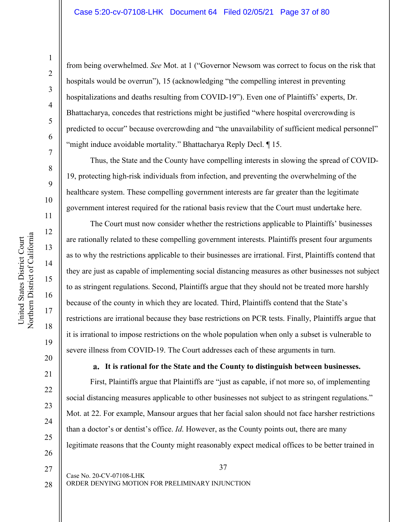1

from being overwhelmed. *See* Mot. at 1 ("Governor Newsom was correct to focus on the risk that hospitals would be overrun"), 15 (acknowledging "the compelling interest in preventing hospitalizations and deaths resulting from COVID-19"). Even one of Plaintiffs' experts, Dr. Bhattacharya, concedes that restrictions might be justified "where hospital overcrowding is predicted to occur" because overcrowding and "the unavailability of sufficient medical personnel" "might induce avoidable mortality." Bhattacharya Reply Decl. ¶ 15.

Thus, the State and the County have compelling interests in slowing the spread of COVID-19, protecting high-risk individuals from infection, and preventing the overwhelming of the healthcare system. These compelling government interests are far greater than the legitimate government interest required for the rational basis review that the Court must undertake here.

The Court must now consider whether the restrictions applicable to Plaintiffs' businesses are rationally related to these compelling government interests. Plaintiffs present four arguments as to why the restrictions applicable to their businesses are irrational. First, Plaintiffs contend that they are just as capable of implementing social distancing measures as other businesses not subject to as stringent regulations. Second, Plaintiffs argue that they should not be treated more harshly because of the county in which they are located. Third, Plaintiffs contend that the State's restrictions are irrational because they base restrictions on PCR tests. Finally, Plaintiffs argue that it is irrational to impose restrictions on the whole population when only a subset is vulnerable to severe illness from COVID-19. The Court addresses each of these arguments in turn.

**It is rational for the State and the County to distinguish between businesses.** 

First, Plaintiffs argue that Plaintiffs are "just as capable, if not more so, of implementing social distancing measures applicable to other businesses not subject to as stringent regulations." Mot. at 22. For example, Mansour argues that her facial salon should not face harsher restrictions than a doctor's or dentist's office. *Id*. However, as the County points out, there are many legitimate reasons that the County might reasonably expect medical offices to be better trained in

28

21

22

23

24

25

26

27

37

ORDER DENYING MOTION FOR PRELIMINARY INJUNCTION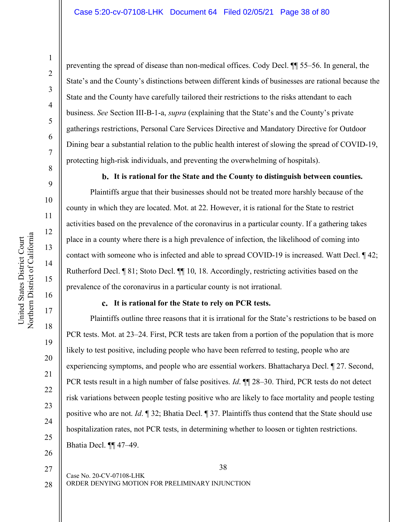preventing the spread of disease than non-medical offices. Cody Decl. ¶¶ 55–56. In general, the State's and the County's distinctions between different kinds of businesses are rational because the State and the County have carefully tailored their restrictions to the risks attendant to each business. *See* Section III-B-1-a, *supra* (explaining that the State's and the County's private gatherings restrictions, Personal Care Services Directive and Mandatory Directive for Outdoor Dining bear a substantial relation to the public health interest of slowing the spread of COVID-19, protecting high-risk individuals, and preventing the overwhelming of hospitals).

**It is rational for the State and the County to distinguish between counties.** 

Plaintiffs argue that their businesses should not be treated more harshly because of the county in which they are located. Mot. at 22. However, it is rational for the State to restrict activities based on the prevalence of the coronavirus in a particular county. If a gathering takes place in a county where there is a high prevalence of infection, the likelihood of coming into contact with someone who is infected and able to spread COVID-19 is increased. Watt Decl. ¶ 42; Rutherford Decl. ¶ 81; Stoto Decl. ¶¶ 10, 18. Accordingly, restricting activities based on the prevalence of the coronavirus in a particular county is not irrational.

# **It is rational for the State to rely on PCR tests.**

Plaintiffs outline three reasons that it is irrational for the State's restrictions to be based on PCR tests. Mot. at 23–24. First, PCR tests are taken from a portion of the population that is more likely to test positive, including people who have been referred to testing, people who are experiencing symptoms, and people who are essential workers. Bhattacharya Decl. ¶ 27. Second, PCR tests result in a high number of false positives. *Id*. ¶¶ 28–30. Third, PCR tests do not detect risk variations between people testing positive who are likely to face mortality and people testing positive who are not. *Id*. ¶ 32; Bhatia Decl. ¶ 37. Plaintiffs thus contend that the State should use hospitalization rates, not PCR tests, in determining whether to loosen or tighten restrictions. Bhatia Decl. ¶¶ 47–49.

25 26

27

28

22

23

24

38

ORDER DENYING MOTION FOR PRELIMINARY INJUNCTION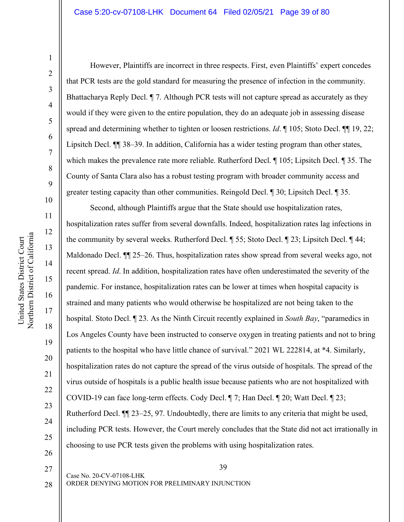#### Case 5:20-cv-07108-LHK Document 64 Filed 02/05/21 Page 39 of 80

1

2

3

4

5

6

7

8

9

10

11

12

13

14

15

16

17

18

19

20

21

22

23

24

25

26

However, Plaintiffs are incorrect in three respects. First, even Plaintiffs' expert concedes that PCR tests are the gold standard for measuring the presence of infection in the community. Bhattacharya Reply Decl. ¶ 7. Although PCR tests will not capture spread as accurately as they would if they were given to the entire population, they do an adequate job in assessing disease spread and determining whether to tighten or loosen restrictions. *Id*. ¶ 105; Stoto Decl. ¶ 19, 22; Lipsitch Decl. ¶¶ 38–39. In addition, California has a wider testing program than other states, which makes the prevalence rate more reliable. Rutherford Decl. ¶ 105; Lipsitch Decl. ¶ 35. The County of Santa Clara also has a robust testing program with broader community access and greater testing capacity than other communities. Reingold Decl. ¶ 30; Lipsitch Decl. ¶ 35.

Second, although Plaintiffs argue that the State should use hospitalization rates, hospitalization rates suffer from several downfalls. Indeed, hospitalization rates lag infections in the community by several weeks. Rutherford Decl. ¶ 55; Stoto Decl. ¶ 23; Lipsitch Decl. ¶ 44; Maldonado Decl. ¶¶ 25–26. Thus, hospitalization rates show spread from several weeks ago, not recent spread. *Id*. In addition, hospitalization rates have often underestimated the severity of the pandemic. For instance, hospitalization rates can be lower at times when hospital capacity is strained and many patients who would otherwise be hospitalized are not being taken to the hospital. Stoto Decl. ¶ 23. As the Ninth Circuit recently explained in *South Bay*, "paramedics in Los Angeles County have been instructed to conserve oxygen in treating patients and not to bring patients to the hospital who have little chance of survival." 2021 WL 222814, at \*4. Similarly, hospitalization rates do not capture the spread of the virus outside of hospitals. The spread of the virus outside of hospitals is a public health issue because patients who are not hospitalized with COVID-19 can face long-term effects. Cody Decl. ¶ 7; Han Decl. ¶ 20; Watt Decl. ¶ 23; Rutherford Decl. ¶¶ 23–25, 97. Undoubtedly, there are limits to any criteria that might be used, including PCR tests. However, the Court merely concludes that the State did not act irrationally in choosing to use PCR tests given the problems with using hospitalization rates.

27

28

39

ORDER DENYING MOTION FOR PRELIMINARY INJUNCTION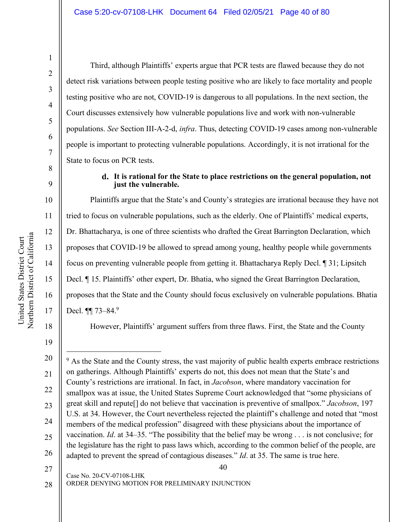1

Third, although Plaintiffs' experts argue that PCR tests are flawed because they do not detect risk variations between people testing positive who are likely to face mortality and people testing positive who are not, COVID-19 is dangerous to all populations. In the next section, the Court discusses extensively how vulnerable populations live and work with non-vulnerable populations. *See* Section III-A-2-d, *infra*. Thus, detecting COVID-19 cases among non-vulnerable people is important to protecting vulnerable populations. Accordingly, it is not irrational for the State to focus on PCR tests.

# **It is rational for the State to place restrictions on the general population, not just the vulnerable.**

Plaintiffs argue that the State's and County's strategies are irrational because they have not tried to focus on vulnerable populations, such as the elderly. One of Plaintiffs' medical experts, Dr. Bhattacharya, is one of three scientists who drafted the Great Barrington Declaration, which proposes that COVID-19 be allowed to spread among young, healthy people while governments focus on preventing vulnerable people from getting it. Bhattacharya Reply Decl. ¶ 31; Lipsitch Decl. ¶ 15. Plaintiffs' other expert, Dr. Bhatia, who signed the Great Barrington Declaration, proposes that the State and the County should focus exclusively on vulnerable populations. Bhatia Decl. **¶** 73–84.<sup>9</sup>

18

17

15

United States District Court Northern District of California

Northern District of California United States District Court

16

However, Plaintiffs' argument suffers from three flaws. First, the State and the County

27

ORDER DENYING MOTION FOR PRELIMINARY INJUNCTION 28

Case No. 20-CV-07108-LHK

<sup>19</sup>

<sup>20</sup> 21 22 23 24 25 26 <sup>9</sup> As the State and the County stress, the vast majority of public health experts embrace restrictions on gatherings. Although Plaintiffs' experts do not, this does not mean that the State's and County's restrictions are irrational. In fact, in *Jacobson*, where mandatory vaccination for smallpox was at issue, the United States Supreme Court acknowledged that "some physicians of great skill and repute[] do not believe that vaccination is preventive of smallpox." *Jacobson*, 197 U.S. at 34. However, the Court nevertheless rejected the plaintiff's challenge and noted that "most members of the medical profession" disagreed with these physicians about the importance of vaccination. *Id*. at 34–35. "The possibility that the belief may be wrong . . . is not conclusive; for the legislature has the right to pass laws which, according to the common belief of the people, are adapted to prevent the spread of contagious diseases." *Id*. at 35. The same is true here.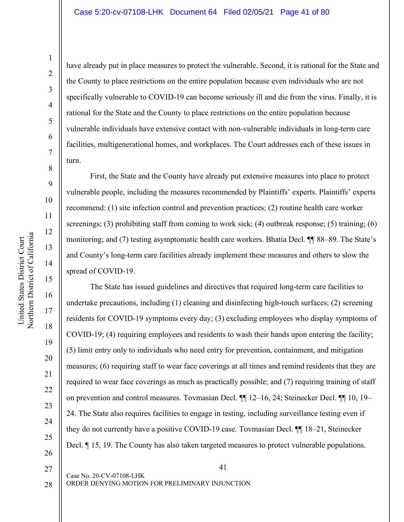United States District Court Northern District of California

Northern District of California United States District Court

have already put in place measures to protect the vulnerable. Second, it is rational for the State and the County to place restrictions on the entire population because even individuals who are not specifically vulnerable to COVID-19 can become seriously ill and die from the virus. Finally, it is rational for the State and the County to place restrictions on the entire population because vulnerable individuals have extensive contact with non-vulnerable individuals in long-term care facilities, multigenerational homes, and workplaces. The Court addresses each of these issues in turn.

First, the State and the County have already put extensive measures into place to protect vulnerable people, including the measures recommended by Plaintiffs' experts. Plaintiffs' experts recommend: (1) site infection control and prevention practices; (2) routine health care worker screenings; (3) prohibiting staff from coming to work sick; (4) outbreak response; (5) training; (6) monitoring; and (7) testing asymptomatic health care workers. Bhatia Decl. ¶¶ 88–89. The State's and County's long-term care facilities already implement these measures and others to slow the spread of COVID-19.

The State has issued guidelines and directives that required long-term care facilities to undertake precautions, including (1) cleaning and disinfecting high-touch surfaces; (2) screening residents for COVID-19 symptoms every day; (3) excluding employees who display symptoms of COVID-19; (4) requiring employees and residents to wash their hands upon entering the facility; (5) limit entry only to individuals who need entry for prevention, containment, and mitigation measures; (6) requiring staff to wear face coverings at all times and remind residents that they are required to wear face coverings as much as practically possible; and (7) requiring training of staff on prevention and control measures. Tovmasian Decl. ¶¶ 12–16, 24; Steinecker Decl. ¶¶ 10, 19– 24. The State also requires facilities to engage in testing, including surveillance testing even if they do not currently have a positive COVID-19 case. Tovmasian Decl. ¶¶ 18–21, Steinecker Decl.  $\parallel$  15, 19. The County has also taken targeted measures to protect vulnerable populations.

27 28

21

22

23

24

25

26

41

ORDER DENYING MOTION FOR PRELIMINARY INJUNCTION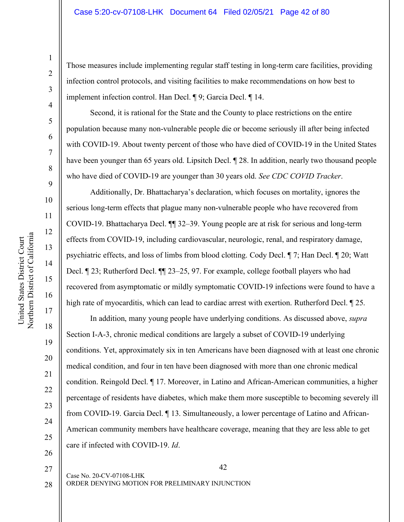Those measures include implementing regular staff testing in long-term care facilities, providing infection control protocols, and visiting facilities to make recommendations on how best to implement infection control. Han Decl. ¶ 9; Garcia Decl. ¶ 14.

Second, it is rational for the State and the County to place restrictions on the entire population because many non-vulnerable people die or become seriously ill after being infected with COVID-19. About twenty percent of those who have died of COVID-19 in the United States have been younger than 65 years old. Lipsitch Decl.  $\parallel$  28. In addition, nearly two thousand people who have died of COVID-19 are younger than 30 years old. *See CDC COVID Tracker*.

Additionally, Dr. Bhattacharya's declaration, which focuses on mortality, ignores the serious long-term effects that plague many non-vulnerable people who have recovered from COVID-19. Bhattacharya Decl. ¶¶ 32–39. Young people are at risk for serious and long-term effects from COVID-19, including cardiovascular, neurologic, renal, and respiratory damage, psychiatric effects, and loss of limbs from blood clotting. Cody Decl. ¶ 7; Han Decl. ¶ 20; Watt Decl. ¶ 23; Rutherford Decl. ¶¶ 23–25, 97. For example, college football players who had recovered from asymptomatic or mildly symptomatic COVID-19 infections were found to have a high rate of myocarditis, which can lead to cardiac arrest with exertion. Rutherford Decl.  $\sqrt{\ }$  25.

In addition, many young people have underlying conditions. As discussed above, *supra* Section I-A-3, chronic medical conditions are largely a subset of COVID-19 underlying conditions. Yet, approximately six in ten Americans have been diagnosed with at least one chronic medical condition, and four in ten have been diagnosed with more than one chronic medical condition. Reingold Decl. ¶ 17. Moreover, in Latino and African-American communities, a higher percentage of residents have diabetes, which make them more susceptible to becoming severely ill from COVID-19. Garcia Decl. ¶ 13. Simultaneously, a lower percentage of Latino and African-American community members have healthcare coverage, meaning that they are less able to get care if infected with COVID-19. *Id*.

1

2

3

4

5

6

7

8

9

10

11

12

13

14

15

16

17

18

19

20

21

22

27

28

42

ORDER DENYING MOTION FOR PRELIMINARY INJUNCTION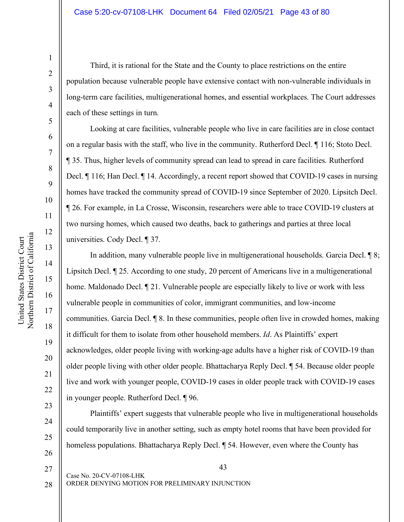Third, it is rational for the State and the County to place restrictions on the entire population because vulnerable people have extensive contact with non-vulnerable individuals in long-term care facilities, multigenerational homes, and essential workplaces. The Court addresses each of these settings in turn.

Looking at care facilities, vulnerable people who live in care facilities are in close contact on a regular basis with the staff, who live in the community. Rutherford Decl. ¶ 116; Stoto Decl. ¶ 35. Thus, higher levels of community spread can lead to spread in care facilities. Rutherford Decl. ¶ 116; Han Decl. ¶ 14. Accordingly, a recent report showed that COVID-19 cases in nursing homes have tracked the community spread of COVID-19 since September of 2020. Lipsitch Decl. ¶ 26. For example, in La Crosse, Wisconsin, researchers were able to trace COVID-19 clusters at two nursing homes, which caused two deaths, back to gatherings and parties at three local universities. Cody Decl. ¶ 37.

In addition, many vulnerable people live in multigenerational households. Garcia Decl. ¶ 8; Lipsitch Decl. ¶ 25. According to one study, 20 percent of Americans live in a multigenerational home. Maldonado Decl. ¶ 21. Vulnerable people are especially likely to live or work with less vulnerable people in communities of color, immigrant communities, and low-income communities. Garcia Decl. ¶ 8. In these communities, people often live in crowded homes, making it difficult for them to isolate from other household members. *Id*. As Plaintiffs' expert acknowledges, older people living with working-age adults have a higher risk of COVID-19 than older people living with other older people. Bhattacharya Reply Decl. ¶ 54. Because older people live and work with younger people, COVID-19 cases in older people track with COVID-19 cases in younger people. Rutherford Decl. ¶ 96.

Plaintiffs' expert suggests that vulnerable people who live in multigenerational households could temporarily live in another setting, such as empty hotel rooms that have been provided for homeless populations. Bhattacharya Reply Decl. ¶ 54. However, even where the County has

United States District Court

United States District Court

19

20

21

22

23

24

25

26

1

2

3

4

5

6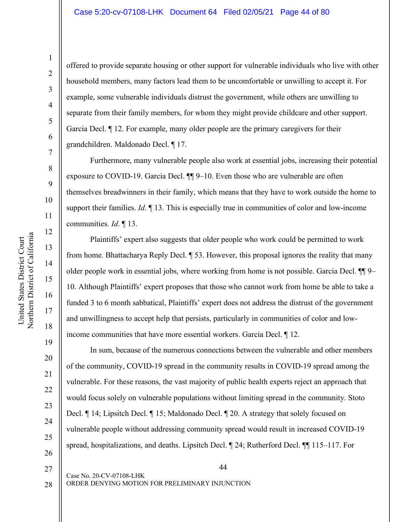17

United States District Court Northern District of California

Northern District of California United States District Court

18

19

20

21

22

23

24

25

26

offered to provide separate housing or other support for vulnerable individuals who live with other household members, many factors lead them to be uncomfortable or unwilling to accept it. For example, some vulnerable individuals distrust the government, while others are unwilling to separate from their family members, for whom they might provide childcare and other support. Garcia Decl. ¶ 12. For example, many older people are the primary caregivers for their grandchildren. Maldonado Decl. ¶ 17.

Furthermore, many vulnerable people also work at essential jobs, increasing their potential exposure to COVID-19. Garcia Decl. ¶¶ 9–10. Even those who are vulnerable are often themselves breadwinners in their family, which means that they have to work outside the home to support their families. *Id*. ¶ 13. This is especially true in communities of color and low-income communities. *Id*. ¶ 13.

Plaintiffs' expert also suggests that older people who work could be permitted to work from home. Bhattacharya Reply Decl. ¶ 53. However, this proposal ignores the reality that many older people work in essential jobs, where working from home is not possible. Garcia Decl. ¶¶ 9– 10. Although Plaintiffs' expert proposes that those who cannot work from home be able to take a funded 3 to 6 month sabbatical, Plaintiffs' expert does not address the distrust of the government and unwillingness to accept help that persists, particularly in communities of color and lowincome communities that have more essential workers. Garcia Decl. ¶ 12.

In sum, because of the numerous connections between the vulnerable and other members of the community, COVID-19 spread in the community results in COVID-19 spread among the vulnerable. For these reasons, the vast majority of public health experts reject an approach that would focus solely on vulnerable populations without limiting spread in the community. Stoto Decl. ¶ 14; Lipsitch Decl. ¶ 15; Maldonado Decl. ¶ 20. A strategy that solely focused on vulnerable people without addressing community spread would result in increased COVID-19 spread, hospitalizations, and deaths. Lipsitch Decl. ¶ 24; Rutherford Decl. ¶¶ 115–117. For

28

27

44

ORDER DENYING MOTION FOR PRELIMINARY INJUNCTION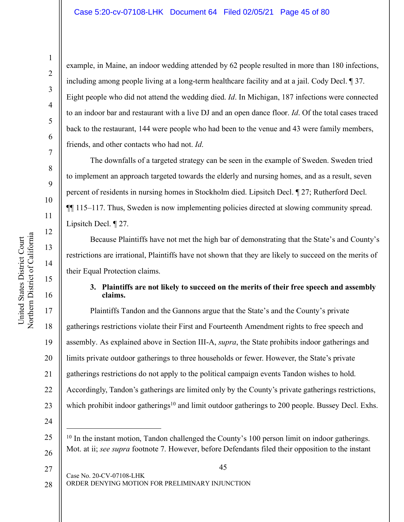example, in Maine, an indoor wedding attended by 62 people resulted in more than 180 infections, including among people living at a long-term healthcare facility and at a jail. Cody Decl. ¶ 37. Eight people who did not attend the wedding died. *Id*. In Michigan, 187 infections were connected to an indoor bar and restaurant with a live DJ and an open dance floor. *Id*. Of the total cases traced back to the restaurant, 144 were people who had been to the venue and 43 were family members, friends, and other contacts who had not. *Id*.

The downfalls of a targeted strategy can be seen in the example of Sweden. Sweden tried to implement an approach targeted towards the elderly and nursing homes, and as a result, seven percent of residents in nursing homes in Stockholm died. Lipsitch Decl. ¶ 27; Rutherford Decl. ¶¶ 115–117. Thus, Sweden is now implementing policies directed at slowing community spread. Lipsitch Decl. ¶ 27.

Because Plaintiffs have not met the high bar of demonstrating that the State's and County's restrictions are irrational, Plaintiffs have not shown that they are likely to succeed on the merits of their Equal Protection claims.

# **3. Plaintiffs are not likely to succeed on the merits of their free speech and assembly claims.**

Plaintiffs Tandon and the Gannons argue that the State's and the County's private gatherings restrictions violate their First and Fourteenth Amendment rights to free speech and assembly. As explained above in Section III-A, *supra*, the State prohibits indoor gatherings and limits private outdoor gatherings to three households or fewer. However, the State's private gatherings restrictions do not apply to the political campaign events Tandon wishes to hold. Accordingly, Tandon's gatherings are limited only by the County's private gatherings restrictions, which prohibit indoor gatherings<sup>10</sup> and limit outdoor gatherings to 200 people. Bussey Decl. Exhs.

<sup>10</sup> In the instant motion, Tandon challenged the County's 100 person limit on indoor gatherings. Mot. at ii; *see supra* footnote 7. However, before Defendants filed their opposition to the instant

1

2

3

4

5

6

7

8

9

19

20

21

22

23

24

25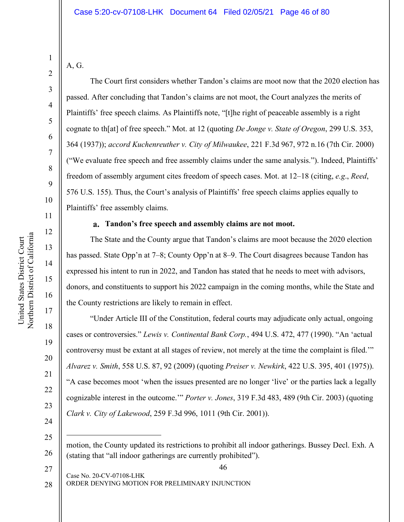A, G.

1

2

3

4

5

6

7

8

9

10

11

12

13

14

15

16

17

18

19

20

21

22

23

24

25

 $\overline{a}$ 

26

27

The Court first considers whether Tandon's claims are moot now that the 2020 election has passed. After concluding that Tandon's claims are not moot, the Court analyzes the merits of Plaintiffs' free speech claims. As Plaintiffs note, "[t]he right of peaceable assembly is a right cognate to th[at] of free speech." Mot. at 12 (quoting *De Jonge v. State of Oregon*, 299 U.S. 353, 364 (1937)); *accord Kuchenreuther v. City of Milwaukee*, 221 F.3d 967, 972 n.16 (7th Cir. 2000) ("We evaluate free speech and free assembly claims under the same analysis."). Indeed, Plaintiffs' freedom of assembly argument cites freedom of speech cases. Mot. at 12–18 (citing, *e.g*., *Reed*, 576 U.S. 155). Thus, the Court's analysis of Plaintiffs' free speech claims applies equally to Plaintiffs' free assembly claims.

# **Tandon's free speech and assembly claims are not moot.**

The State and the County argue that Tandon's claims are moot because the 2020 election has passed. State Opp'n at 7–8; County Opp'n at 8–9. The Court disagrees because Tandon has expressed his intent to run in 2022, and Tandon has stated that he needs to meet with advisors, donors, and constituents to support his 2022 campaign in the coming months, while the State and the County restrictions are likely to remain in effect.

"Under Article III of the Constitution, federal courts may adjudicate only actual, ongoing cases or controversies." *Lewis v. Continental Bank Corp.*, 494 U.S. 472, 477 (1990). "An 'actual controversy must be extant at all stages of review, not merely at the time the complaint is filed.'" *Alvarez v. Smith*, 558 U.S. 87, 92 (2009) (quoting *Preiser v. Newkirk*, 422 U.S. 395, 401 (1975)). "A case becomes moot 'when the issues presented are no longer 'live' or the parties lack a legally cognizable interest in the outcome.'" *Porter v. Jones*, 319 F.3d 483, 489 (9th Cir. 2003) (quoting *Clark v. City of Lakewood*, 259 F.3d 996, 1011 (9th Cir. 2001)).

Case No. 20-CV-07108-LHK ORDER DENYING MOTION FOR PRELIMINARY INJUNCTION 28

motion, the County updated its restrictions to prohibit all indoor gatherings. Bussey Decl. Exh. A (stating that "all indoor gatherings are currently prohibited").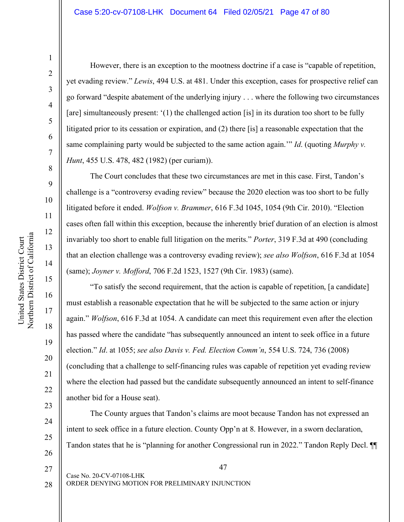#### Case 5:20-cv-07108-LHK Document 64 Filed 02/05/21 Page 47 of 80

United States District Court

United States District Court

19

20

21

22

23

24

25

26

27

28

1

However, there is an exception to the mootness doctrine if a case is "capable of repetition, yet evading review." *Lewis*, 494 U.S. at 481. Under this exception, cases for prospective relief can go forward "despite abatement of the underlying injury . . . where the following two circumstances [are] simultaneously present: '(1) the challenged action [is] in its duration too short to be fully litigated prior to its cessation or expiration, and (2) there [is] a reasonable expectation that the same complaining party would be subjected to the same action again.'" *Id*. (quoting *Murphy v. Hunt*, 455 U.S. 478, 482 (1982) (per curiam)).

The Court concludes that these two circumstances are met in this case. First, Tandon's challenge is a "controversy evading review" because the 2020 election was too short to be fully litigated before it ended. *Wolfson v. Brammer*, 616 F.3d 1045, 1054 (9th Cir. 2010). "Election cases often fall within this exception, because the inherently brief duration of an election is almost invariably too short to enable full litigation on the merits." *Porter*, 319 F.3d at 490 (concluding that an election challenge was a controversy evading review); *see also Wolfson*, 616 F.3d at 1054 (same); *Joyner v. Mofford*, 706 F.2d 1523, 1527 (9th Cir. 1983) (same).

"To satisfy the second requirement, that the action is capable of repetition, [a candidate] must establish a reasonable expectation that he will be subjected to the same action or injury again." *Wolfson*, 616 F.3d at 1054. A candidate can meet this requirement even after the election has passed where the candidate "has subsequently announced an intent to seek office in a future election." *Id*. at 1055; *see also Davis v. Fed. Election Comm'n*, 554 U.S. 724, 736 (2008) (concluding that a challenge to self-financing rules was capable of repetition yet evading review where the election had passed but the candidate subsequently announced an intent to self-finance another bid for a House seat).

The County argues that Tandon's claims are moot because Tandon has not expressed an intent to seek office in a future election. County Opp'n at 8. However, in a sworn declaration, Tandon states that he is "planning for another Congressional run in 2022." Tandon Reply Decl. ¶¶

47

ORDER DENYING MOTION FOR PRELIMINARY INJUNCTION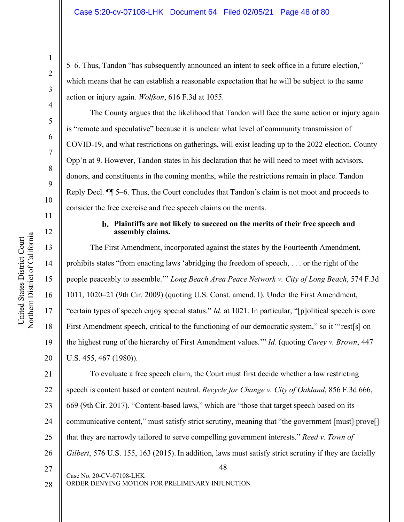5–6. Thus, Tandon "has subsequently announced an intent to seek office in a future election," which means that he can establish a reasonable expectation that he will be subject to the same action or injury again. *Wolfson*, 616 F.3d at 1055.

The County argues that the likelihood that Tandon will face the same action or injury again is "remote and speculative" because it is unclear what level of community transmission of COVID-19, and what restrictions on gatherings, will exist leading up to the 2022 election. County Opp'n at 9. However, Tandon states in his declaration that he will need to meet with advisors, donors, and constituents in the coming months, while the restrictions remain in place. Tandon Reply Decl. ¶¶ 5–6. Thus, the Court concludes that Tandon's claim is not moot and proceeds to consider the free exercise and free speech claims on the merits.

## **Plaintiffs are not likely to succeed on the merits of their free speech and assembly claims.**

The First Amendment, incorporated against the states by the Fourteenth Amendment, prohibits states "from enacting laws 'abridging the freedom of speech, . . . or the right of the people peaceably to assemble.'" *Long Beach Area Peace Network v. City of Long Beach*, 574 F.3d 1011, 1020–21 (9th Cir. 2009) (quoting U.S. Const. amend. I). Under the First Amendment, "certain types of speech enjoy special status." *Id.* at 1021. In particular, "[p]olitical speech is core First Amendment speech, critical to the functioning of our democratic system," so it "'rest[s] on the highest rung of the hierarchy of First Amendment values.'" *Id.* (quoting *Carey v. Brown*, 447 U.S. 455, 467 (1980)).

48 Case No. 20-CV-07108-LHK 21 22 23 24 25 26 27 To evaluate a free speech claim, the Court must first decide whether a law restricting speech is content based or content neutral. *Recycle for Change v. City of Oakland*, 856 F.3d 666, 669 (9th Cir. 2017). "Content-based laws," which are "those that target speech based on its communicative content," must satisfy strict scrutiny, meaning that "the government [must] prove[] that they are narrowly tailored to serve compelling government interests." *Reed v. Town of Gilbert*, 576 U.S. 155, 163 (2015). In addition, laws must satisfy strict scrutiny if they are facially

28

ORDER DENYING MOTION FOR PRELIMINARY INJUNCTION

1

2

3

4

5

6

7

8

9

10

11

12

13

14

15

16

17

18

19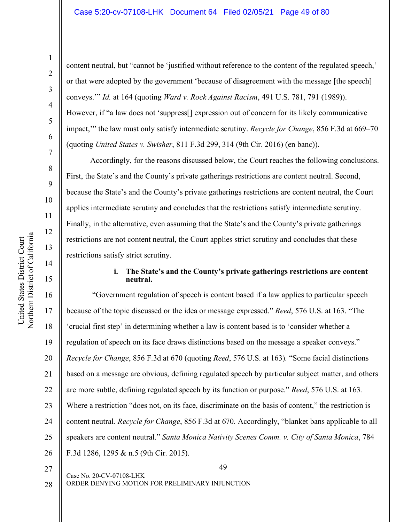United States District Court Northern District of California

Northern District of California United States District Court

1

content neutral, but "cannot be 'justified without reference to the content of the regulated speech,' or that were adopted by the government 'because of disagreement with the message [the speech] conveys.'" *Id.* at 164 (quoting *Ward v. Rock Against Racism*, 491 U.S. 781, 791 (1989)). However, if "a law does not 'suppress[] expression out of concern for its likely communicative impact,'" the law must only satisfy intermediate scrutiny. *Recycle for Change*, 856 F.3d at 669–70 (quoting *United States v. Swisher*, 811 F.3d 299, 314 (9th Cir. 2016) (en banc)).

Accordingly, for the reasons discussed below, the Court reaches the following conclusions. First, the State's and the County's private gatherings restrictions are content neutral. Second, because the State's and the County's private gatherings restrictions are content neutral, the Court applies intermediate scrutiny and concludes that the restrictions satisfy intermediate scrutiny. Finally, in the alternative, even assuming that the State's and the County's private gatherings restrictions are not content neutral, the Court applies strict scrutiny and concludes that these restrictions satisfy strict scrutiny.

# **i. The State's and the County's private gatherings restrictions are content neutral.**

19 20 21 22 23 24 25 26 "Government regulation of speech is content based if a law applies to particular speech because of the topic discussed or the idea or message expressed." *Reed*, 576 U.S. at 163. "The 'crucial first step' in determining whether a law is content based is to 'consider whether a regulation of speech on its face draws distinctions based on the message a speaker conveys." *Recycle for Change*, 856 F.3d at 670 (quoting *Reed*, 576 U.S. at 163)*.* "Some facial distinctions based on a message are obvious, defining regulated speech by particular subject matter, and others are more subtle, defining regulated speech by its function or purpose." *Reed*, 576 U.S. at 163*.* Where a restriction "does not, on its face, discriminate on the basis of content," the restriction is content neutral. *Recycle for Change*, 856 F.3d at 670. Accordingly, "blanket bans applicable to all speakers are content neutral." *Santa Monica Nativity Scenes Comm. v. City of Santa Monica*, 784 F.3d 1286, 1295 & n.5 (9th Cir. 2015).

27

49

28

ORDER DENYING MOTION FOR PRELIMINARY INJUNCTION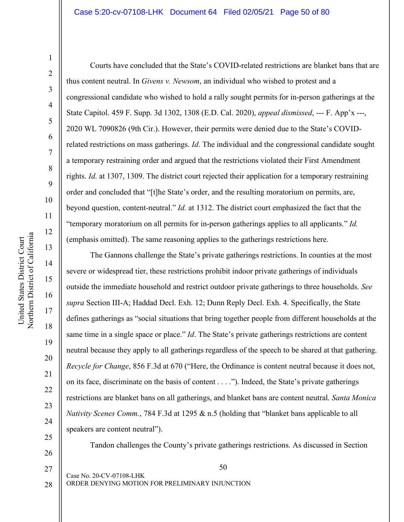#### Case 5:20-cv-07108-LHK Document 64 Filed 02/05/21 Page 50 of 80

1

Courts have concluded that the State's COVID-related restrictions are blanket bans that are thus content neutral. In *Givens v. Newsom*, an individual who wished to protest and a congressional candidate who wished to hold a rally sought permits for in-person gatherings at the State Capitol. 459 F. Supp. 3d 1302, 1308 (E.D. Cal. 2020), *appeal dismissed*, --- F. App'x ---, 2020 WL 7090826 (9th Cir.). However, their permits were denied due to the State's COVIDrelated restrictions on mass gatherings. *Id*. The individual and the congressional candidate sought a temporary restraining order and argued that the restrictions violated their First Amendment rights. *Id*. at 1307, 1309. The district court rejected their application for a temporary restraining order and concluded that "[t]he State's order, and the resulting moratorium on permits, are, beyond question, content-neutral." *Id.* at 1312. The district court emphasized the fact that the "temporary moratorium on all permits for in-person gatherings applies to all applicants." *Id.*  (emphasis omitted). The same reasoning applies to the gatherings restrictions here.

The Gannons challenge the State's private gatherings restrictions. In counties at the most severe or widespread tier, these restrictions prohibit indoor private gatherings of individuals outside the immediate household and restrict outdoor private gatherings to three households. *See supra* Section III-A; Haddad Decl. Exh. 12; Dunn Reply Decl. Exh. 4. Specifically, the State defines gatherings as "social situations that bring together people from different households at the same time in a single space or place." *Id*. The State's private gatherings restrictions are content neutral because they apply to all gatherings regardless of the speech to be shared at that gathering. *Recycle for Change*, 856 F.3d at 670 ("Here, the Ordinance is content neutral because it does not, on its face, discriminate on the basis of content . . . ."). Indeed, the State's private gatherings restrictions are blanket bans on all gatherings, and blanket bans are content neutral. *Santa Monica Nativity Scenes Comm.*, 784 F.3d at 1295 & n.5 (holding that "blanket bans applicable to all speakers are content neutral").

Tandon challenges the County's private gatherings restrictions. As discussed in Section

27

20

21

22

23

24

25

26

50

ORDER DENYING MOTION FOR PRELIMINARY INJUNCTION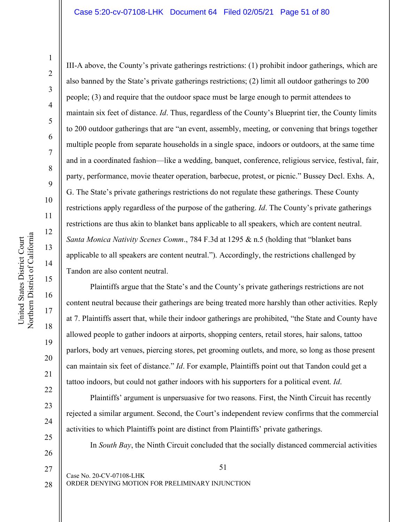21

22

23

24

25

26

III-A above, the County's private gatherings restrictions: (1) prohibit indoor gatherings, which are also banned by the State's private gatherings restrictions; (2) limit all outdoor gatherings to 200 people; (3) and require that the outdoor space must be large enough to permit attendees to maintain six feet of distance. *Id*. Thus, regardless of the County's Blueprint tier, the County limits to 200 outdoor gatherings that are "an event, assembly, meeting, or convening that brings together multiple people from separate households in a single space, indoors or outdoors, at the same time and in a coordinated fashion—like a wedding, banquet, conference, religious service, festival, fair, party, performance, movie theater operation, barbecue, protest, or picnic." Bussey Decl. Exhs. A, G. The State's private gatherings restrictions do not regulate these gatherings. These County restrictions apply regardless of the purpose of the gathering. *Id*. The County's private gatherings restrictions are thus akin to blanket bans applicable to all speakers, which are content neutral. *Santa Monica Nativity Scenes Comm*., 784 F.3d at 1295 & n.5 (holding that "blanket bans applicable to all speakers are content neutral."). Accordingly, the restrictions challenged by Tandon are also content neutral.

Plaintiffs argue that the State's and the County's private gatherings restrictions are not content neutral because their gatherings are being treated more harshly than other activities. Reply at 7. Plaintiffs assert that, while their indoor gatherings are prohibited, "the State and County have allowed people to gather indoors at airports, shopping centers, retail stores, hair salons, tattoo parlors, body art venues, piercing stores, pet grooming outlets, and more, so long as those present can maintain six feet of distance." *Id*. For example, Plaintiffs point out that Tandon could get a tattoo indoors, but could not gather indoors with his supporters for a political event. *Id*.

Plaintiffs' argument is unpersuasive for two reasons. First, the Ninth Circuit has recently rejected a similar argument. Second, the Court's independent review confirms that the commercial activities to which Plaintiffs point are distinct from Plaintiffs' private gatherings.

In *South Bay*, the Ninth Circuit concluded that the socially distanced commercial activities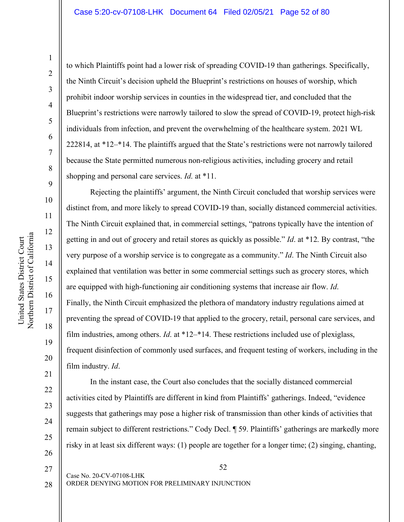to which Plaintiffs point had a lower risk of spreading COVID-19 than gatherings. Specifically, the Ninth Circuit's decision upheld the Blueprint's restrictions on houses of worship, which prohibit indoor worship services in counties in the widespread tier, and concluded that the Blueprint's restrictions were narrowly tailored to slow the spread of COVID-19, protect high-risk individuals from infection, and prevent the overwhelming of the healthcare system. 2021 WL 222814, at \*12–\*14. The plaintiffs argued that the State's restrictions were not narrowly tailored because the State permitted numerous non-religious activities, including grocery and retail shopping and personal care services. *Id*. at \*11.

Rejecting the plaintiffs' argument, the Ninth Circuit concluded that worship services were distinct from, and more likely to spread COVID-19 than, socially distanced commercial activities. The Ninth Circuit explained that, in commercial settings, "patrons typically have the intention of getting in and out of grocery and retail stores as quickly as possible." *Id*. at \*12. By contrast, "the very purpose of a worship service is to congregate as a community." *Id*. The Ninth Circuit also explained that ventilation was better in some commercial settings such as grocery stores, which are equipped with high-functioning air conditioning systems that increase air flow. *Id*. Finally, the Ninth Circuit emphasized the plethora of mandatory industry regulations aimed at preventing the spread of COVID-19 that applied to the grocery, retail, personal care services, and film industries, among others. *Id*. at \*12–\*14. These restrictions included use of plexiglass, frequent disinfection of commonly used surfaces, and frequent testing of workers, including in the film industry. *Id*.

In the instant case, the Court also concludes that the socially distanced commercial activities cited by Plaintiffs are different in kind from Plaintiffs' gatherings. Indeed, "evidence suggests that gatherings may pose a higher risk of transmission than other kinds of activities that remain subject to different restrictions." Cody Decl. ¶ 59. Plaintiffs' gatherings are markedly more risky in at least six different ways: (1) people are together for a longer time; (2) singing, chanting,

28

27

21

22

23

24

25

26

52

ORDER DENYING MOTION FOR PRELIMINARY INJUNCTION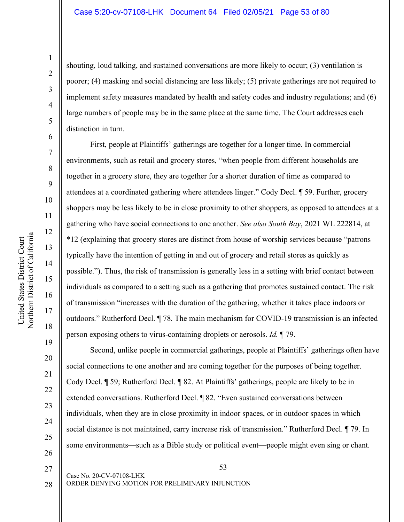shouting, loud talking, and sustained conversations are more likely to occur; (3) ventilation is poorer; (4) masking and social distancing are less likely; (5) private gatherings are not required to implement safety measures mandated by health and safety codes and industry regulations; and (6) large numbers of people may be in the same place at the same time. The Court addresses each distinction in turn.

First, people at Plaintiffs' gatherings are together for a longer time. In commercial environments, such as retail and grocery stores, "when people from different households are together in a grocery store, they are together for a shorter duration of time as compared to attendees at a coordinated gathering where attendees linger." Cody Decl. ¶ 59. Further, grocery shoppers may be less likely to be in close proximity to other shoppers, as opposed to attendees at a gathering who have social connections to one another. *See also South Bay*, 2021 WL 222814, at \*12 (explaining that grocery stores are distinct from house of worship services because "patrons typically have the intention of getting in and out of grocery and retail stores as quickly as possible."). Thus, the risk of transmission is generally less in a setting with brief contact between individuals as compared to a setting such as a gathering that promotes sustained contact. The risk of transmission "increases with the duration of the gathering, whether it takes place indoors or outdoors." Rutherford Decl. ¶ 78. The main mechanism for COVID-19 transmission is an infected person exposing others to virus-containing droplets or aerosols. *Id.* ¶ 79.

Second, unlike people in commercial gatherings, people at Plaintiffs' gatherings often have social connections to one another and are coming together for the purposes of being together. Cody Decl. ¶ 59; Rutherford Decl. ¶ 82. At Plaintiffs' gatherings, people are likely to be in extended conversations. Rutherford Decl. ¶ 82. "Even sustained conversations between individuals, when they are in close proximity in indoor spaces, or in outdoor spaces in which social distance is not maintained, carry increase risk of transmission." Rutherford Decl. ¶ 79. In some environments—such as a Bible study or political event—people might even sing or chant.

1

2

3

4

5

6

7

8

9

10

11

12

13

14

15

16

17

18

19

20

21

22

23

24

25

26

27

28

Case No. 20-CV-07108-LHK

53

ORDER DENYING MOTION FOR PRELIMINARY INJUNCTION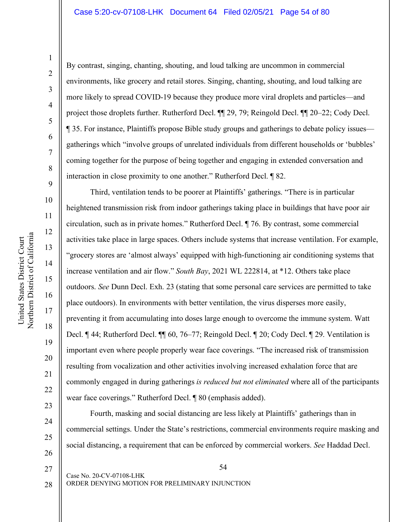By contrast, singing, chanting, shouting, and loud talking are uncommon in commercial environments, like grocery and retail stores. Singing, chanting, shouting, and loud talking are more likely to spread COVID-19 because they produce more viral droplets and particles—and project those droplets further. Rutherford Decl. ¶¶ 29, 79; Reingold Decl. ¶¶ 20–22; Cody Decl. ¶ 35. For instance, Plaintiffs propose Bible study groups and gatherings to debate policy issues gatherings which "involve groups of unrelated individuals from different households or 'bubbles' coming together for the purpose of being together and engaging in extended conversation and interaction in close proximity to one another." Rutherford Decl. ¶ 82.

Third, ventilation tends to be poorer at Plaintiffs' gatherings. "There is in particular heightened transmission risk from indoor gatherings taking place in buildings that have poor air circulation, such as in private homes." Rutherford Decl. ¶ 76. By contrast, some commercial activities take place in large spaces. Others include systems that increase ventilation. For example, "grocery stores are 'almost always' equipped with high-functioning air conditioning systems that increase ventilation and air flow." *South Bay*, 2021 WL 222814, at \*12. Others take place outdoors. *See* Dunn Decl. Exh. 23 (stating that some personal care services are permitted to take place outdoors). In environments with better ventilation, the virus disperses more easily, preventing it from accumulating into doses large enough to overcome the immune system. Watt Decl. ¶ 44; Rutherford Decl. ¶¶ 60, 76–77; Reingold Decl. ¶ 20; Cody Decl. ¶ 29. Ventilation is important even where people properly wear face coverings. "The increased risk of transmission resulting from vocalization and other activities involving increased exhalation force that are commonly engaged in during gatherings *is reduced but not eliminated* where all of the participants wear face coverings." Rutherford Decl. ¶ 80 (emphasis added).

Fourth, masking and social distancing are less likely at Plaintiffs' gatherings than in commercial settings. Under the State's restrictions, commercial environments require masking and social distancing, a requirement that can be enforced by commercial workers. *See* Haddad Decl.

23

24

25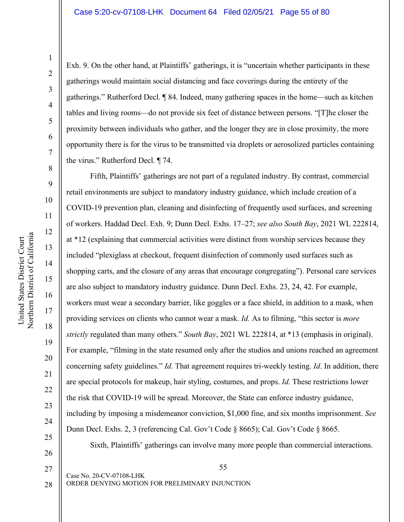21

22

23

24

25

26

Exh. 9. On the other hand, at Plaintiffs' gatherings, it is "uncertain whether participants in these gatherings would maintain social distancing and face coverings during the entirety of the gatherings." Rutherford Decl. ¶ 84. Indeed, many gathering spaces in the home—such as kitchen tables and living rooms—do not provide six feet of distance between persons. "[T]he closer the proximity between individuals who gather, and the longer they are in close proximity, the more opportunity there is for the virus to be transmitted via droplets or aerosolized particles containing the virus." Rutherford Decl. ¶ 74.

Fifth, Plaintiffs' gatherings are not part of a regulated industry. By contrast, commercial retail environments are subject to mandatory industry guidance, which include creation of a COVID-19 prevention plan, cleaning and disinfecting of frequently used surfaces, and screening of workers. Haddad Decl. Exh. 9; Dunn Decl. Exhs. 17–27; *see also South Bay*, 2021 WL 222814, at \*12 (explaining that commercial activities were distinct from worship services because they included "plexiglass at checkout, frequent disinfection of commonly used surfaces such as shopping carts, and the closure of any areas that encourage congregating"). Personal care services are also subject to mandatory industry guidance. Dunn Decl. Exhs. 23, 24, 42. For example, workers must wear a secondary barrier, like goggles or a face shield, in addition to a mask, when providing services on clients who cannot wear a mask. *Id.* As to filming, "this sector is *more strictly* regulated than many others." *South Bay*, 2021 WL 222814, at \*13 (emphasis in original). For example, "filming in the state resumed only after the studios and unions reached an agreement concerning safety guidelines." *Id*. That agreement requires tri-weekly testing. *Id*. In addition, there are special protocols for makeup, hair styling, costumes, and props. *Id*. These restrictions lower the risk that COVID-19 will be spread. Moreover, the State can enforce industry guidance, including by imposing a misdemeanor conviction, \$1,000 fine, and six months imprisonment. *See*  Dunn Decl. Exhs. 2, 3 (referencing Cal. Gov't Code § 8665); Cal. Gov't Code § 8665.

Sixth, Plaintiffs' gatherings can involve many more people than commercial interactions.

Northern District of California Northern District of California United States District Court United States District Court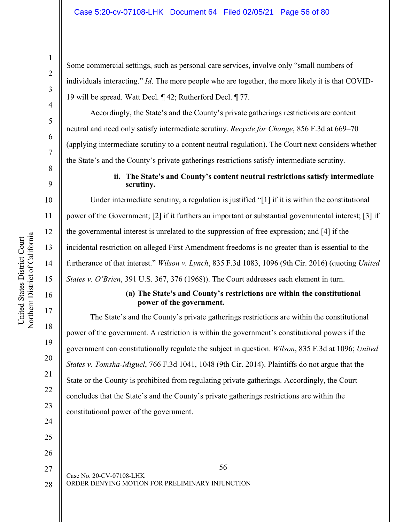Some commercial settings, such as personal care services, involve only "small numbers of individuals interacting." *Id*. The more people who are together, the more likely it is that COVID-19 will be spread. Watt Decl. ¶ 42; Rutherford Decl. ¶ 77.

Accordingly, the State's and the County's private gatherings restrictions are content neutral and need only satisfy intermediate scrutiny. *Recycle for Change*, 856 F.3d at 669–70 (applying intermediate scrutiny to a content neutral regulation). The Court next considers whether the State's and the County's private gatherings restrictions satisfy intermediate scrutiny.

# **ii. The State's and County's content neutral restrictions satisfy intermediate scrutiny.**

Under intermediate scrutiny, a regulation is justified "[1] if it is within the constitutional power of the Government; [2] if it furthers an important or substantial governmental interest; [3] if the governmental interest is unrelated to the suppression of free expression; and [4] if the incidental restriction on alleged First Amendment freedoms is no greater than is essential to the furtherance of that interest." *Wilson v. Lynch*, 835 F.3d 1083, 1096 (9th Cir. 2016) (quoting *United States v. O'Brien*, 391 U.S. 367, 376 (1968)). The Court addresses each element in turn.

# **(a) The State's and County's restrictions are within the constitutional power of the government.**

The State's and the County's private gatherings restrictions are within the constitutional power of the government. A restriction is within the government's constitutional powers if the government can constitutionally regulate the subject in question. *Wilson*, 835 F.3d at 1096; *United States v. Tomsha-Miguel*, 766 F.3d 1041, 1048 (9th Cir. 2014). Plaintiffs do not argue that the State or the County is prohibited from regulating private gatherings. Accordingly, the Court concludes that the State's and the County's private gatherings restrictions are within the constitutional power of the government.

56 Case No. 20-CV-07108-LHK ORDER DENYING MOTION FOR PRELIMINARY INJUNCTION 27 28

1

2

3

4

5

6

7

8

9

10

11

12

13

14

15

16

17

18

19

20

21

22

23

24

25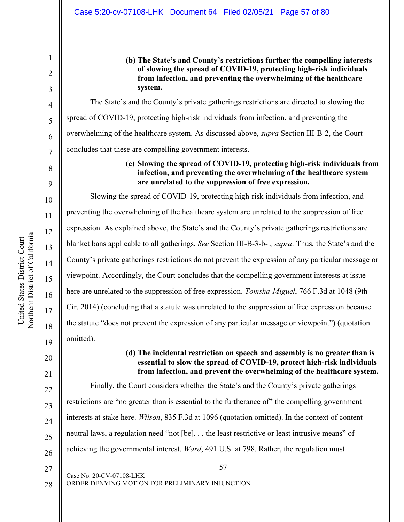#### Case 5:20-cv-07108-LHK Document 64 Filed 02/05/21 Page 57 of 80

**(b) The State's and County's restrictions further the compelling interests of slowing the spread of COVID-19, protecting high-risk individuals from infection, and preventing the overwhelming of the healthcare system.** 

The State's and the County's private gatherings restrictions are directed to slowing the spread of COVID-19, protecting high-risk individuals from infection, and preventing the overwhelming of the healthcare system. As discussed above, *supra* Section III-B-2, the Court concludes that these are compelling government interests.

# **(c) Slowing the spread of COVID-19, protecting high-risk individuals from infection, and preventing the overwhelming of the healthcare system are unrelated to the suppression of free expression.**

Slowing the spread of COVID-19, protecting high-risk individuals from infection, and preventing the overwhelming of the healthcare system are unrelated to the suppression of free expression. As explained above, the State's and the County's private gatherings restrictions are blanket bans applicable to all gatherings. *See* Section III-B-3-b-i, *supra*. Thus, the State's and the County's private gatherings restrictions do not prevent the expression of any particular message or viewpoint. Accordingly, the Court concludes that the compelling government interests at issue here are unrelated to the suppression of free expression. *Tomsha-Miguel*, 766 F.3d at 1048 (9th Cir. 2014) (concluding that a statute was unrelated to the suppression of free expression because the statute "does not prevent the expression of any particular message or viewpoint") (quotation omitted).

# 20

21

1

2

3

4

5

6

7

8

9

10

11

12

13

14

15

16

17

18

19

# **(d) The incidental restriction on speech and assembly is no greater than is essential to slow the spread of COVID-19, protect high-risk individuals from infection, and prevent the overwhelming of the healthcare system.**

22 23 24 25 26 Finally, the Court considers whether the State's and the County's private gatherings restrictions are "no greater than is essential to the furtherance of" the compelling government interests at stake here. *Wilson*, 835 F.3d at 1096 (quotation omitted). In the context of content neutral laws, a regulation need "not [be]. . . the least restrictive or least intrusive means" of achieving the governmental interest. *Ward*, 491 U.S. at 798. Rather, the regulation must

27 28 57

ORDER DENYING MOTION FOR PRELIMINARY INJUNCTION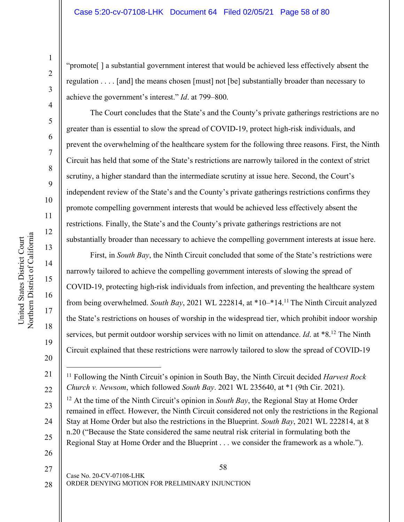"promote[ ] a substantial government interest that would be achieved less effectively absent the regulation . . . . [and] the means chosen [must] not [be] substantially broader than necessary to achieve the government's interest." *Id*. at 799–800.

The Court concludes that the State's and the County's private gatherings restrictions are no greater than is essential to slow the spread of COVID-19, protect high-risk individuals, and prevent the overwhelming of the healthcare system for the following three reasons. First, the Ninth Circuit has held that some of the State's restrictions are narrowly tailored in the context of strict scrutiny, a higher standard than the intermediate scrutiny at issue here. Second, the Court's independent review of the State's and the County's private gatherings restrictions confirms they promote compelling government interests that would be achieved less effectively absent the restrictions. Finally, the State's and the County's private gatherings restrictions are not substantially broader than necessary to achieve the compelling government interests at issue here.

First, in *South Bay*, the Ninth Circuit concluded that some of the State's restrictions were narrowly tailored to achieve the compelling government interests of slowing the spread of COVID-19, protecting high-risk individuals from infection, and preventing the healthcare system from being overwhelmed. *South Bay*, 2021 WL 222814, at \*10–\*14.11 The Ninth Circuit analyzed the State's restrictions on houses of worship in the widespread tier, which prohibit indoor worship services, but permit outdoor worship services with no limit on attendance. *Id*. at \*8.12 The Ninth Circuit explained that these restrictions were narrowly tailored to slow the spread of COVID-19

<sup>11</sup> Following the Ninth Circuit's opinion in South Bay, the Ninth Circuit decided *Harvest Rock Church v. Newsom*, which followed *South Bay*. 2021 WL 235640, at \*1 (9th Cir. 2021).

<sup>12</sup> At the time of the Ninth Circuit's opinion in *South Bay*, the Regional Stay at Home Order remained in effect. However, the Ninth Circuit considered not only the restrictions in the Regional Stay at Home Order but also the restrictions in the Blueprint. *South Bay*, 2021 WL 222814, at 8 n.20 ("Because the State considered the same neutral risk criterial in formulating both the Regional Stay at Home Order and the Blueprint . . . we consider the framework as a whole.").

26

58 Case No. 20-CV-07108-LHK ORDER DENYING MOTION FOR PRELIMINARY INJUNCTION 27 28

1

2

3

4

5

6

7

8

9

10

11

12

13

14

15

16

17

18

19

20

21

 $\overline{a}$ 

22

23

24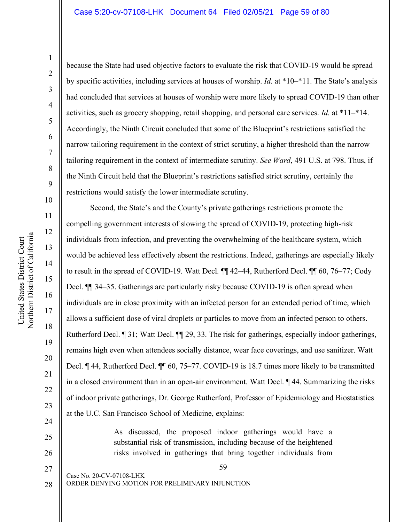United States District Court Northern District of California

Northern District of California United States District Court

21

22

23

24

25

26

because the State had used objective factors to evaluate the risk that COVID-19 would be spread by specific activities, including services at houses of worship. *Id*. at \*10–\*11. The State's analysis had concluded that services at houses of worship were more likely to spread COVID-19 than other activities, such as grocery shopping, retail shopping, and personal care services. *Id*. at \*11–\*14. Accordingly, the Ninth Circuit concluded that some of the Blueprint's restrictions satisfied the narrow tailoring requirement in the context of strict scrutiny, a higher threshold than the narrow tailoring requirement in the context of intermediate scrutiny. *See Ward*, 491 U.S. at 798. Thus, if the Ninth Circuit held that the Blueprint's restrictions satisfied strict scrutiny, certainly the restrictions would satisfy the lower intermediate scrutiny.

Second, the State's and the County's private gatherings restrictions promote the compelling government interests of slowing the spread of COVID-19, protecting high-risk individuals from infection, and preventing the overwhelming of the healthcare system, which would be achieved less effectively absent the restrictions. Indeed, gatherings are especially likely to result in the spread of COVID-19. Watt Decl. ¶¶ 42–44, Rutherford Decl. ¶¶ 60, 76–77; Cody Decl.  $\blacksquare$  34–35. Gatherings are particularly risky because COVID-19 is often spread when individuals are in close proximity with an infected person for an extended period of time, which allows a sufficient dose of viral droplets or particles to move from an infected person to others. Rutherford Decl. ¶ 31; Watt Decl. ¶¶ 29, 33. The risk for gatherings, especially indoor gatherings, remains high even when attendees socially distance, wear face coverings, and use sanitizer. Watt Decl. ¶ 44, Rutherford Decl. ¶¶ 60, 75–77. COVID-19 is 18.7 times more likely to be transmitted in a closed environment than in an open-air environment. Watt Decl. ¶ 44. Summarizing the risks of indoor private gatherings, Dr. George Rutherford, Professor of Epidemiology and Biostatistics at the U.C. San Francisco School of Medicine, explains:

> As discussed, the proposed indoor gatherings would have a substantial risk of transmission, including because of the heightened risks involved in gatherings that bring together individuals from

> > 59

Case No. 20-CV-07108-LHK ORDER DENYING MOTION FOR PRELIMINARY INJUNCTION 27 28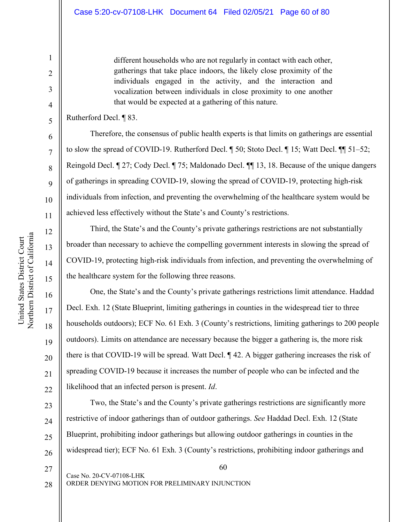different households who are not regularly in contact with each other, gatherings that take place indoors, the likely close proximity of the individuals engaged in the activity, and the interaction and vocalization between individuals in close proximity to one another that would be expected at a gathering of this nature.

## Rutherford Decl. ¶ 83.

1

2

3

4

5

6

7

8

9

10

11

12

13

14

15

16

17

18

19

20

21

22

23

24

25

26

27

28

Therefore, the consensus of public health experts is that limits on gatherings are essential to slow the spread of COVID-19. Rutherford Decl. ¶ 50; Stoto Decl. ¶ 15; Watt Decl. ¶¶ 51–52; Reingold Decl. ¶ 27; Cody Decl. ¶ 75; Maldonado Decl. ¶¶ 13, 18. Because of the unique dangers of gatherings in spreading COVID-19, slowing the spread of COVID-19, protecting high-risk individuals from infection, and preventing the overwhelming of the healthcare system would be achieved less effectively without the State's and County's restrictions.

Third, the State's and the County's private gatherings restrictions are not substantially broader than necessary to achieve the compelling government interests in slowing the spread of COVID-19, protecting high-risk individuals from infection, and preventing the overwhelming of the healthcare system for the following three reasons.

One, the State's and the County's private gatherings restrictions limit attendance. Haddad Decl. Exh. 12 (State Blueprint, limiting gatherings in counties in the widespread tier to three households outdoors); ECF No. 61 Exh. 3 (County's restrictions, limiting gatherings to 200 people outdoors). Limits on attendance are necessary because the bigger a gathering is, the more risk there is that COVID-19 will be spread. Watt Decl. ¶ 42. A bigger gathering increases the risk of spreading COVID-19 because it increases the number of people who can be infected and the likelihood that an infected person is present. *Id*.

Two, the State's and the County's private gatherings restrictions are significantly more restrictive of indoor gatherings than of outdoor gatherings. *See* Haddad Decl. Exh. 12 (State Blueprint, prohibiting indoor gatherings but allowing outdoor gatherings in counties in the widespread tier); ECF No. 61 Exh. 3 (County's restrictions, prohibiting indoor gatherings and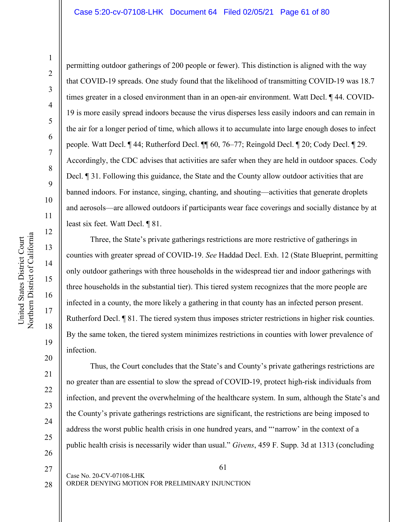permitting outdoor gatherings of 200 people or fewer). This distinction is aligned with the way that COVID-19 spreads. One study found that the likelihood of transmitting COVID-19 was 18.7 times greater in a closed environment than in an open-air environment. Watt Decl. ¶ 44. COVID-19 is more easily spread indoors because the virus disperses less easily indoors and can remain in the air for a longer period of time, which allows it to accumulate into large enough doses to infect people. Watt Decl. ¶ 44; Rutherford Decl. ¶¶ 60, 76–77; Reingold Decl. ¶ 20; Cody Decl. ¶ 29. Accordingly, the CDC advises that activities are safer when they are held in outdoor spaces. Cody Decl. ¶ 31. Following this guidance, the State and the County allow outdoor activities that are banned indoors. For instance, singing, chanting, and shouting—activities that generate droplets and aerosols—are allowed outdoors if participants wear face coverings and socially distance by at least six feet. Watt Decl. ¶ 81.

Three, the State's private gatherings restrictions are more restrictive of gatherings in counties with greater spread of COVID-19. *See* Haddad Decl. Exh. 12 (State Blueprint, permitting only outdoor gatherings with three households in the widespread tier and indoor gatherings with three households in the substantial tier). This tiered system recognizes that the more people are infected in a county, the more likely a gathering in that county has an infected person present. Rutherford Decl. ¶ 81. The tiered system thus imposes stricter restrictions in higher risk counties. By the same token, the tiered system minimizes restrictions in counties with lower prevalence of infection.

Thus, the Court concludes that the State's and County's private gatherings restrictions are no greater than are essential to slow the spread of COVID-19, protect high-risk individuals from infection, and prevent the overwhelming of the healthcare system. In sum, although the State's and the County's private gatherings restrictions are significant, the restrictions are being imposed to address the worst public health crisis in one hundred years, and "'narrow' in the context of a public health crisis is necessarily wider than usual." *Givens*, 459 F. Supp. 3d at 1313 (concluding

28

20

21

22

23

24

25

26

27

61

ORDER DENYING MOTION FOR PRELIMINARY INJUNCTION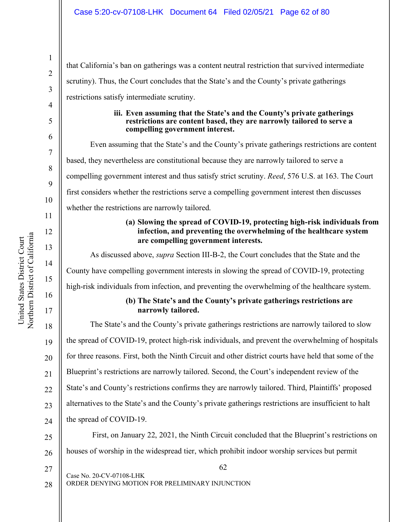# Case 5:20-cv-07108-LHK Document 64 Filed 02/05/21 Page 62 of 80

62 Case No. 20-CV-07108-LHK ORDER DENYING MOTION FOR PRELIMINARY INJUNCTION 19 20 21 22 23 24 25 26 27 28 that California's ban on gatherings was a content neutral restriction that survived intermediate scrutiny). Thus, the Court concludes that the State's and the County's private gatherings restrictions satisfy intermediate scrutiny. **iii. Even assuming that the State's and the County's private gatherings restrictions are content based, they are narrowly tailored to serve a compelling government interest.**  Even assuming that the State's and the County's private gatherings restrictions are content based, they nevertheless are constitutional because they are narrowly tailored to serve a compelling government interest and thus satisfy strict scrutiny. *Reed*, 576 U.S. at 163. The Court first considers whether the restrictions serve a compelling government interest then discusses whether the restrictions are narrowly tailored. **(a) Slowing the spread of COVID-19, protecting high-risk individuals from infection, and preventing the overwhelming of the healthcare system are compelling government interests.**  As discussed above, *supra* Section III-B-2, the Court concludes that the State and the County have compelling government interests in slowing the spread of COVID-19, protecting high-risk individuals from infection, and preventing the overwhelming of the healthcare system. **(b) The State's and the County's private gatherings restrictions are narrowly tailored.**  The State's and the County's private gatherings restrictions are narrowly tailored to slow the spread of COVID-19, protect high-risk individuals, and prevent the overwhelming of hospitals for three reasons. First, both the Ninth Circuit and other district courts have held that some of the Blueprint's restrictions are narrowly tailored. Second, the Court's independent review of the State's and County's restrictions confirms they are narrowly tailored. Third, Plaintiffs' proposed alternatives to the State's and the County's private gatherings restrictions are insufficient to halt the spread of COVID-19. First, on January 22, 2021, the Ninth Circuit concluded that the Blueprint's restrictions on houses of worship in the widespread tier, which prohibit indoor worship services but permit

Northern District of California Northern District of California United States District Court United States District Court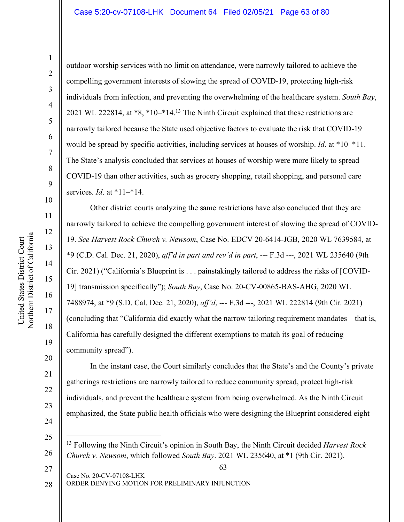#### Case 5:20-cv-07108-LHK Document 64 Filed 02/05/21 Page 63 of 80

11

12

13

14

15

16

17

18

19

20

21

22

23

24

25

27

outdoor worship services with no limit on attendance, were narrowly tailored to achieve the compelling government interests of slowing the spread of COVID-19, protecting high-risk individuals from infection, and preventing the overwhelming of the healthcare system. *South Bay*, 2021 WL 222814, at \*8, \*10–\*14.13 The Ninth Circuit explained that these restrictions are narrowly tailored because the State used objective factors to evaluate the risk that COVID-19 would be spread by specific activities, including services at houses of worship. *Id*. at \*10–\*11. The State's analysis concluded that services at houses of worship were more likely to spread COVID-19 than other activities, such as grocery shopping, retail shopping, and personal care services. *Id*. at \*11–\*14.

Other district courts analyzing the same restrictions have also concluded that they are narrowly tailored to achieve the compelling government interest of slowing the spread of COVID-19. *See Harvest Rock Church v. Newsom*, Case No. EDCV 20-6414-JGB, 2020 WL 7639584, at \*9 (C.D. Cal. Dec. 21, 2020), *aff'd in part and rev'd in part*, --- F.3d ---, 2021 WL 235640 (9th Cir. 2021) ("California's Blueprint is . . . painstakingly tailored to address the risks of [COVID-19] transmission specifically"); *South Bay*, Case No. 20-CV-00865-BAS-AHG, 2020 WL 7488974, at \*9 (S.D. Cal. Dec. 21, 2020), *aff'd*, --- F.3d ---, 2021 WL 222814 (9th Cir. 2021) (concluding that "California did exactly what the narrow tailoring requirement mandates—that is, California has carefully designed the different exemptions to match its goal of reducing community spread").

In the instant case, the Court similarly concludes that the State's and the County's private gatherings restrictions are narrowly tailored to reduce community spread, protect high-risk individuals, and prevent the healthcare system from being overwhelmed. As the Ninth Circuit emphasized, the State public health officials who were designing the Blueprint considered eight

ORDER DENYING MOTION FOR PRELIMINARY INJUNCTION 28

<sup>26</sup> 13 Following the Ninth Circuit's opinion in South Bay, the Ninth Circuit decided *Harvest Rock Church v. Newsom*, which followed *South Bay*. 2021 WL 235640, at \*1 (9th Cir. 2021).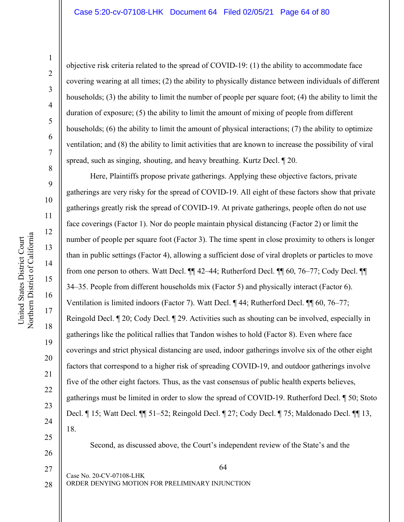objective risk criteria related to the spread of COVID-19: (1) the ability to accommodate face covering wearing at all times; (2) the ability to physically distance between individuals of different households; (3) the ability to limit the number of people per square foot; (4) the ability to limit the duration of exposure; (5) the ability to limit the amount of mixing of people from different households; (6) the ability to limit the amount of physical interactions; (7) the ability to optimize ventilation; and (8) the ability to limit activities that are known to increase the possibility of viral spread, such as singing, shouting, and heavy breathing. Kurtz Decl. ¶ 20.

Here, Plaintiffs propose private gatherings. Applying these objective factors, private gatherings are very risky for the spread of COVID-19. All eight of these factors show that private gatherings greatly risk the spread of COVID-19. At private gatherings, people often do not use face coverings (Factor 1). Nor do people maintain physical distancing (Factor 2) or limit the number of people per square foot (Factor 3). The time spent in close proximity to others is longer than in public settings (Factor 4), allowing a sufficient dose of viral droplets or particles to move from one person to others. Watt Decl. ¶¶ 42–44; Rutherford Decl. ¶¶ 60, 76–77; Cody Decl. ¶¶ 34–35. People from different households mix (Factor 5) and physically interact (Factor 6). Ventilation is limited indoors (Factor 7). Watt Decl. ¶ 44; Rutherford Decl. ¶¶ 60, 76–77; Reingold Decl. ¶ 20; Cody Decl. ¶ 29. Activities such as shouting can be involved, especially in gatherings like the political rallies that Tandon wishes to hold (Factor 8). Even where face coverings and strict physical distancing are used, indoor gatherings involve six of the other eight factors that correspond to a higher risk of spreading COVID-19, and outdoor gatherings involve five of the other eight factors. Thus, as the vast consensus of public health experts believes, gatherings must be limited in order to slow the spread of COVID-19. Rutherford Decl. ¶ 50; Stoto Decl. ¶ 15; Watt Decl. ¶¶ 51–52; Reingold Decl. ¶ 27; Cody Decl. ¶ 75; Maldonado Decl. ¶¶ 13, 18.

25 26

27

28

20

21

22

23

24

Second, as discussed above, the Court's independent review of the State's and the

64

ORDER DENYING MOTION FOR PRELIMINARY INJUNCTION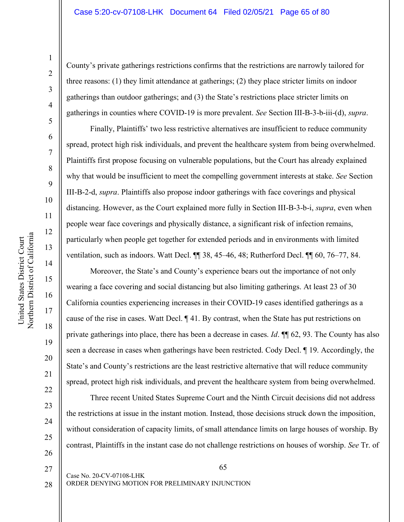14

15

16

County's private gatherings restrictions confirms that the restrictions are narrowly tailored for three reasons: (1) they limit attendance at gatherings; (2) they place stricter limits on indoor gatherings than outdoor gatherings; and (3) the State's restrictions place stricter limits on gatherings in counties where COVID-19 is more prevalent. *See* Section III-B-3-b-iii-(d), *supra*.

Finally, Plaintiffs' two less restrictive alternatives are insufficient to reduce community spread, protect high risk individuals, and prevent the healthcare system from being overwhelmed. Plaintiffs first propose focusing on vulnerable populations, but the Court has already explained why that would be insufficient to meet the compelling government interests at stake. *See* Section III-B-2-d, *supra*. Plaintiffs also propose indoor gatherings with face coverings and physical distancing. However, as the Court explained more fully in Section III-B-3-b-i, *supra*, even when people wear face coverings and physically distance, a significant risk of infection remains, particularly when people get together for extended periods and in environments with limited ventilation, such as indoors. Watt Decl. ¶¶ 38, 45–46, 48; Rutherford Decl. ¶¶ 60, 76–77, 84.

Moreover, the State's and County's experience bears out the importance of not only wearing a face covering and social distancing but also limiting gatherings. At least 23 of 30 California counties experiencing increases in their COVID-19 cases identified gatherings as a cause of the rise in cases. Watt Decl. ¶ 41. By contrast, when the State has put restrictions on private gatherings into place, there has been a decrease in cases. *Id*. ¶¶ 62, 93. The County has also seen a decrease in cases when gatherings have been restricted. Cody Decl. ¶ 19. Accordingly, the State's and County's restrictions are the least restrictive alternative that will reduce community spread, protect high risk individuals, and prevent the healthcare system from being overwhelmed.

Three recent United States Supreme Court and the Ninth Circuit decisions did not address the restrictions at issue in the instant motion. Instead, those decisions struck down the imposition, without consideration of capacity limits, of small attendance limits on large houses of worship. By contrast, Plaintiffs in the instant case do not challenge restrictions on houses of worship. *See* Tr. of

26

27

28

65

ORDER DENYING MOTION FOR PRELIMINARY INJUNCTION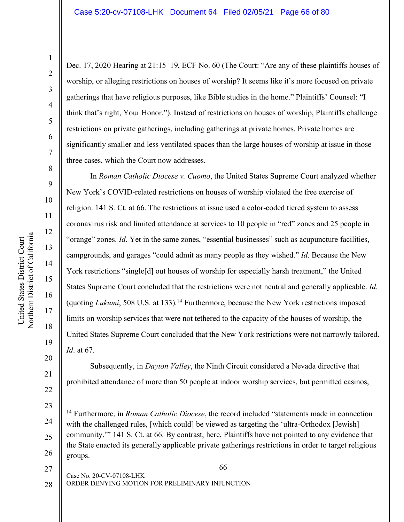21

22

Dec. 17, 2020 Hearing at 21:15–19, ECF No. 60 (The Court: "Are any of these plaintiffs houses of worship, or alleging restrictions on houses of worship? It seems like it's more focused on private gatherings that have religious purposes, like Bible studies in the home." Plaintiffs' Counsel: "I think that's right, Your Honor."). Instead of restrictions on houses of worship, Plaintiffs challenge restrictions on private gatherings, including gatherings at private homes. Private homes are significantly smaller and less ventilated spaces than the large houses of worship at issue in those three cases, which the Court now addresses.

In *Roman Catholic Diocese v. Cuomo*, the United States Supreme Court analyzed whether New York's COVID-related restrictions on houses of worship violated the free exercise of religion. 141 S. Ct. at 66. The restrictions at issue used a color-coded tiered system to assess coronavirus risk and limited attendance at services to 10 people in "red" zones and 25 people in "orange" zones. *Id*. Yet in the same zones, "essential businesses" such as acupuncture facilities, campgrounds, and garages "could admit as many people as they wished." *Id*. Because the New York restrictions "single[d] out houses of worship for especially harsh treatment," the United States Supreme Court concluded that the restrictions were not neutral and generally applicable. *Id.* (quoting *Lukumi*, 508 U.S. at 133)*.* <sup>14</sup> Furthermore, because the New York restrictions imposed limits on worship services that were not tethered to the capacity of the houses of worship, the United States Supreme Court concluded that the New York restrictions were not narrowly tailored. *Id*. at 67.

Subsequently, in *Dayton Valley*, the Ninth Circuit considered a Nevada directive that prohibited attendance of more than 50 people at indoor worship services, but permitted casinos,

66

Case No. 20-CV-07108-LHK ORDER DENYING MOTION FOR PRELIMINARY INJUNCTION 27 28

<sup>23</sup> 24 25 26 14 Furthermore, in *Roman Catholic Diocese*, the record included "statements made in connection with the challenged rules, [which could] be viewed as targeting the 'ultra-Orthodox [Jewish] community.'" 141 S. Ct. at 66. By contrast, here, Plaintiffs have not pointed to any evidence that the State enacted its generally applicable private gatherings restrictions in order to target religious groups.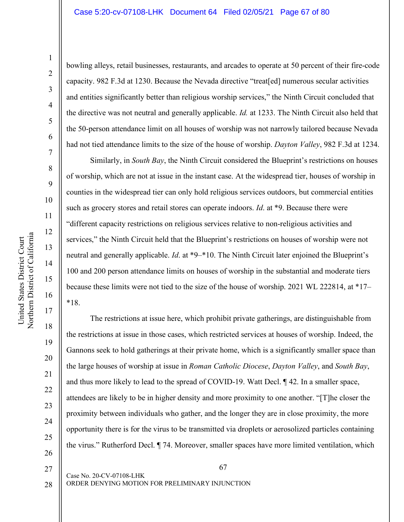#### Case 5:20-cv-07108-LHK Document 64 Filed 02/05/21 Page 67 of 80

United States District Court Northern District of California

Northern District of California United States District Court

1

bowling alleys, retail businesses, restaurants, and arcades to operate at 50 percent of their fire-code capacity. 982 F.3d at 1230. Because the Nevada directive "treat[ed] numerous secular activities and entities significantly better than religious worship services," the Ninth Circuit concluded that the directive was not neutral and generally applicable. *Id.* at 1233. The Ninth Circuit also held that the 50-person attendance limit on all houses of worship was not narrowly tailored because Nevada had not tied attendance limits to the size of the house of worship. *Dayton Valley*, 982 F.3d at 1234.

Similarly, in *South Bay*, the Ninth Circuit considered the Blueprint's restrictions on houses of worship, which are not at issue in the instant case. At the widespread tier, houses of worship in counties in the widespread tier can only hold religious services outdoors, but commercial entities such as grocery stores and retail stores can operate indoors. *Id*. at \*9. Because there were "different capacity restrictions on religious services relative to non-religious activities and services," the Ninth Circuit held that the Blueprint's restrictions on houses of worship were not neutral and generally applicable. *Id*. at \*9–\*10. The Ninth Circuit later enjoined the Blueprint's 100 and 200 person attendance limits on houses of worship in the substantial and moderate tiers because these limits were not tied to the size of the house of worship. 2021 WL 222814, at \*17– \*18.

The restrictions at issue here, which prohibit private gatherings, are distinguishable from the restrictions at issue in those cases, which restricted services at houses of worship. Indeed, the Gannons seek to hold gatherings at their private home, which is a significantly smaller space than the large houses of worship at issue in *Roman Catholic Diocese*, *Dayton Valley*, and *South Bay*, and thus more likely to lead to the spread of COVID-19. Watt Decl. ¶ 42. In a smaller space, attendees are likely to be in higher density and more proximity to one another. "[T]he closer the proximity between individuals who gather, and the longer they are in close proximity, the more opportunity there is for the virus to be transmitted via droplets or aerosolized particles containing the virus." Rutherford Decl. ¶ 74. Moreover, smaller spaces have more limited ventilation, which

28

27

20

21

22

23

24

25

26

67

ORDER DENYING MOTION FOR PRELIMINARY INJUNCTION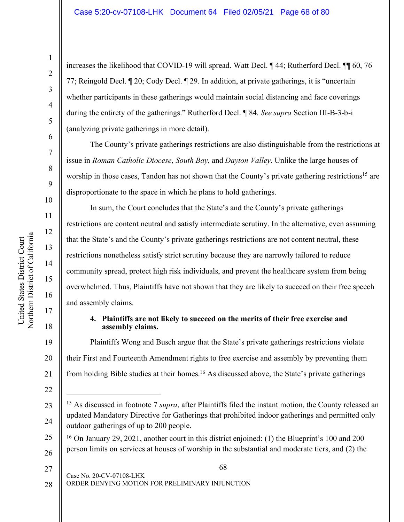increases the likelihood that COVID-19 will spread. Watt Decl. ¶ 44; Rutherford Decl. ¶¶ 60, 76– 77; Reingold Decl. ¶ 20; Cody Decl. ¶ 29. In addition, at private gatherings, it is "uncertain whether participants in these gatherings would maintain social distancing and face coverings during the entirety of the gatherings." Rutherford Decl. ¶ 84. *See supra* Section III-B-3-b-i (analyzing private gatherings in more detail).

The County's private gatherings restrictions are also distinguishable from the restrictions at issue in *Roman Catholic Diocese*, *South Bay*, and *Dayton Valley*. Unlike the large houses of worship in those cases, Tandon has not shown that the County's private gathering restrictions<sup>15</sup> are disproportionate to the space in which he plans to hold gatherings.

In sum, the Court concludes that the State's and the County's private gatherings restrictions are content neutral and satisfy intermediate scrutiny. In the alternative, even assuming that the State's and the County's private gatherings restrictions are not content neutral, these restrictions nonetheless satisfy strict scrutiny because they are narrowly tailored to reduce community spread, protect high risk individuals, and prevent the healthcare system from being overwhelmed. Thus, Plaintiffs have not shown that they are likely to succeed on their free speech and assembly claims.

# **4. Plaintiffs are not likely to succeed on the merits of their free exercise and assembly claims.**

Plaintiffs Wong and Busch argue that the State's private gatherings restrictions violate their First and Fourteenth Amendment rights to free exercise and assembly by preventing them from holding Bible studies at their homes.<sup>16</sup> As discussed above, the State's private gatherings

20

United States District Court Northern District of California

Northern District of California United States District Court

21

- 25 26 <sup>16</sup> On January 29, 2021, another court in this district enjoined: (1) the Blueprint's 100 and 200 person limits on services at houses of worship in the substantial and moderate tiers, and (2) the
- 27

28

ORDER DENYING MOTION FOR PRELIMINARY INJUNCTION

<sup>22</sup>

<sup>23</sup> 24 <sup>15</sup> As discussed in footnote 7 *supra*, after Plaintiffs filed the instant motion, the County released an updated Mandatory Directive for Gatherings that prohibited indoor gatherings and permitted only outdoor gatherings of up to 200 people.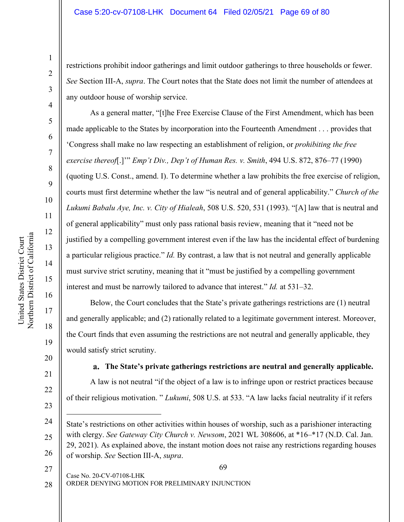restrictions prohibit indoor gatherings and limit outdoor gatherings to three households or fewer. *See* Section III-A, *supra*. The Court notes that the State does not limit the number of attendees at any outdoor house of worship service.

As a general matter, "[t]he Free Exercise Clause of the First Amendment, which has been made applicable to the States by incorporation into the Fourteenth Amendment . . . provides that 'Congress shall make no law respecting an establishment of religion, or *prohibiting the free exercise thereof*[.]'" *Emp't Div., Dep't of Human Res. v. Smith*, 494 U.S. 872, 876–77 (1990) (quoting U.S. Const., amend. I). To determine whether a law prohibits the free exercise of religion, courts must first determine whether the law "is neutral and of general applicability." *Church of the Lukumi Babalu Aye, Inc. v. City of Hialeah*, 508 U.S. 520, 531 (1993). "[A] law that is neutral and of general applicability" must only pass rational basis review, meaning that it "need not be justified by a compelling government interest even if the law has the incidental effect of burdening a particular religious practice." *Id.* By contrast, a law that is not neutral and generally applicable must survive strict scrutiny, meaning that it "must be justified by a compelling government interest and must be narrowly tailored to advance that interest." *Id.* at 531–32.

Below, the Court concludes that the State's private gatherings restrictions are (1) neutral and generally applicable; and (2) rationally related to a legitimate government interest. Moreover, the Court finds that even assuming the restrictions are not neutral and generally applicable, they would satisfy strict scrutiny.

**The State's private gatherings restrictions are neutral and generally applicable.** A law is not neutral "if the object of a law is to infringe upon or restrict practices because of their religious motivation. " *Lukumi*, 508 U.S. at 533. "A law lacks facial neutrality if it refers

69

Case No. 20-CV-07108-LHK 27

ORDER DENYING MOTION FOR PRELIMINARY INJUNCTION 28

1

2

3

4

5

6

7

8

9

10

11

12

13

14

15

16

17

18

19

20

21

22

23

 $\overline{a}$ 

<sup>24</sup> 25 26 State's restrictions on other activities within houses of worship, such as a parishioner interacting with clergy. *See Gateway City Church v. Newsom*, 2021 WL 308606, at \*16–\*17 (N.D. Cal. Jan. 29, 2021). As explained above, the instant motion does not raise any restrictions regarding houses of worship. *See* Section III-A, *supra*.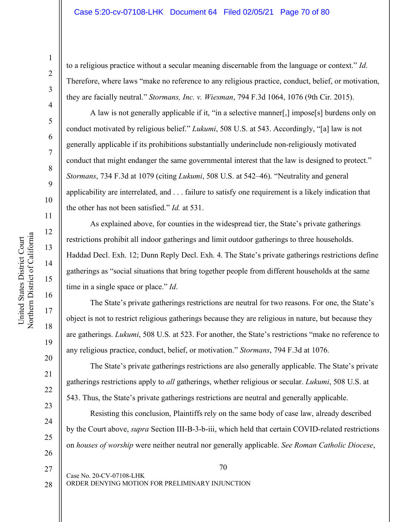to a religious practice without a secular meaning discernable from the language or context." *Id*. Therefore, where laws "make no reference to any religious practice, conduct, belief, or motivation, they are facially neutral." *Stormans, Inc. v. Wiesman*, 794 F.3d 1064, 1076 (9th Cir. 2015).

A law is not generally applicable if it, "in a selective manner[,] impose[s] burdens only on conduct motivated by religious belief." *Lukumi*, 508 U.S. at 543. Accordingly, "[a] law is not generally applicable if its prohibitions substantially underinclude non-religiously motivated conduct that might endanger the same governmental interest that the law is designed to protect." *Stormans*, 734 F.3d at 1079 (citing *Lukumi*, 508 U.S. at 542–46). "Neutrality and general applicability are interrelated, and . . . failure to satisfy one requirement is a likely indication that the other has not been satisfied." *Id.* at 531.

As explained above, for counties in the widespread tier, the State's private gatherings restrictions prohibit all indoor gatherings and limit outdoor gatherings to three households. Haddad Decl. Exh. 12; Dunn Reply Decl. Exh. 4. The State's private gatherings restrictions define gatherings as "social situations that bring together people from different households at the same time in a single space or place." *Id*.

The State's private gatherings restrictions are neutral for two reasons. For one, the State's object is not to restrict religious gatherings because they are religious in nature, but because they are gatherings. *Lukumi*, 508 U.S. at 523. For another, the State's restrictions "make no reference to any religious practice, conduct, belief, or motivation." *Stormans*, 794 F.3d at 1076.

The State's private gatherings restrictions are also generally applicable. The State's private gatherings restrictions apply to *all* gatherings, whether religious or secular. *Lukumi*, 508 U.S. at 543. Thus, the State's private gatherings restrictions are neutral and generally applicable.

Resisting this conclusion, Plaintiffs rely on the same body of case law, already described by the Court above, *supra* Section III-B-3-b-iii, which held that certain COVID-related restrictions on *houses of worship* were neither neutral nor generally applicable. *See Roman Catholic Diocese*,

70

1

2

3

4

5

6

7

8

9

10

11

12

13

14

15

16

17

18

19

20

21

22

23

24

25

26

27

ORDER DENYING MOTION FOR PRELIMINARY INJUNCTION 28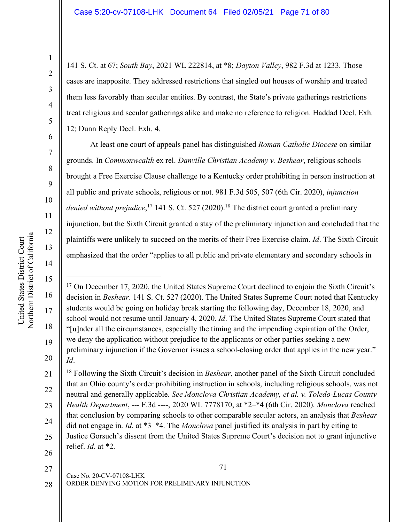141 S. Ct. at 67; *South Bay*, 2021 WL 222814, at \*8; *Dayton Valley*, 982 F.3d at 1233. Those cases are inapposite. They addressed restrictions that singled out houses of worship and treated them less favorably than secular entities. By contrast, the State's private gatherings restrictions treat religious and secular gatherings alike and make no reference to religion. Haddad Decl. Exh. 12; Dunn Reply Decl. Exh. 4.

At least one court of appeals panel has distinguished *Roman Catholic Diocese* on similar grounds. In *Commonwealth* ex rel. *Danville Christian Academy v. Beshear*, religious schools brought a Free Exercise Clause challenge to a Kentucky order prohibiting in person instruction at all public and private schools, religious or not. 981 F.3d 505, 507 (6th Cir. 2020), *injunction*  denied without prejudice,<sup>17</sup> 141 S. Ct. 527 (2020).<sup>18</sup> The district court granted a preliminary injunction, but the Sixth Circuit granted a stay of the preliminary injunction and concluded that the plaintiffs were unlikely to succeed on the merits of their Free Exercise claim. *Id*. The Sixth Circuit emphasized that the order "applies to all public and private elementary and secondary schools in

27

1

2

3

4

5

6

7

8

9

10

11

12

13

14

15

 $\overline{a}$ 

16

17

18

19

20

28

71

<sup>&</sup>lt;sup>17</sup> On December 17, 2020, the United States Supreme Court declined to enjoin the Sixth Circuit's decision in *Beshear*. 141 S. Ct. 527 (2020). The United States Supreme Court noted that Kentucky students would be going on holiday break starting the following day, December 18, 2020, and school would not resume until January 4, 2020. *Id*. The United States Supreme Court stated that "[u]nder all the circumstances, especially the timing and the impending expiration of the Order, we deny the application without prejudice to the applicants or other parties seeking a new preliminary injunction if the Governor issues a school-closing order that applies in the new year." *Id*.

<sup>21</sup> 22 23 24 25 26 <sup>18</sup> Following the Sixth Circuit's decision in *Beshear*, another panel of the Sixth Circuit concluded that an Ohio county's order prohibiting instruction in schools, including religious schools, was not neutral and generally applicable. *See Monclova Christian Academy, et al. v. Toledo-Lucas County Health Department*, --- F.3d ----, 2020 WL 7778170, at \*2–\*4 (6th Cir. 2020). *Monclova* reached that conclusion by comparing schools to other comparable secular actors, an analysis that *Beshear*  did not engage in. *Id*. at \*3–\*4. The *Monclova* panel justified its analysis in part by citing to Justice Gorsuch's dissent from the United States Supreme Court's decision not to grant injunctive relief. *Id*. at \*2.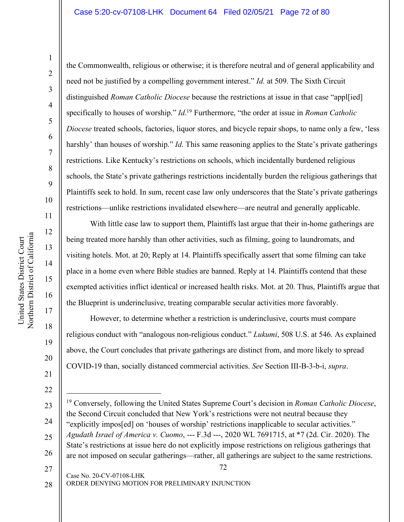# Case 5:20-cv-07108-LHK Document 64 Filed 02/05/21 Page 72 of 80

Northern District of California Northern District of California United States District Court United States District Court

14

15

16

17

18

19

20

21

22

the Commonwealth, religious or otherwise; it is therefore neutral and of general applicability and need not be justified by a compelling government interest." *Id.* at 509. The Sixth Circuit distinguished *Roman Catholic Diocese* because the restrictions at issue in that case "appl[ied] specifically to houses of worship." *Id*. <sup>19</sup> Furthermore, "the order at issue in *Roman Catholic Diocese* treated schools, factories, liquor stores, and bicycle repair shops, to name only a few, 'less harshly' than houses of worship." *Id*. This same reasoning applies to the State's private gatherings restrictions. Like Kentucky's restrictions on schools, which incidentally burdened religious schools, the State's private gatherings restrictions incidentally burden the religious gatherings that Plaintiffs seek to hold. In sum, recent case law only underscores that the State's private gatherings restrictions—unlike restrictions invalidated elsewhere—are neutral and generally applicable.

With little case law to support them, Plaintiffs last argue that their in-home gatherings are being treated more harshly than other activities, such as filming, going to laundromats, and visiting hotels. Mot. at 20; Reply at 14. Plaintiffs specifically assert that some filming can take place in a home even where Bible studies are banned. Reply at 14. Plaintiffs contend that these exempted activities inflict identical or increased health risks. Mot. at 20. Thus, Plaintiffs argue that the Blueprint is underinclusive, treating comparable secular activities more favorably.

However, to determine whether a restriction is underinclusive, courts must compare religious conduct with "analogous non-religious conduct." *Lukumi*, 508 U.S. at 546. As explained above, the Court concludes that private gatherings are distinct from, and more likely to spread COVID-19 than, socially distanced commercial activities. *See* Section III-B-3-b-i, *supra*.

ORDER DENYING MOTION FOR PRELIMINARY INJUNCTION

<sup>72</sup> Case No. 20-CV-07108-LHK 23 24 25 26 27  $\overline{a}$ <sup>19</sup> Conversely, following the United States Supreme Court's decision in *Roman Catholic Diocese*, the Second Circuit concluded that New York's restrictions were not neutral because they "explicitly impos[ed] on 'houses of worship' restrictions inapplicable to secular activities." *Agudath Israel of America v. Cuomo*, --- F.3d ---, 2020 WL 7691715, at \*7 (2d. Cir. 2020). The State's restrictions at issue here do not explicitly impose restrictions on religious gatherings that are not imposed on secular gatherings—rather, all gatherings are subject to the same restrictions.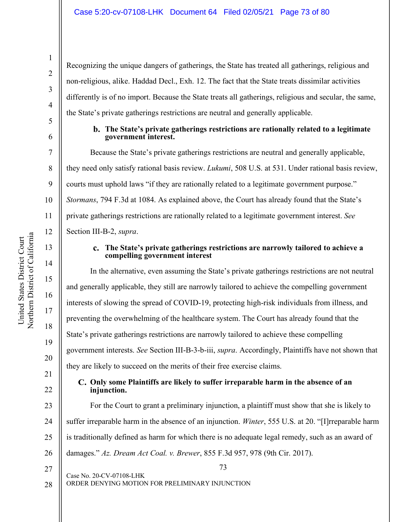12

13

14

15

16

17

18

19

20

21

22

23

24

25

26

Recognizing the unique dangers of gatherings, the State has treated all gatherings, religious and non-religious, alike. Haddad Decl., Exh. 12. The fact that the State treats dissimilar activities differently is of no import. Because the State treats all gatherings, religious and secular, the same, the State's private gatherings restrictions are neutral and generally applicable.

#### **The State's private gatherings restrictions are rationally related to a legitimate government interest.**

Because the State's private gatherings restrictions are neutral and generally applicable, they need only satisfy rational basis review. *Lukumi*, 508 U.S. at 531. Under rational basis review, courts must uphold laws "if they are rationally related to a legitimate government purpose." *Stormans*, 794 F.3d at 1084. As explained above, the Court has already found that the State's private gatherings restrictions are rationally related to a legitimate government interest. *See* Section III-B-2, *supra*.

### **The State's private gatherings restrictions are narrowly tailored to achieve a compelling government interest**

In the alternative, even assuming the State's private gatherings restrictions are not neutral and generally applicable, they still are narrowly tailored to achieve the compelling government interests of slowing the spread of COVID-19, protecting high-risk individuals from illness, and preventing the overwhelming of the healthcare system. The Court has already found that the State's private gatherings restrictions are narrowly tailored to achieve these compelling government interests. *See* Section III-B-3-b-iii, *supra*. Accordingly, Plaintiffs have not shown that they are likely to succeed on the merits of their free exercise claims.

## **Only some Plaintiffs are likely to suffer irreparable harm in the absence of an injunction.**

For the Court to grant a preliminary injunction, a plaintiff must show that she is likely to suffer irreparable harm in the absence of an injunction. *Winter*, 555 U.S. at 20. "[I]rreparable harm is traditionally defined as harm for which there is no adequate legal remedy, such as an award of damages." *Az. Dream Act Coal. v. Brewer*, 855 F.3d 957, 978 (9th Cir. 2017).

73

27

28

Case No. 20-CV-07108-LHK

ORDER DENYING MOTION FOR PRELIMINARY INJUNCTION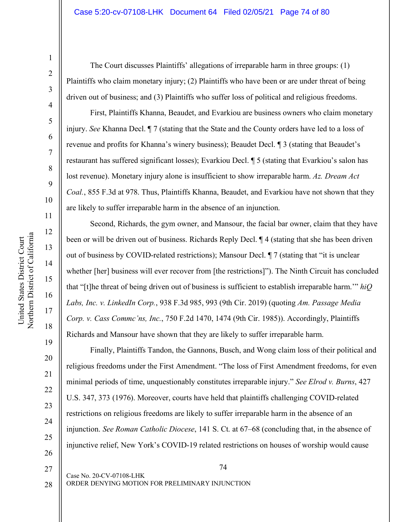The Court discusses Plaintiffs' allegations of irreparable harm in three groups: (1) Plaintiffs who claim monetary injury; (2) Plaintiffs who have been or are under threat of being driven out of business; and (3) Plaintiffs who suffer loss of political and religious freedoms.

First, Plaintiffs Khanna, Beaudet, and Evarkiou are business owners who claim monetary injury. *See* Khanna Decl. ¶ 7 (stating that the State and the County orders have led to a loss of revenue and profits for Khanna's winery business); Beaudet Decl. ¶ 3 (stating that Beaudet's restaurant has suffered significant losses); Evarkiou Decl. ¶ 5 (stating that Evarkiou's salon has lost revenue). Monetary injury alone is insufficient to show irreparable harm. *Az. Dream Act Coal.*, 855 F.3d at 978. Thus, Plaintiffs Khanna, Beaudet, and Evarkiou have not shown that they are likely to suffer irreparable harm in the absence of an injunction.

Second, Richards, the gym owner, and Mansour, the facial bar owner, claim that they have been or will be driven out of business. Richards Reply Decl. ¶ 4 (stating that she has been driven out of business by COVID-related restrictions); Mansour Decl. ¶ 7 (stating that "it is unclear whether [her] business will ever recover from [the restrictions]"). The Ninth Circuit has concluded that "[t]he threat of being driven out of business is sufficient to establish irreparable harm.'" *hiQ Labs, Inc. v. LinkedIn Corp.*, 938 F.3d 985, 993 (9th Cir. 2019) (quoting *Am. Passage Media Corp. v. Cass Commc'ns, Inc.*, 750 F.2d 1470, 1474 (9th Cir. 1985)). Accordingly, Plaintiffs Richards and Mansour have shown that they are likely to suffer irreparable harm.

Finally, Plaintiffs Tandon, the Gannons, Busch, and Wong claim loss of their political and religious freedoms under the First Amendment. "The loss of First Amendment freedoms, for even minimal periods of time, unquestionably constitutes irreparable injury." *See Elrod v. Burns*, 427 U.S. 347, 373 (1976). Moreover, courts have held that plaintiffs challenging COVID-related restrictions on religious freedoms are likely to suffer irreparable harm in the absence of an injunction. *See Roman Catholic Diocese*, 141 S. Ct. at 67–68 (concluding that, in the absence of injunctive relief, New York's COVID-19 related restrictions on houses of worship would cause

74

ORDER DENYING MOTION FOR PRELIMINARY INJUNCTION

Case No. 20-CV-07108-LHK

1

2

3

4

5

6

7

8

9

10

11

12

13

14

15

16

17

18

19

20

21

27

28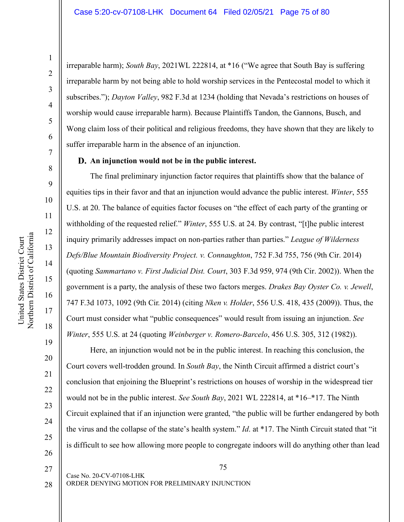United States District Court Northern District of California

Northern District of California United States District Court

21

22

23

24

25

26

27

28

irreparable harm); *South Bay*, 2021WL 222814, at \*16 ("We agree that South Bay is suffering irreparable harm by not being able to hold worship services in the Pentecostal model to which it subscribes."); *Dayton Valley*, 982 F.3d at 1234 (holding that Nevada's restrictions on houses of worship would cause irreparable harm). Because Plaintiffs Tandon, the Gannons, Busch, and Wong claim loss of their political and religious freedoms, they have shown that they are likely to suffer irreparable harm in the absence of an injunction.

### **An injunction would not be in the public interest.**

The final preliminary injunction factor requires that plaintiffs show that the balance of equities tips in their favor and that an injunction would advance the public interest. *Winter*, 555 U.S. at 20. The balance of equities factor focuses on "the effect of each party of the granting or withholding of the requested relief." *Winter*, 555 U.S. at 24. By contrast, "[t]he public interest inquiry primarily addresses impact on non-parties rather than parties." *League of Wilderness Defs/Blue Mountain Biodiversity Project. v. Connaughton*, 752 F.3d 755, 756 (9th Cir. 2014) (quoting *Sammartano v. First Judicial Dist. Court*, 303 F.3d 959, 974 (9th Cir. 2002)). When the government is a party, the analysis of these two factors merges. *Drakes Bay Oyster Co. v. Jewell*, 747 F.3d 1073, 1092 (9th Cir. 2014) (citing *Nken v. Holder*, 556 U.S. 418, 435 (2009)). Thus, the Court must consider what "public consequences" would result from issuing an injunction. *See Winter*, 555 U.S. at 24 (quoting *Weinberger v. Romero-Barcelo*, 456 U.S. 305, 312 (1982)).

Here, an injunction would not be in the public interest. In reaching this conclusion, the Court covers well-trodden ground. In *South Bay*, the Ninth Circuit affirmed a district court's conclusion that enjoining the Blueprint's restrictions on houses of worship in the widespread tier would not be in the public interest. *See South Bay*, 2021 WL 222814, at \*16–\*17. The Ninth Circuit explained that if an injunction were granted, "the public will be further endangered by both the virus and the collapse of the state's health system." *Id*. at \*17. The Ninth Circuit stated that "it is difficult to see how allowing more people to congregate indoors will do anything other than lead

ORDER DENYING MOTION FOR PRELIMINARY INJUNCTION

Case No. 20-CV-07108-LHK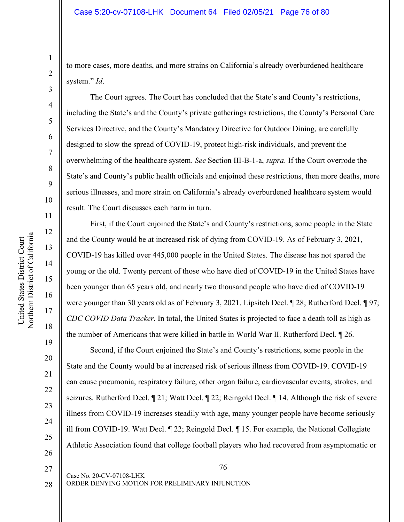to more cases, more deaths, and more strains on California's already overburdened healthcare system." *Id*.

The Court agrees. The Court has concluded that the State's and County's restrictions, including the State's and the County's private gatherings restrictions, the County's Personal Care Services Directive, and the County's Mandatory Directive for Outdoor Dining, are carefully designed to slow the spread of COVID-19, protect high-risk individuals, and prevent the overwhelming of the healthcare system. *See* Section III-B-1-a, *supra*. If the Court overrode the State's and County's public health officials and enjoined these restrictions, then more deaths, more serious illnesses, and more strain on California's already overburdened healthcare system would result. The Court discusses each harm in turn.

First, if the Court enjoined the State's and County's restrictions, some people in the State and the County would be at increased risk of dying from COVID-19. As of February 3, 2021, COVID-19 has killed over 445,000 people in the United States. The disease has not spared the young or the old. Twenty percent of those who have died of COVID-19 in the United States have been younger than 65 years old, and nearly two thousand people who have died of COVID-19 were younger than 30 years old as of February 3, 2021. Lipsitch Decl. ¶ 28; Rutherford Decl. ¶ 97; *CDC COVID Data Tracker*. In total, the United States is projected to face a death toll as high as the number of Americans that were killed in battle in World War II. Rutherford Decl. ¶ 26.

Second, if the Court enjoined the State's and County's restrictions, some people in the State and the County would be at increased risk of serious illness from COVID-19. COVID-19 can cause pneumonia, respiratory failure, other organ failure, cardiovascular events, strokes, and seizures. Rutherford Decl. ¶ 21; Watt Decl. ¶ 22; Reingold Decl. ¶ 14. Although the risk of severe illness from COVID-19 increases steadily with age, many younger people have become seriously ill from COVID-19. Watt Decl. ¶ 22; Reingold Decl. ¶ 15. For example, the National Collegiate Athletic Association found that college football players who had recovered from asymptomatic or

27

1

2

3

4

5

6

7

8

9

10

11

12

13

14

15

16

17

18

19

20

21

22

23

24

25

26

28

Case No. 20-CV-07108-LHK ORDER DENYING MOTION FOR PRELIMINARY INJUNCTION

76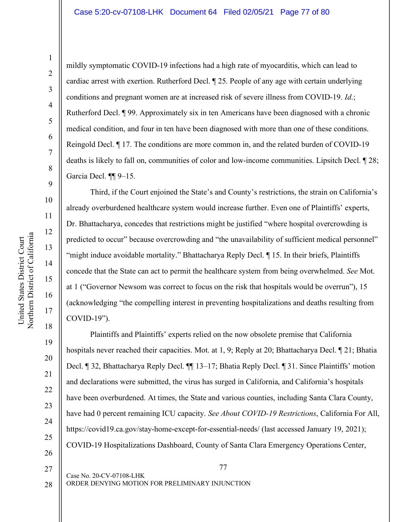mildly symptomatic COVID-19 infections had a high rate of myocarditis, which can lead to cardiac arrest with exertion. Rutherford Decl. ¶ 25. People of any age with certain underlying conditions and pregnant women are at increased risk of severe illness from COVID-19. *Id*.; Rutherford Decl. ¶ 99. Approximately six in ten Americans have been diagnosed with a chronic medical condition, and four in ten have been diagnosed with more than one of these conditions. Reingold Decl. ¶ 17. The conditions are more common in, and the related burden of COVID-19 deaths is likely to fall on, communities of color and low-income communities. Lipsitch Decl. ¶ 28; Garcia Decl. ¶¶ 9–15.

Third, if the Court enjoined the State's and County's restrictions, the strain on California's already overburdened healthcare system would increase further. Even one of Plaintiffs' experts, Dr. Bhattacharya, concedes that restrictions might be justified "where hospital overcrowding is predicted to occur" because overcrowding and "the unavailability of sufficient medical personnel" "might induce avoidable mortality." Bhattacharya Reply Decl. ¶ 15. In their briefs, Plaintiffs concede that the State can act to permit the healthcare system from being overwhelmed. *See* Mot. at 1 ("Governor Newsom was correct to focus on the risk that hospitals would be overrun"), 15 (acknowledging "the compelling interest in preventing hospitalizations and deaths resulting from COVID-19").

Plaintiffs and Plaintiffs' experts relied on the now obsolete premise that California hospitals never reached their capacities. Mot. at 1, 9; Reply at 20; Bhattacharya Decl. ¶ 21; Bhatia Decl. ¶ 32, Bhattacharya Reply Decl. ¶¶ 13–17; Bhatia Reply Decl. ¶ 31. Since Plaintiffs' motion and declarations were submitted, the virus has surged in California, and California's hospitals have been overburdened. At times, the State and various counties, including Santa Clara County, have had 0 percent remaining ICU capacity. *See About COVID-19 Restrictions*, California For All, https://covid19.ca.gov/stay-home-except-for-essential-needs/ (last accessed January 19, 2021); COVID-19 Hospitalizations Dashboard, County of Santa Clara Emergency Operations Center,

28

27

20

21

22

23

24

25

26

77

ORDER DENYING MOTION FOR PRELIMINARY INJUNCTION

Case No. 20-CV-07108-LHK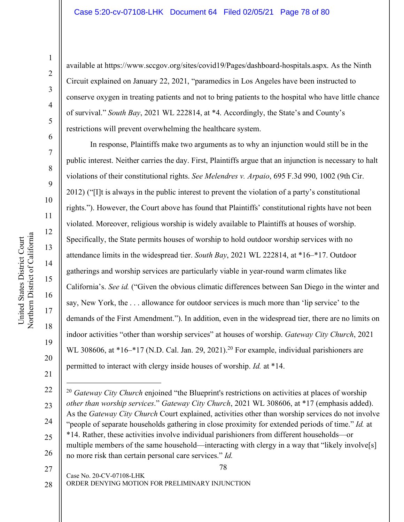available at https://www.sccgov.org/sites/covid19/Pages/dashboard-hospitals.aspx. As the Ninth Circuit explained on January 22, 2021, "paramedics in Los Angeles have been instructed to conserve oxygen in treating patients and not to bring patients to the hospital who have little chance of survival." *South Bay*, 2021 WL 222814, at \*4. Accordingly, the State's and County's restrictions will prevent overwhelming the healthcare system.

In response, Plaintiffs make two arguments as to why an injunction would still be in the public interest. Neither carries the day. First, Plaintiffs argue that an injunction is necessary to halt violations of their constitutional rights. *See Melendres v. Arpaio*, 695 F.3d 990, 1002 (9th Cir. 2012) ("[I]t is always in the public interest to prevent the violation of a party's constitutional rights."). However, the Court above has found that Plaintiffs' constitutional rights have not been violated. Moreover, religious worship is widely available to Plaintiffs at houses of worship. Specifically, the State permits houses of worship to hold outdoor worship services with no attendance limits in the widespread tier. *South Bay*, 2021 WL 222814, at \*16–\*17. Outdoor gatherings and worship services are particularly viable in year-round warm climates like California's. *See id.* ("Given the obvious climatic differences between San Diego in the winter and say, New York, the . . . allowance for outdoor services is much more than 'lip service' to the demands of the First Amendment."). In addition, even in the widespread tier, there are no limits on indoor activities "other than worship services" at houses of worship. *Gateway City Church*, 2021 WL 308606, at \*16–\*17 (N.D. Cal. Jan. 29, 2021).<sup>20</sup> For example, individual parishioners are permitted to interact with clergy inside houses of worship. *Id.* at \*14.

78  $\overline{a}$ <sup>20</sup> *Gateway City Church* enjoined "the Blueprint's restrictions on activities at places of worship *other than worship services*." *Gateway City Church*, 2021 WL 308606, at \*17 (emphasis added). As the *Gateway City Church* Court explained, activities other than worship services do not involve "people of separate households gathering in close proximity for extended periods of time." *Id.* at \*14. Rather, these activities involve individual parishioners from different households—or multiple members of the same household—interacting with clergy in a way that "likely involve[s] no more risk than certain personal care services." *Id.*

27 28

20

21

22

23

24

25

26

ORDER DENYING MOTION FOR PRELIMINARY INJUNCTION

Case No. 20-CV-07108-LHK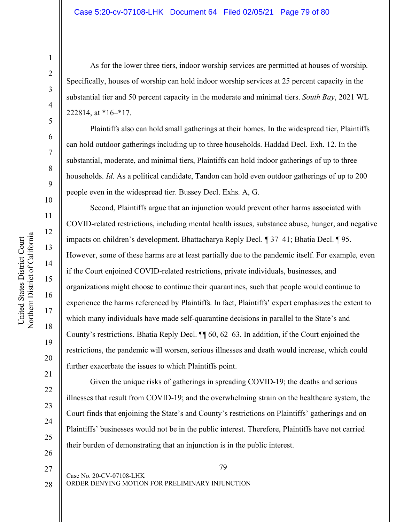#### Case 5:20-cv-07108-LHK Document 64 Filed 02/05/21 Page 79 of 80

As for the lower three tiers, indoor worship services are permitted at houses of worship. Specifically, houses of worship can hold indoor worship services at 25 percent capacity in the substantial tier and 50 percent capacity in the moderate and minimal tiers. *South Bay*, 2021 WL 222814, at \*16–\*17.

Plaintiffs also can hold small gatherings at their homes. In the widespread tier, Plaintiffs can hold outdoor gatherings including up to three households. Haddad Decl. Exh. 12. In the substantial, moderate, and minimal tiers, Plaintiffs can hold indoor gatherings of up to three households. *Id*. As a political candidate, Tandon can hold even outdoor gatherings of up to 200 people even in the widespread tier. Bussey Decl. Exhs. A, G.

Second, Plaintiffs argue that an injunction would prevent other harms associated with COVID-related restrictions, including mental health issues, substance abuse, hunger, and negative impacts on children's development. Bhattacharya Reply Decl. ¶ 37–41; Bhatia Decl. ¶ 95. However, some of these harms are at least partially due to the pandemic itself. For example, even if the Court enjoined COVID-related restrictions, private individuals, businesses, and organizations might choose to continue their quarantines, such that people would continue to experience the harms referenced by Plaintiffs. In fact, Plaintiffs' expert emphasizes the extent to which many individuals have made self-quarantine decisions in parallel to the State's and County's restrictions. Bhatia Reply Decl. ¶¶ 60, 62–63. In addition, if the Court enjoined the restrictions, the pandemic will worsen, serious illnesses and death would increase, which could further exacerbate the issues to which Plaintiffs point.

Given the unique risks of gatherings in spreading COVID-19; the deaths and serious illnesses that result from COVID-19; and the overwhelming strain on the healthcare system, the Court finds that enjoining the State's and County's restrictions on Plaintiffs' gatherings and on Plaintiffs' businesses would not be in the public interest. Therefore, Plaintiffs have not carried their burden of demonstrating that an injunction is in the public interest.

Northern District of California Northern District of California United States District Court United States District Court

1

2

3

4

5

6

7

8

9

10

11

12

13

14

15

16

17

18

19

20

21

22

23

24

25

26

27 28

ORDER DENYING MOTION FOR PRELIMINARY INJUNCTION

Case No. 20-CV-07108-LHK

79